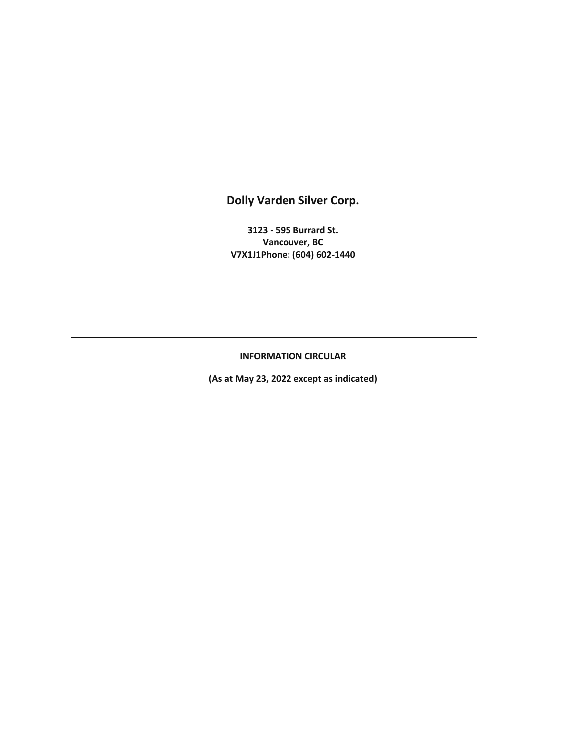**Dolly Varden Silver Corp.** 

**3123 - 595 Burrard St. Vancouver, BC V7X1J1Phone: (604) 602-1440** 

**INFORMATION CIRCULAR** 

**(As at May 23, 2022 except as indicated)**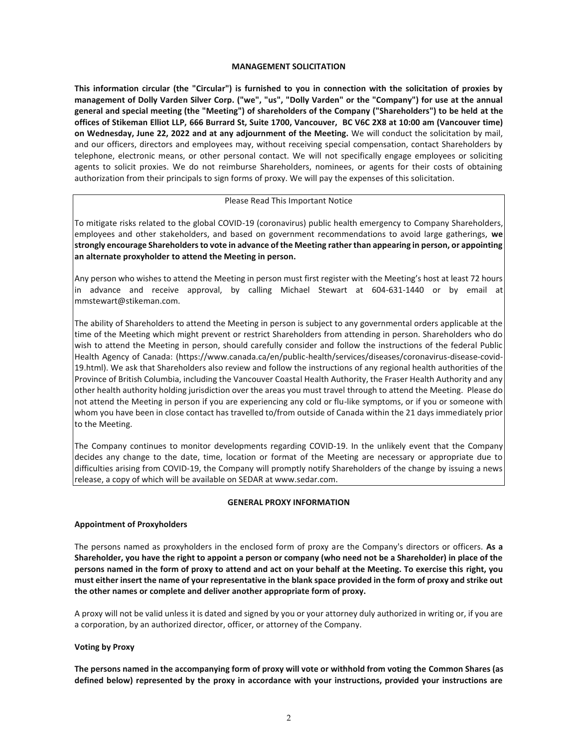## **MANAGEMENT SOLICITATION**

**This information circular (the "Circular") is furnished to you in connection with the solicitation of proxies by management of Dolly Varden Silver Corp. ("we", "us", "Dolly Varden" or the "Company") for use at the annual general and special meeting (the "Meeting") of shareholders of the Company ("Shareholders") to be held at the offices of Stikeman Elliot LLP, 666 Burrard St, Suite 1700, Vancouver, BC V6C 2X8 at 10:00 am (Vancouver time) on Wednesday, June 22, 2022 and at any adjournment of the Meeting.** We will conduct the solicitation by mail, and our officers, directors and employees may, without receiving special compensation, contact Shareholders by telephone, electronic means, or other personal contact. We will not specifically engage employees or soliciting agents to solicit proxies. We do not reimburse Shareholders, nominees, or agents for their costs of obtaining authorization from their principals to sign forms of proxy. We will pay the expenses of this solicitation.

## Please Read This Important Notice

To mitigate risks related to the global COVID-19 (coronavirus) public health emergency to Company Shareholders, employees and other stakeholders, and based on government recommendations to avoid large gatherings, **we strongly encourage Shareholders to vote in advance of the Meeting rather than appearing in person, or appointing an alternate proxyholder to attend the Meeting in person.**

Any person who wishes to attend the Meeting in person must first register with the Meeting's host at least 72 hours in advance and receive approval, by calling Michael Stewart at 604-631-1440 or by email at mmstewart@stikeman.com.

The ability of Shareholders to attend the Meeting in person is subject to any governmental orders applicable at the time of the Meeting which might prevent or restrict Shareholders from attending in person. Shareholders who do wish to attend the Meeting in person, should carefully consider and follow the instructions of the federal Public Health Agency of Canada: (https://www.canada.ca/en/public-health/services/diseases/coronavirus-disease-covid-19.html). We ask that Shareholders also review and follow the instructions of any regional health authorities of the Province of British Columbia, including the Vancouver Coastal Health Authority, the Fraser Health Authority and any other health authority holding jurisdiction over the areas you must travel through to attend the Meeting. Please do not attend the Meeting in person if you are experiencing any cold or flu-like symptoms, or if you or someone with whom you have been in close contact has travelled to/from outside of Canada within the 21 days immediately prior to the Meeting.

The Company continues to monitor developments regarding COVID-19. In the unlikely event that the Company decides any change to the date, time, location or format of the Meeting are necessary or appropriate due to difficulties arising from COVID-19, the Company will promptly notify Shareholders of the change by issuing a news release, a copy of which will be available on SEDAR at www.sedar.com.

## **GENERAL PROXY INFORMATION**

## **Appointment of Proxyholders**

The persons named as proxyholders in the enclosed form of proxy are the Company's directors or officers. **As a Shareholder, you have the right to appoint a person or company (who need not be a Shareholder) in place of the persons named in the form of proxy to attend and act on your behalf at the Meeting. To exercise this right, you must either insert the name of your representative in the blank space provided in the form of proxy and strike out the other names or complete and deliver another appropriate form of proxy.**

A proxy will not be valid unless it is dated and signed by you or your attorney duly authorized in writing or, if you are a corporation, by an authorized director, officer, or attorney of the Company.

## **Voting by Proxy**

**The persons named in the accompanying form of proxy will vote or withhold from voting the Common Shares (as defined below) represented by the proxy in accordance with your instructions, provided your instructions are**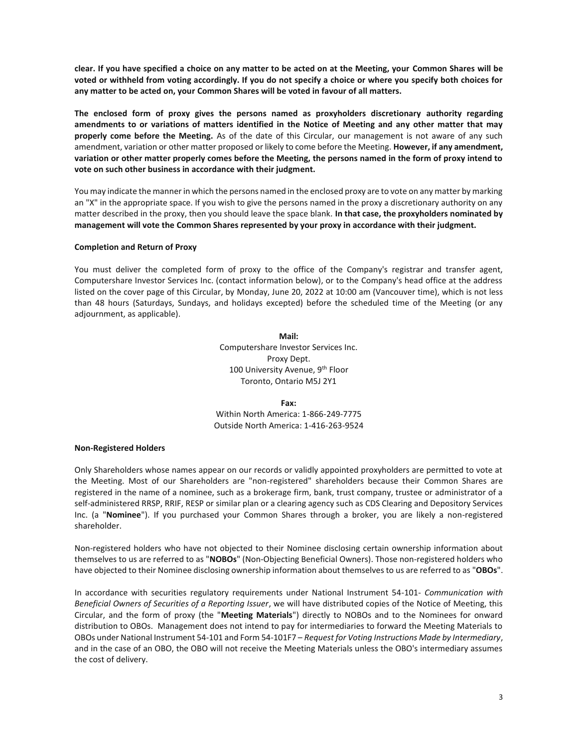**clear. If you have specified a choice on any matter to be acted on at the Meeting, your Common Shares will be voted or withheld from voting accordingly. If you do not specify a choice or where you specify both choices for any matter to be acted on, your Common Shares will be voted in favour of all matters.** 

**The enclosed form of proxy gives the persons named as proxyholders discretionary authority regarding amendments to or variations of matters identified in the Notice of Meeting and any other matter that may properly come before the Meeting.** As of the date of this Circular, our management is not aware of any such amendment, variation or other matter proposed or likely to come before the Meeting. **However, if any amendment, variation or other matter properly comes before the Meeting, the persons named in the form of proxy intend to vote on such other business in accordance with their judgment.** 

You may indicate the manner in which the persons named in the enclosed proxy are to vote on any matter by marking an "X" in the appropriate space. If you wish to give the persons named in the proxy a discretionary authority on any matter described in the proxy, then you should leave the space blank. **In that case, the proxyholders nominated by management will vote the Common Shares represented by your proxy in accordance with their judgment.** 

## **Completion and Return of Proxy**

You must deliver the completed form of proxy to the office of the Company's registrar and transfer agent, Computershare Investor Services Inc. (contact information below), or to the Company's head office at the address listed on the cover page of this Circular, by Monday, June 20, 2022 at 10:00 am (Vancouver time), which is not less than 48 hours (Saturdays, Sundays, and holidays excepted) before the scheduled time of the Meeting (or any adjournment, as applicable).

> **Mail:**  Computershare Investor Services Inc. Proxy Dept. 100 University Avenue, 9<sup>th</sup> Floor Toronto, Ontario M5J 2Y1

**Fax:** Within North America: 1-866-249-7775 Outside North America: 1-416-263-9524

## **Non-Registered Holders**

Only Shareholders whose names appear on our records or validly appointed proxyholders are permitted to vote at the Meeting. Most of our Shareholders are "non-registered" shareholders because their Common Shares are registered in the name of a nominee, such as a brokerage firm, bank, trust company, trustee or administrator of a self-administered RRSP, RRIF, RESP or similar plan or a clearing agency such as CDS Clearing and Depository Services Inc. (a "**Nominee**"). If you purchased your Common Shares through a broker, you are likely a non-registered shareholder.

Non-registered holders who have not objected to their Nominee disclosing certain ownership information about themselves to us are referred to as "**NOBOs**" (Non-Objecting Beneficial Owners). Those non-registered holders who have objected to their Nominee disclosing ownership information about themselves to us are referred to as "**OBOs**".

In accordance with securities regulatory requirements under National Instrument 54-101- *Communication with Beneficial Owners of Securities of a Reporting Issuer*, we will have distributed copies of the Notice of Meeting, this Circular, and the form of proxy (the "**Meeting Materials**") directly to NOBOs and to the Nominees for onward distribution to OBOs. Management does not intend to pay for intermediaries to forward the Meeting Materials to OBOs under National Instrument 54-101 and Form 54-101F7 – *Request for Voting Instructions Made by Intermediary*, and in the case of an OBO, the OBO will not receive the Meeting Materials unless the OBO's intermediary assumes the cost of delivery.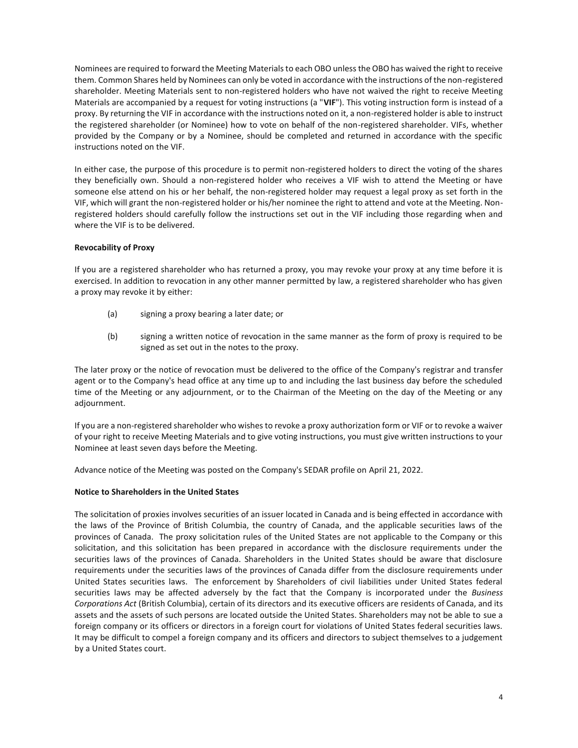Nominees are required to forward the Meeting Materials to each OBO unless the OBO has waived the right to receive them. Common Shares held by Nominees can only be voted in accordance with the instructions of the non-registered shareholder. Meeting Materials sent to non-registered holders who have not waived the right to receive Meeting Materials are accompanied by a request for voting instructions (a "**VIF**"). This voting instruction form is instead of a proxy. By returning the VIF in accordance with the instructions noted on it, a non-registered holder is able to instruct the registered shareholder (or Nominee) how to vote on behalf of the non-registered shareholder. VIFs, whether provided by the Company or by a Nominee, should be completed and returned in accordance with the specific instructions noted on the VIF.

In either case, the purpose of this procedure is to permit non-registered holders to direct the voting of the shares they beneficially own. Should a non-registered holder who receives a VIF wish to attend the Meeting or have someone else attend on his or her behalf, the non-registered holder may request a legal proxy as set forth in the VIF, which will grant the non-registered holder or his/her nominee the right to attend and vote at the Meeting. Nonregistered holders should carefully follow the instructions set out in the VIF including those regarding when and where the VIF is to be delivered.

## **Revocability of Proxy**

If you are a registered shareholder who has returned a proxy, you may revoke your proxy at any time before it is exercised. In addition to revocation in any other manner permitted by law, a registered shareholder who has given a proxy may revoke it by either:

- (a) signing a proxy bearing a later date; or
- (b) signing a written notice of revocation in the same manner as the form of proxy is required to be signed as set out in the notes to the proxy.

The later proxy or the notice of revocation must be delivered to the office of the Company's registrar and transfer agent or to the Company's head office at any time up to and including the last business day before the scheduled time of the Meeting or any adjournment, or to the Chairman of the Meeting on the day of the Meeting or any adjournment.

If you are a non-registered shareholder who wishes to revoke a proxy authorization form or VIF or to revoke a waiver of your right to receive Meeting Materials and to give voting instructions, you must give written instructions to your Nominee at least seven days before the Meeting.

Advance notice of the Meeting was posted on the Company's SEDAR profile on April 21, 2022.

## **Notice to Shareholders in the United States**

The solicitation of proxies involves securities of an issuer located in Canada and is being effected in accordance with the laws of the Province of British Columbia, the country of Canada, and the applicable securities laws of the provinces of Canada. The proxy solicitation rules of the United States are not applicable to the Company or this solicitation, and this solicitation has been prepared in accordance with the disclosure requirements under the securities laws of the provinces of Canada. Shareholders in the United States should be aware that disclosure requirements under the securities laws of the provinces of Canada differ from the disclosure requirements under United States securities laws. The enforcement by Shareholders of civil liabilities under United States federal securities laws may be affected adversely by the fact that the Company is incorporated under the *Business Corporations Act* (British Columbia), certain of its directors and its executive officers are residents of Canada, and its assets and the assets of such persons are located outside the United States. Shareholders may not be able to sue a foreign company or its officers or directors in a foreign court for violations of United States federal securities laws. It may be difficult to compel a foreign company and its officers and directors to subject themselves to a judgement by a United States court.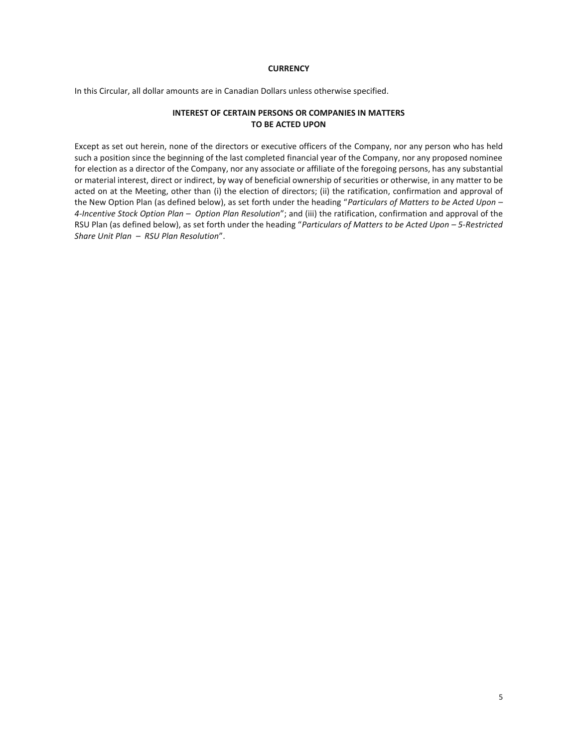## **CURRENCY**

In this Circular, all dollar amounts are in Canadian Dollars unless otherwise specified.

## **INTEREST OF CERTAIN PERSONS OR COMPANIES IN MATTERS TO BE ACTED UPON**

Except as set out herein, none of the directors or executive officers of the Company, nor any person who has held such a position since the beginning of the last completed financial year of the Company, nor any proposed nominee for election as a director of the Company, nor any associate or affiliate of the foregoing persons, has any substantial or material interest, direct or indirect, by way of beneficial ownership of securities or otherwise, in any matter to be acted on at the Meeting, other than (i) the election of directors; (ii) the ratification, confirmation and approval of the New Option Plan (as defined below), as set forth under the heading "*Particulars of Matters to be Acted Upon – 4-Incentive Stock Option Plan – Option Plan Resolution*"; and (iii) the ratification, confirmation and approval of the RSU Plan (as defined below), as set forth under the heading "*Particulars of Matters to be Acted Upon – 5-Restricted Share Unit Plan – RSU Plan Resolution*".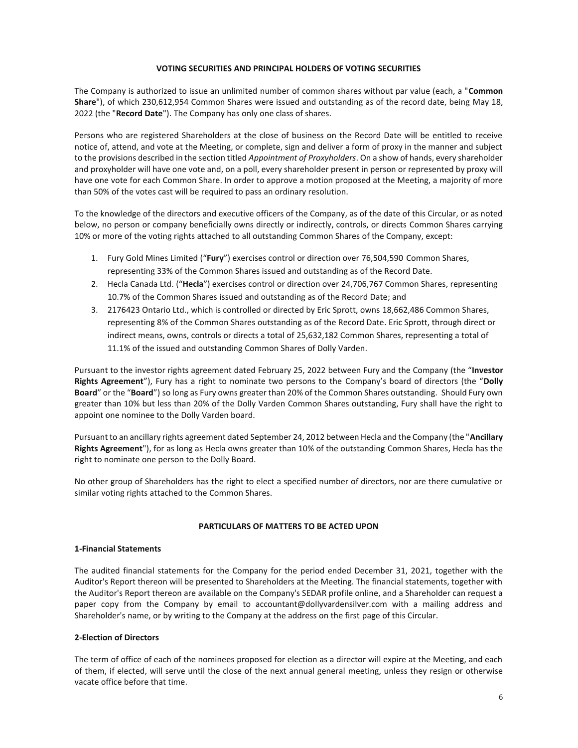#### **VOTING SECURITIES AND PRINCIPAL HOLDERS OF VOTING SECURITIES**

The Company is authorized to issue an unlimited number of common shares without par value (each, a "**Common Share**"), of which 230,612,954 Common Shares were issued and outstanding as of the record date, being May 18, 2022 (the "**Record Date**"). The Company has only one class of shares.

Persons who are registered Shareholders at the close of business on the Record Date will be entitled to receive notice of, attend, and vote at the Meeting, or complete, sign and deliver a form of proxy in the manner and subject to the provisions described in the section titled *Appointment of Proxyholders*. On a show of hands, every shareholder and proxyholder will have one vote and, on a poll, every shareholder present in person or represented by proxy will have one vote for each Common Share. In order to approve a motion proposed at the Meeting, a majority of more than 50% of the votes cast will be required to pass an ordinary resolution.

To the knowledge of the directors and executive officers of the Company, as of the date of this Circular, or as noted below, no person or company beneficially owns directly or indirectly, controls, or directs Common Shares carrying 10% or more of the voting rights attached to all outstanding Common Shares of the Company, except:

- 1. Fury Gold Mines Limited ("**Fury**") exercises control or direction over 76,504,590 Common Shares, representing 33% of the Common Shares issued and outstanding as of the Record Date.
- 2. Hecla Canada Ltd. ("**Hecla**") exercises control or direction over 24,706,767 Common Shares, representing 10.7% of the Common Shares issued and outstanding as of the Record Date; and
- 3. 2176423 Ontario Ltd., which is controlled or directed by Eric Sprott, owns 18,662,486 Common Shares, representing 8% of the Common Shares outstanding as of the Record Date. Eric Sprott, through direct or indirect means, owns, controls or directs a total of 25,632,182 Common Shares, representing a total of 11.1% of the issued and outstanding Common Shares of Dolly Varden.

Pursuant to the investor rights agreement dated February 25, 2022 between Fury and the Company (the "**Investor Rights Agreement**"), Fury has a right to nominate two persons to the Company's board of directors (the "**Dolly Board**" or the "**Board**") so long as Fury owns greater than 20% of the Common Shares outstanding. Should Fury own greater than 10% but less than 20% of the Dolly Varden Common Shares outstanding, Fury shall have the right to appoint one nominee to the Dolly Varden board.

Pursuant to an ancillary rights agreement dated September 24, 2012 between Hecla and the Company (the "**Ancillary Rights Agreement**"), for as long as Hecla owns greater than 10% of the outstanding Common Shares, Hecla has the right to nominate one person to the Dolly Board.

No other group of Shareholders has the right to elect a specified number of directors, nor are there cumulative or similar voting rights attached to the Common Shares.

## **PARTICULARS OF MATTERS TO BE ACTED UPON**

## **1-Financial Statements**

The audited financial statements for the Company for the period ended December 31, 2021, together with the Auditor's Report thereon will be presented to Shareholders at the Meeting. The financial statements, together with the Auditor's Report thereon are available on the Company's SEDAR profile online, and a Shareholder can request a paper copy from the Company by email to accountant@dollyvardensilver.com with a mailing address and Shareholder's name, or by writing to the Company at the address on the first page of this Circular.

## **2-Election of Directors**

The term of office of each of the nominees proposed for election as a director will expire at the Meeting, and each of them, if elected, will serve until the close of the next annual general meeting, unless they resign or otherwise vacate office before that time.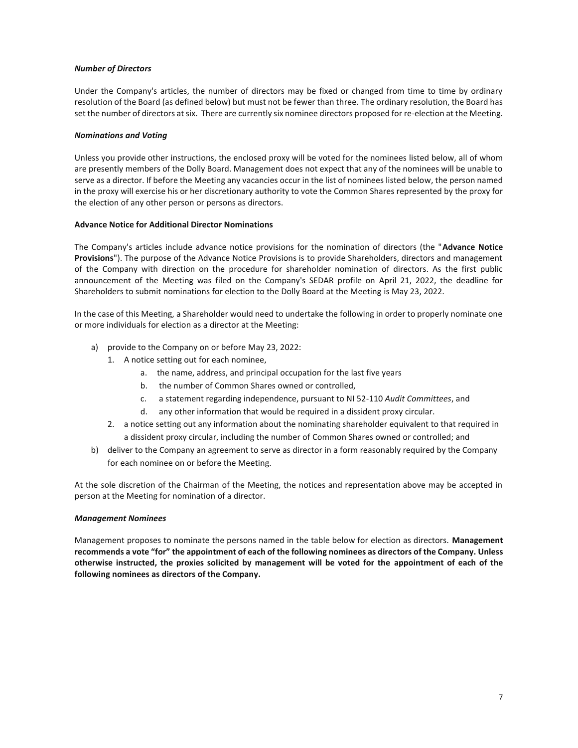## *Number of Directors*

Under the Company's articles, the number of directors may be fixed or changed from time to time by ordinary resolution of the Board (as defined below) but must not be fewer than three. The ordinary resolution, the Board has set the number of directors at six. There are currently six nominee directors proposed for re-election at the Meeting.

#### *Nominations and Voting*

Unless you provide other instructions, the enclosed proxy will be voted for the nominees listed below, all of whom are presently members of the Dolly Board. Management does not expect that any of the nominees will be unable to serve as a director. If before the Meeting any vacancies occur in the list of nominees listed below, the person named in the proxy will exercise his or her discretionary authority to vote the Common Shares represented by the proxy for the election of any other person or persons as directors.

#### **Advance Notice for Additional Director Nominations**

The Company's articles include advance notice provisions for the nomination of directors (the "**Advance Notice Provisions**"). The purpose of the Advance Notice Provisions is to provide Shareholders, directors and management of the Company with direction on the procedure for shareholder nomination of directors. As the first public announcement of the Meeting was filed on the Company's SEDAR profile on April 21, 2022, the deadline for Shareholders to submit nominations for election to the Dolly Board at the Meeting is May 23, 2022.

In the case of this Meeting, a Shareholder would need to undertake the following in order to properly nominate one or more individuals for election as a director at the Meeting:

- a) provide to the Company on or before May 23, 2022:
	- 1. A notice setting out for each nominee,
		- a. the name, address, and principal occupation for the last five years
		- b. the number of Common Shares owned or controlled,
		- c. a statement regarding independence, pursuant to NI 52-110 *Audit Committees*, and
		- d. any other information that would be required in a dissident proxy circular.
	- 2. a notice setting out any information about the nominating shareholder equivalent to that required in a dissident proxy circular, including the number of Common Shares owned or controlled; and
- b) deliver to the Company an agreement to serve as director in a form reasonably required by the Company for each nominee on or before the Meeting.

At the sole discretion of the Chairman of the Meeting, the notices and representation above may be accepted in person at the Meeting for nomination of a director.

## *Management Nominees*

Management proposes to nominate the persons named in the table below for election as directors. **Management recommends a vote "for" the appointment of each of the following nominees as directors of the Company. Unless otherwise instructed, the proxies solicited by management will be voted for the appointment of each of the following nominees as directors of the Company.**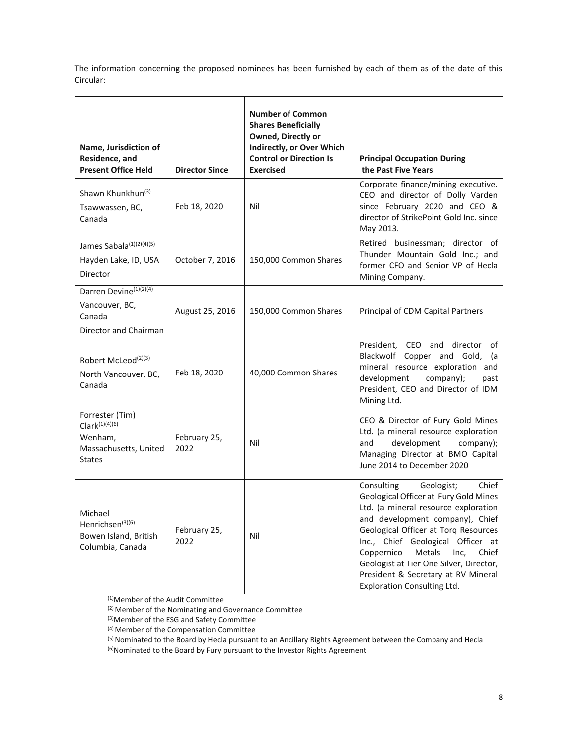The information concerning the proposed nominees has been furnished by each of them as of the date of this Circular:

| Name, Jurisdiction of<br>Residence, and<br><b>Present Office Held</b>                              | <b>Director Since</b> | <b>Number of Common</b><br><b>Shares Beneficially</b><br>Owned, Directly or<br>Indirectly, or Over Which<br><b>Control or Direction Is</b><br><b>Exercised</b> | <b>Principal Occupation During</b><br>the Past Five Years                                                                                                                                                                                                                                                                                                                                           |
|----------------------------------------------------------------------------------------------------|-----------------------|----------------------------------------------------------------------------------------------------------------------------------------------------------------|-----------------------------------------------------------------------------------------------------------------------------------------------------------------------------------------------------------------------------------------------------------------------------------------------------------------------------------------------------------------------------------------------------|
| Shawn Khunkhun <sup>(3)</sup><br>Tsawwassen, BC,<br>Canada                                         | Feb 18, 2020          | Nil                                                                                                                                                            | Corporate finance/mining executive.<br>CEO and director of Dolly Varden<br>since February 2020 and CEO &<br>director of StrikePoint Gold Inc. since<br>May 2013.                                                                                                                                                                                                                                    |
| James Sabala <sup>(1)(2)(4)(5)</sup><br>Hayden Lake, ID, USA<br>Director                           | October 7, 2016       | 150,000 Common Shares                                                                                                                                          | Retired businessman; director of<br>Thunder Mountain Gold Inc.; and<br>former CFO and Senior VP of Hecla<br>Mining Company.                                                                                                                                                                                                                                                                         |
| Darren Devine <sup>(1)(2)(4)</sup><br>Vancouver, BC,<br>Canada<br>Director and Chairman            | August 25, 2016       | 150,000 Common Shares                                                                                                                                          | Principal of CDM Capital Partners                                                                                                                                                                                                                                                                                                                                                                   |
| Robert McLeod <sup>(2)(3)</sup><br>North Vancouver, BC,<br>Canada                                  | Feb 18, 2020          | 40,000 Common Shares                                                                                                                                           | President, CEO and director of<br>Blackwolf Copper and Gold, (a<br>mineral resource exploration and<br>development<br>company);<br>past<br>President, CEO and Director of IDM<br>Mining Ltd.                                                                                                                                                                                                        |
| Forrester (Tim)<br>Clark <sup>(1)(4)(6)</sup><br>Wenham,<br>Massachusetts, United<br><b>States</b> | February 25,<br>2022  | Nil                                                                                                                                                            | CEO & Director of Fury Gold Mines<br>Ltd. (a mineral resource exploration<br>development<br>company);<br>and<br>Managing Director at BMO Capital<br>June 2014 to December 2020                                                                                                                                                                                                                      |
| Michael<br>Henrichsen <sup>(3)(6)</sup><br>Bowen Island, British<br>Columbia, Canada               | February 25,<br>2022  | Nil                                                                                                                                                            | Consulting<br>Chief<br>Geologist;<br>Geological Officer at Fury Gold Mines<br>Ltd. (a mineral resource exploration<br>and development company), Chief<br>Geological Officer at Torq Resources<br>Inc., Chief Geological Officer at<br>Coppernico<br>Metals<br>Inc,<br>Chief<br>Geologist at Tier One Silver, Director,<br>President & Secretary at RV Mineral<br><b>Exploration Consulting Ltd.</b> |

(1)Member of the Audit Committee

(2) Member of the Nominating and Governance Committee

(3)Member of the ESG and Safety Committee

(4) Member of the Compensation Committee

(5) Nominated to the Board by Hecla pursuant to an Ancillary Rights Agreement between the Company and Hecla

 $^{(6)}$ Nominated to the Board by Fury pursuant to the Investor Rights Agreement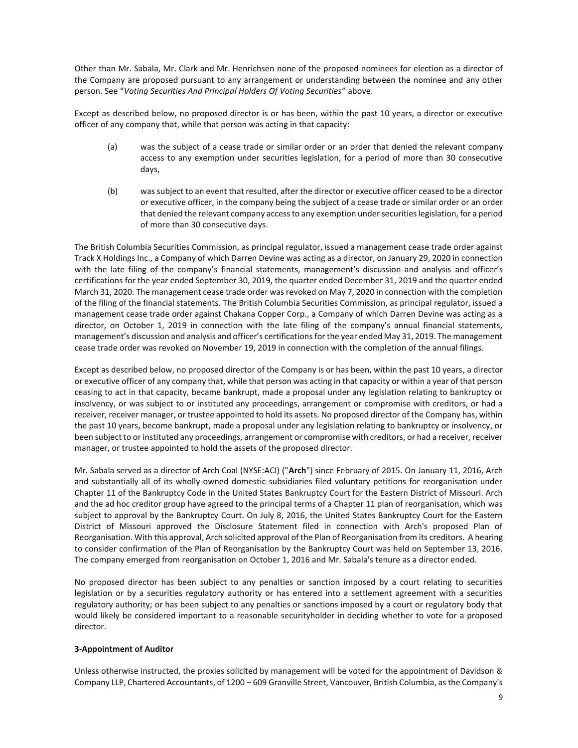Other than Mr. Sabala, Mr. Clark and Mr. Henrichsen none of the proposed nominees for election as a director of the Company are proposed pursuant to any arrangement or understanding between the nominee and any other person. See "*Voting Securities And Principal Holders Of Voting Securities*" above.

Except as described below, no proposed director is or has been, within the past 10 years, a director or executive officer of any company that, while that person was acting in that capacity:

- (a) was the subject of a cease trade or similar order or an order that denied the relevant company access to any exemption under securities legislation, for a period of more than 30 consecutive days,
- (b) was subject to an event that resulted, after the director or executive officer ceased to be a director or executive officer, in the company being the subject of a cease trade or similar order or an order that denied the relevant company access to any exemption under securities legislation, for a period of more than 30 consecutive days.

The British Columbia Securities Commission, as principal regulator, issued a management cease trade order against Track X Holdings Inc., a Company of which Darren Devine was acting as a director, on January 29, 2020 in connection with the late filing of the company's financial statements, management's discussion and analysis and officer's certifications for the year ended September 30, 2019, the quarter ended December 31, 2019 and the quarter ended March 31, 2020. The management cease trade order was revoked on May 7, 2020 in connection with the completion of the filing of the financial statements. The British Columbia Securities Commission, as principal regulator, issued a management cease trade order against Chakana Copper Corp., a Company of which Darren Devine was acting as a director, on October 1, 2019 in connection with the late filing of the company's annual financial statements, management's discussion and analysis and officer's certifications for the year ended May 31, 2019. The management cease trade order was revoked on November 19, 2019 in connection with the completion of the annual filings.

Except as described below, no proposed director of the Company is or has been, within the past 10 years, a director or executive officer of any company that, while that person was acting in that capacity or within a year of that person ceasing to act in that capacity, became bankrupt, made a proposal under any legislation relating to bankruptcy or insolvency, or was subject to or instituted any proceedings, arrangement or compromise with creditors, or had a receiver, receiver manager, or trustee appointed to hold its assets. No proposed director of the Company has, within the past 10 years, become bankrupt, made a proposal under any legislation relating to bankruptcy or insolvency, or been subject to or instituted any proceedings, arrangement or compromise with creditors, or had a receiver, receiver manager, or trustee appointed to hold the assets of the proposed director.

Mr. Sabala served as a director of Arch Coal (NYSE:ACI) ("**Arch**") since February of 2015. On January 11, 2016, Arch and substantially all of its wholly-owned domestic subsidiaries filed voluntary petitions for reorganisation under Chapter 11 of the Bankruptcy Code in the United States Bankruptcy Court for the Eastern District of Missouri. Arch and the ad hoc creditor group have agreed to the principal terms of a Chapter 11 plan of reorganisation, which was subject to approval by the Bankruptcy Court. On July 8, 2016, the United States Bankruptcy Court for the Eastern District of Missouri approved the Disclosure Statement filed in connection with Arch's proposed Plan of Reorganisation. With this approval, Arch solicited approval of the Plan of Reorganisation from its creditors. A hearing to consider confirmation of the Plan of Reorganisation by the Bankruptcy Court was held on September 13, 2016. The company emerged from reorganisation on October 1, 2016 and Mr. Sabala's tenure as a director ended.

No proposed director has been subject to any penalties or sanction imposed by a court relating to securities legislation or by a securities regulatory authority or has entered into a settlement agreement with a securities regulatory authority; or has been subject to any penalties or sanctions imposed by a court or regulatory body that would likely be considered important to a reasonable securityholder in deciding whether to vote for a proposed director.

## **3-Appointment of Auditor**

Unless otherwise instructed, the proxies solicited by management will be voted for the appointment of Davidson & Company LLP, Chartered Accountants, of 1200 – 609 Granville Street, Vancouver, British Columbia, as the Company's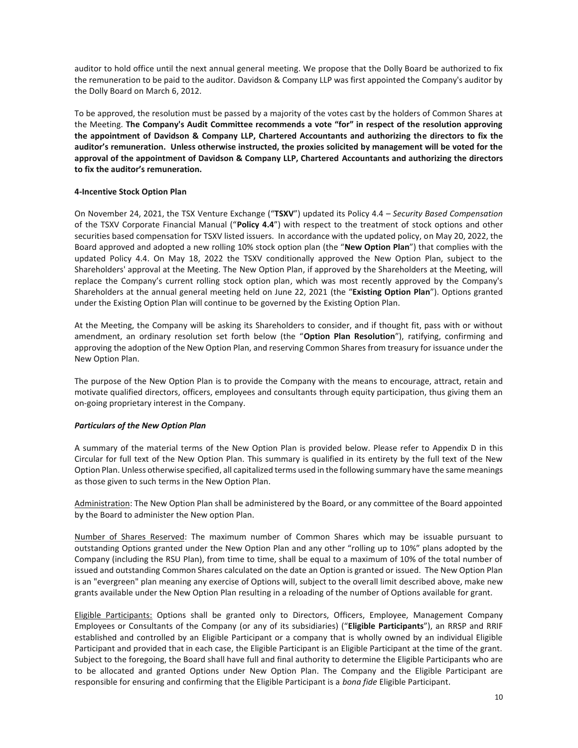auditor to hold office until the next annual general meeting. We propose that the Dolly Board be authorized to fix the remuneration to be paid to the auditor. Davidson & Company LLP was first appointed the Company's auditor by the Dolly Board on March 6, 2012.

To be approved, the resolution must be passed by a majority of the votes cast by the holders of Common Shares at the Meeting. **The Company's Audit Committee recommends a vote "for" in respect of the resolution approving the appointment of Davidson & Company LLP, Chartered Accountants and authorizing the directors to fix the auditor's remuneration. Unless otherwise instructed, the proxies solicited by management will be voted for the approval of the appointment of Davidson & Company LLP, Chartered Accountants and authorizing the directors to fix the auditor's remuneration.** 

## **4-Incentive Stock Option Plan**

On November 24, 2021, the TSX Venture Exchange ("**TSXV**") updated its Policy 4.4 – *Security Based Compensation* of the TSXV Corporate Financial Manual ("**Policy 4.4**") with respect to the treatment of stock options and other securities based compensation for TSXV listed issuers. In accordance with the updated policy, on May 20, 2022, the Board approved and adopted a new rolling 10% stock option plan (the "**New Option Plan**") that complies with the updated Policy 4.4. On May 18, 2022 the TSXV conditionally approved the New Option Plan, subject to the Shareholders' approval at the Meeting. The New Option Plan, if approved by the Shareholders at the Meeting, will replace the Company's current rolling stock option plan, which was most recently approved by the Company's Shareholders at the annual general meeting held on June 22, 2021 (the "**Existing Option Plan**"). Options granted under the Existing Option Plan will continue to be governed by the Existing Option Plan.

At the Meeting, the Company will be asking its Shareholders to consider, and if thought fit, pass with or without amendment, an ordinary resolution set forth below (the "**Option Plan Resolution**"), ratifying, confirming and approving the adoption of the New Option Plan, and reserving Common Shares from treasury for issuance under the New Option Plan.

The purpose of the New Option Plan is to provide the Company with the means to encourage, attract, retain and motivate qualified directors, officers, employees and consultants through equity participation, thus giving them an on-going proprietary interest in the Company.

# *Particulars of the New Option Plan*

A summary of the material terms of the New Option Plan is provided below. Please refer to Appendix D in this Circular for full text of the New Option Plan. This summary is qualified in its entirety by the full text of the New Option Plan. Unless otherwise specified, all capitalized terms used in the following summary have the same meanings as those given to such terms in the New Option Plan.

Administration: The New Option Plan shall be administered by the Board, or any committee of the Board appointed by the Board to administer the New option Plan.

Number of Shares Reserved: The maximum number of Common Shares which may be issuable pursuant to outstanding Options granted under the New Option Plan and any other "rolling up to 10%" plans adopted by the Company (including the RSU Plan), from time to time, shall be equal to a maximum of 10% of the total number of issued and outstanding Common Shares calculated on the date an Option is granted or issued. The New Option Plan is an "evergreen" plan meaning any exercise of Options will, subject to the overall limit described above, make new grants available under the New Option Plan resulting in a reloading of the number of Options available for grant.

Eligible Participants: Options shall be granted only to Directors, Officers, Employee, Management Company Employees or Consultants of the Company (or any of its subsidiaries) ("**Eligible Participants**"), an RRSP and RRIF established and controlled by an Eligible Participant or a company that is wholly owned by an individual Eligible Participant and provided that in each case, the Eligible Participant is an Eligible Participant at the time of the grant. Subject to the foregoing, the Board shall have full and final authority to determine the Eligible Participants who are to be allocated and granted Options under New Option Plan. The Company and the Eligible Participant are responsible for ensuring and confirming that the Eligible Participant is a *bona fide* Eligible Participant.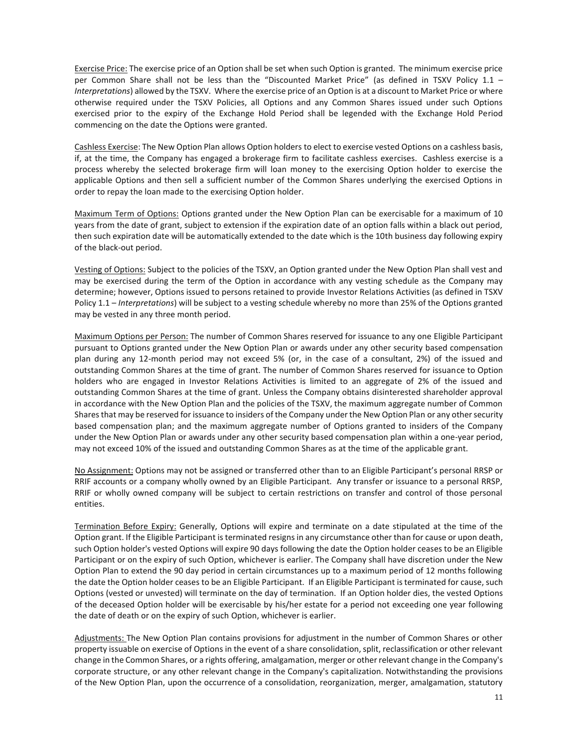Exercise Price: The exercise price of an Option shall be set when such Option is granted. The minimum exercise price per Common Share shall not be less than the "Discounted Market Price" (as defined in TSXV Policy 1.1 – *Interpretations*) allowed by the TSXV. Where the exercise price of an Option is at a discount to Market Price or where otherwise required under the TSXV Policies, all Options and any Common Shares issued under such Options exercised prior to the expiry of the Exchange Hold Period shall be legended with the Exchange Hold Period commencing on the date the Options were granted.

Cashless Exercise: The New Option Plan allows Option holders to elect to exercise vested Options on a cashless basis, if, at the time, the Company has engaged a brokerage firm to facilitate cashless exercises. Cashless exercise is a process whereby the selected brokerage firm will loan money to the exercising Option holder to exercise the applicable Options and then sell a sufficient number of the Common Shares underlying the exercised Options in order to repay the loan made to the exercising Option holder.

Maximum Term of Options: Options granted under the New Option Plan can be exercisable for a maximum of 10 years from the date of grant, subject to extension if the expiration date of an option falls within a black out period, then such expiration date will be automatically extended to the date which is the 10th business day following expiry of the black-out period.

Vesting of Options: Subject to the policies of the TSXV, an Option granted under the New Option Plan shall vest and may be exercised during the term of the Option in accordance with any vesting schedule as the Company may determine; however, Options issued to persons retained to provide Investor Relations Activities (as defined in TSXV Policy 1.1 – *Interpretations*) will be subject to a vesting schedule whereby no more than 25% of the Options granted may be vested in any three month period.

Maximum Options per Person: The number of Common Shares reserved for issuance to any one Eligible Participant pursuant to Options granted under the New Option Plan or awards under any other security based compensation plan during any 12-month period may not exceed 5% (or, in the case of a consultant, 2%) of the issued and outstanding Common Shares at the time of grant. The number of Common Shares reserved for issuance to Option holders who are engaged in Investor Relations Activities is limited to an aggregate of 2% of the issued and outstanding Common Shares at the time of grant. Unless the Company obtains disinterested shareholder approval in accordance with the New Option Plan and the policies of the TSXV, the maximum aggregate number of Common Shares that may be reserved for issuance to insiders of the Company under the New Option Plan or any other security based compensation plan; and the maximum aggregate number of Options granted to insiders of the Company under the New Option Plan or awards under any other security based compensation plan within a one-year period, may not exceed 10% of the issued and outstanding Common Shares as at the time of the applicable grant.

No Assignment: Options may not be assigned or transferred other than to an Eligible Participant's personal RRSP or RRIF accounts or a company wholly owned by an Eligible Participant. Any transfer or issuance to a personal RRSP, RRIF or wholly owned company will be subject to certain restrictions on transfer and control of those personal entities.

Termination Before Expiry: Generally, Options will expire and terminate on a date stipulated at the time of the Option grant. If the Eligible Participant is terminated resigns in any circumstance other than for cause or upon death, such Option holder's vested Options will expire 90 days following the date the Option holder ceases to be an Eligible Participant or on the expiry of such Option, whichever is earlier. The Company shall have discretion under the New Option Plan to extend the 90 day period in certain circumstances up to a maximum period of 12 months following the date the Option holder ceases to be an Eligible Participant. If an Eligible Participant is terminated for cause, such Options (vested or unvested) will terminate on the day of termination. If an Option holder dies, the vested Options of the deceased Option holder will be exercisable by his/her estate for a period not exceeding one year following the date of death or on the expiry of such Option, whichever is earlier.

Adjustments: The New Option Plan contains provisions for adjustment in the number of Common Shares or other property issuable on exercise of Options in the event of a share consolidation, split, reclassification or other relevant change in the Common Shares, or a rights offering, amalgamation, merger or other relevant change in the Company's corporate structure, or any other relevant change in the Company's capitalization. Notwithstanding the provisions of the New Option Plan, upon the occurrence of a consolidation, reorganization, merger, amalgamation, statutory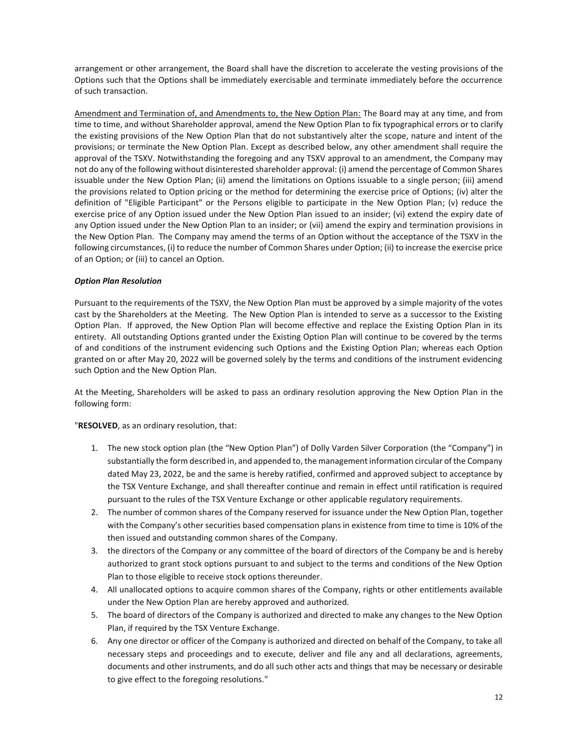arrangement or other arrangement, the Board shall have the discretion to accelerate the vesting provisions of the Options such that the Options shall be immediately exercisable and terminate immediately before the occurrence of such transaction.

Amendment and Termination of, and Amendments to, the New Option Plan: The Board may at any time, and from time to time, and without Shareholder approval, amend the New Option Plan to fix typographical errors or to clarify the existing provisions of the New Option Plan that do not substantively alter the scope, nature and intent of the provisions; or terminate the New Option Plan. Except as described below, any other amendment shall require the approval of the TSXV. Notwithstanding the foregoing and any TSXV approval to an amendment, the Company may not do any of the following without disinterested shareholder approval: (i) amend the percentage of Common Shares issuable under the New Option Plan; (ii) amend the limitations on Options issuable to a single person; (iii) amend the provisions related to Option pricing or the method for determining the exercise price of Options; (iv) alter the definition of "Eligible Participant" or the Persons eligible to participate in the New Option Plan; (v) reduce the exercise price of any Option issued under the New Option Plan issued to an insider; (vi) extend the expiry date of any Option issued under the New Option Plan to an insider; or (vii) amend the expiry and termination provisions in the New Option Plan. The Company may amend the terms of an Option without the acceptance of the TSXV in the following circumstances, (i) to reduce the number of Common Shares under Option; (ii) to increase the exercise price of an Option; or (iii) to cancel an Option.

## *Option Plan Resolution*

Pursuant to the requirements of the TSXV, the New Option Plan must be approved by a simple majority of the votes cast by the Shareholders at the Meeting. The New Option Plan is intended to serve as a successor to the Existing Option Plan. If approved, the New Option Plan will become effective and replace the Existing Option Plan in its entirety. All outstanding Options granted under the Existing Option Plan will continue to be covered by the terms of and conditions of the instrument evidencing such Options and the Existing Option Plan; whereas each Option granted on or after May 20, 2022 will be governed solely by the terms and conditions of the instrument evidencing such Option and the New Option Plan.

At the Meeting, Shareholders will be asked to pass an ordinary resolution approving the New Option Plan in the following form:

"**RESOLVED**, as an ordinary resolution, that:

- 1. The new stock option plan (the "New Option Plan") of Dolly Varden Silver Corporation (the "Company") in substantially the form described in, and appended to, the management information circular of the Company dated May 23, 2022, be and the same is hereby ratified, confirmed and approved subject to acceptance by the TSX Venture Exchange, and shall thereafter continue and remain in effect until ratification is required pursuant to the rules of the TSX Venture Exchange or other applicable regulatory requirements.
- 2. The number of common shares of the Company reserved for issuance under the New Option Plan, together with the Company's other securities based compensation plans in existence from time to time is 10% of the then issued and outstanding common shares of the Company.
- 3. the directors of the Company or any committee of the board of directors of the Company be and is hereby authorized to grant stock options pursuant to and subject to the terms and conditions of the New Option Plan to those eligible to receive stock options thereunder.
- 4. All unallocated options to acquire common shares of the Company, rights or other entitlements available under the New Option Plan are hereby approved and authorized.
- 5. The board of directors of the Company is authorized and directed to make any changes to the New Option Plan, if required by the TSX Venture Exchange.
- 6. Any one director or officer of the Company is authorized and directed on behalf of the Company, to take all necessary steps and proceedings and to execute, deliver and file any and all declarations, agreements, documents and other instruments, and do all such other acts and things that may be necessary or desirable to give effect to the foregoing resolutions."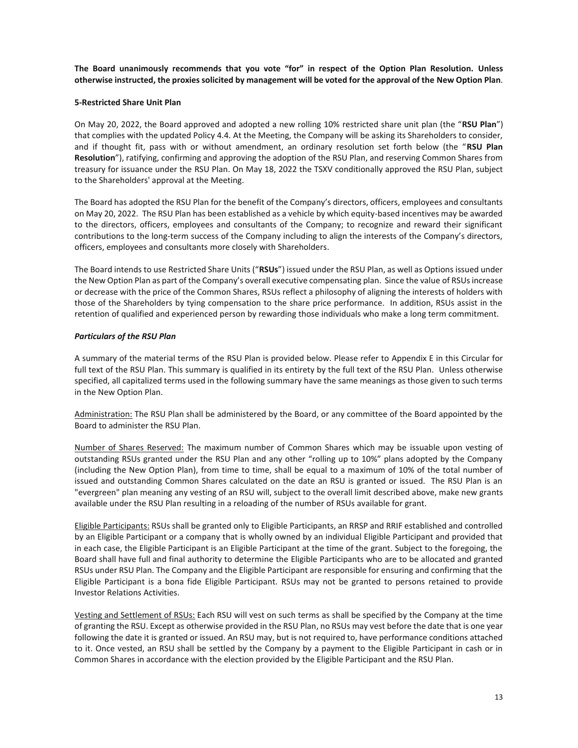**The Board unanimously recommends that you vote "for" in respect of the Option Plan Resolution. Unless otherwise instructed, the proxies solicited by management will be voted for the approval of the New Option Plan**.

#### **5-Restricted Share Unit Plan**

On May 20, 2022, the Board approved and adopted a new rolling 10% restricted share unit plan (the "**RSU Plan**") that complies with the updated Policy 4.4. At the Meeting, the Company will be asking its Shareholders to consider, and if thought fit, pass with or without amendment, an ordinary resolution set forth below (the "**RSU Plan Resolution**"), ratifying, confirming and approving the adoption of the RSU Plan, and reserving Common Shares from treasury for issuance under the RSU Plan. On May 18, 2022 the TSXV conditionally approved the RSU Plan, subject to the Shareholders' approval at the Meeting.

The Board has adopted the RSU Plan for the benefit of the Company's directors, officers, employees and consultants on May 20, 2022. The RSU Plan has been established as a vehicle by which equity-based incentives may be awarded to the directors, officers, employees and consultants of the Company; to recognize and reward their significant contributions to the long-term success of the Company including to align the interests of the Company's directors, officers, employees and consultants more closely with Shareholders.

The Board intends to use Restricted Share Units ("**RSUs**") issued under the RSU Plan, as well as Options issued under the New Option Plan as part of the Company's overall executive compensating plan. Since the value of RSUs increase or decrease with the price of the Common Shares, RSUs reflect a philosophy of aligning the interests of holders with those of the Shareholders by tying compensation to the share price performance. In addition, RSUs assist in the retention of qualified and experienced person by rewarding those individuals who make a long term commitment.

## *Particulars of the RSU Plan*

A summary of the material terms of the RSU Plan is provided below. Please refer to Appendix E in this Circular for full text of the RSU Plan. This summary is qualified in its entirety by the full text of the RSU Plan. Unless otherwise specified, all capitalized terms used in the following summary have the same meanings as those given to such terms in the New Option Plan.

Administration: The RSU Plan shall be administered by the Board, or any committee of the Board appointed by the Board to administer the RSU Plan.

Number of Shares Reserved: The maximum number of Common Shares which may be issuable upon vesting of outstanding RSUs granted under the RSU Plan and any other "rolling up to 10%" plans adopted by the Company (including the New Option Plan), from time to time, shall be equal to a maximum of 10% of the total number of issued and outstanding Common Shares calculated on the date an RSU is granted or issued. The RSU Plan is an "evergreen" plan meaning any vesting of an RSU will, subject to the overall limit described above, make new grants available under the RSU Plan resulting in a reloading of the number of RSUs available for grant.

Eligible Participants: RSUs shall be granted only to Eligible Participants, an RRSP and RRIF established and controlled by an Eligible Participant or a company that is wholly owned by an individual Eligible Participant and provided that in each case, the Eligible Participant is an Eligible Participant at the time of the grant. Subject to the foregoing, the Board shall have full and final authority to determine the Eligible Participants who are to be allocated and granted RSUs under RSU Plan. The Company and the Eligible Participant are responsible for ensuring and confirming that the Eligible Participant is a bona fide Eligible Participant. RSUs may not be granted to persons retained to provide Investor Relations Activities.

Vesting and Settlement of RSUs: Each RSU will vest on such terms as shall be specified by the Company at the time of granting the RSU. Except as otherwise provided in the RSU Plan, no RSUs may vest before the date that is one year following the date it is granted or issued. An RSU may, but is not required to, have performance conditions attached to it. Once vested, an RSU shall be settled by the Company by a payment to the Eligible Participant in cash or in Common Shares in accordance with the election provided by the Eligible Participant and the RSU Plan.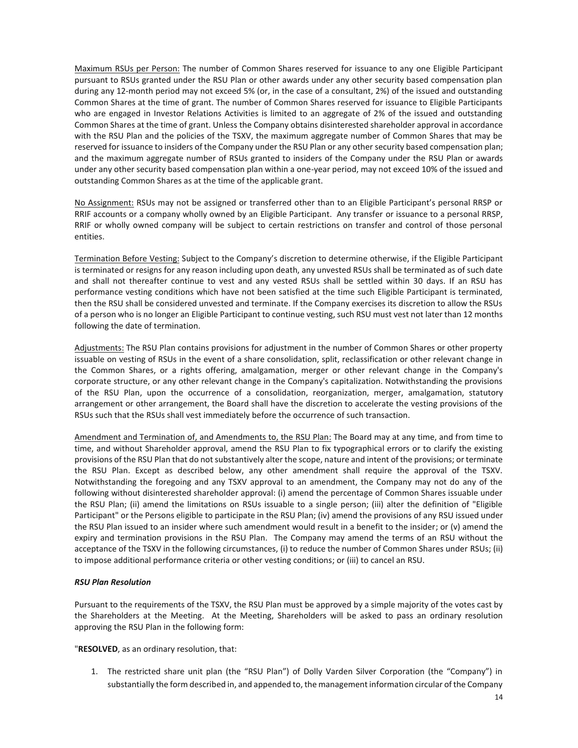Maximum RSUs per Person: The number of Common Shares reserved for issuance to any one Eligible Participant pursuant to RSUs granted under the RSU Plan or other awards under any other security based compensation plan during any 12-month period may not exceed 5% (or, in the case of a consultant, 2%) of the issued and outstanding Common Shares at the time of grant. The number of Common Shares reserved for issuance to Eligible Participants who are engaged in Investor Relations Activities is limited to an aggregate of 2% of the issued and outstanding Common Shares at the time of grant. Unless the Company obtains disinterested shareholder approval in accordance with the RSU Plan and the policies of the TSXV, the maximum aggregate number of Common Shares that may be reserved for issuance to insiders of the Company under the RSU Plan or any other security based compensation plan; and the maximum aggregate number of RSUs granted to insiders of the Company under the RSU Plan or awards under any other security based compensation plan within a one-year period, may not exceed 10% of the issued and outstanding Common Shares as at the time of the applicable grant.

No Assignment: RSUs may not be assigned or transferred other than to an Eligible Participant's personal RRSP or RRIF accounts or a company wholly owned by an Eligible Participant. Any transfer or issuance to a personal RRSP, RRIF or wholly owned company will be subject to certain restrictions on transfer and control of those personal entities.

Termination Before Vesting: Subject to the Company's discretion to determine otherwise, if the Eligible Participant is terminated or resigns for any reason including upon death, any unvested RSUs shall be terminated as of such date and shall not thereafter continue to vest and any vested RSUs shall be settled within 30 days. If an RSU has performance vesting conditions which have not been satisfied at the time such Eligible Participant is terminated, then the RSU shall be considered unvested and terminate. If the Company exercises its discretion to allow the RSUs of a person who is no longer an Eligible Participant to continue vesting, such RSU must vest not later than 12 months following the date of termination.

Adjustments: The RSU Plan contains provisions for adjustment in the number of Common Shares or other property issuable on vesting of RSUs in the event of a share consolidation, split, reclassification or other relevant change in the Common Shares, or a rights offering, amalgamation, merger or other relevant change in the Company's corporate structure, or any other relevant change in the Company's capitalization. Notwithstanding the provisions of the RSU Plan, upon the occurrence of a consolidation, reorganization, merger, amalgamation, statutory arrangement or other arrangement, the Board shall have the discretion to accelerate the vesting provisions of the RSUs such that the RSUs shall vest immediately before the occurrence of such transaction.

Amendment and Termination of, and Amendments to, the RSU Plan: The Board may at any time, and from time to time, and without Shareholder approval, amend the RSU Plan to fix typographical errors or to clarify the existing provisions of the RSU Plan that do not substantively alter the scope, nature and intent of the provisions; or terminate the RSU Plan. Except as described below, any other amendment shall require the approval of the TSXV. Notwithstanding the foregoing and any TSXV approval to an amendment, the Company may not do any of the following without disinterested shareholder approval: (i) amend the percentage of Common Shares issuable under the RSU Plan; (ii) amend the limitations on RSUs issuable to a single person; (iii) alter the definition of "Eligible Participant" or the Persons eligible to participate in the RSU Plan; (iv) amend the provisions of any RSU issued under the RSU Plan issued to an insider where such amendment would result in a benefit to the insider; or (v) amend the expiry and termination provisions in the RSU Plan. The Company may amend the terms of an RSU without the acceptance of the TSXV in the following circumstances, (i) to reduce the number of Common Shares under RSUs; (ii) to impose additional performance criteria or other vesting conditions; or (iii) to cancel an RSU.

## *RSU Plan Resolution*

Pursuant to the requirements of the TSXV, the RSU Plan must be approved by a simple majority of the votes cast by the Shareholders at the Meeting. At the Meeting, Shareholders will be asked to pass an ordinary resolution approving the RSU Plan in the following form:

"**RESOLVED**, as an ordinary resolution, that:

1. The restricted share unit plan (the "RSU Plan") of Dolly Varden Silver Corporation (the "Company") in substantially the form described in, and appended to, the management information circular of the Company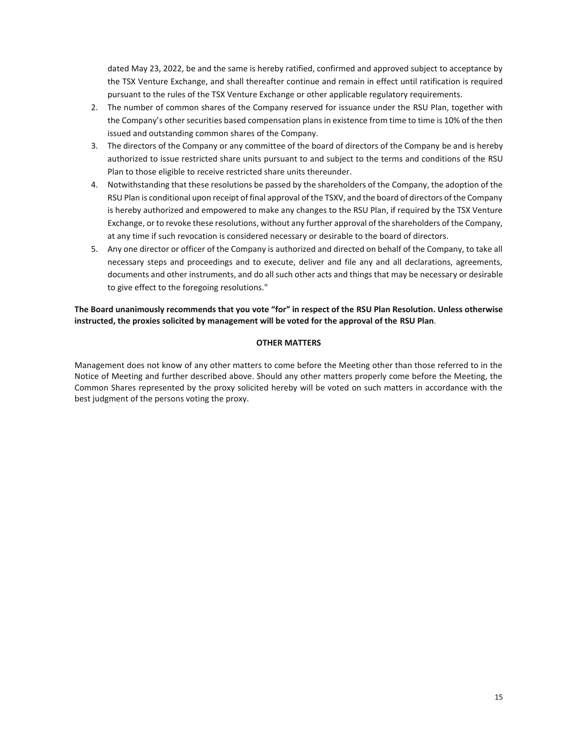dated May 23, 2022, be and the same is hereby ratified, confirmed and approved subject to acceptance by the TSX Venture Exchange, and shall thereafter continue and remain in effect until ratification is required pursuant to the rules of the TSX Venture Exchange or other applicable regulatory requirements.

- 2. The number of common shares of the Company reserved for issuance under the RSU Plan, together with the Company's other securities based compensation plans in existence from time to time is 10% of the then issued and outstanding common shares of the Company.
- 3. The directors of the Company or any committee of the board of directors of the Company be and is hereby authorized to issue restricted share units pursuant to and subject to the terms and conditions of the RSU Plan to those eligible to receive restricted share units thereunder.
- 4. Notwithstanding that these resolutions be passed by the shareholders of the Company, the adoption of the RSU Plan is conditional upon receipt of final approval of the TSXV, and the board of directors of the Company is hereby authorized and empowered to make any changes to the RSU Plan, if required by the TSX Venture Exchange, or to revoke these resolutions, without any further approval of the shareholders of the Company, at any time if such revocation is considered necessary or desirable to the board of directors.
- 5. Any one director or officer of the Company is authorized and directed on behalf of the Company, to take all necessary steps and proceedings and to execute, deliver and file any and all declarations, agreements, documents and other instruments, and do all such other acts and things that may be necessary or desirable to give effect to the foregoing resolutions."

**The Board unanimously recommends that you vote "for" in respect of the RSU Plan Resolution. Unless otherwise instructed, the proxies solicited by management will be voted for the approval of the RSU Plan**.

## **OTHER MATTERS**

Management does not know of any other matters to come before the Meeting other than those referred to in the Notice of Meeting and further described above. Should any other matters properly come before the Meeting, the Common Shares represented by the proxy solicited hereby will be voted on such matters in accordance with the best judgment of the persons voting the proxy.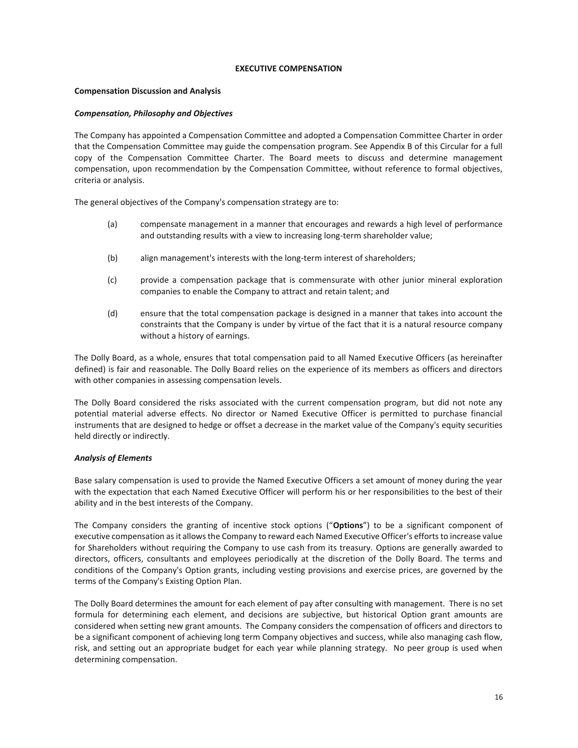## **EXECUTIVE COMPENSATION**

## **Compensation Discussion and Analysis**

## *Compensation, Philosophy and Objectives*

The Company has appointed a Compensation Committee and adopted a Compensation Committee Charter in order that the Compensation Committee may guide the compensation program. See Appendix B of this Circular for a full copy of the Compensation Committee Charter. The Board meets to discuss and determine management compensation, upon recommendation by the Compensation Committee, without reference to formal objectives, criteria or analysis.

The general objectives of the Company's compensation strategy are to:

- (a) compensate management in a manner that encourages and rewards a high level of performance and outstanding results with a view to increasing long-term shareholder value;
- (b) align management's interests with the long-term interest of shareholders;
- (c) provide a compensation package that is commensurate with other junior mineral exploration companies to enable the Company to attract and retain talent; and
- (d) ensure that the total compensation package is designed in a manner that takes into account the constraints that the Company is under by virtue of the fact that it is a natural resource company without a history of earnings.

The Dolly Board, as a whole, ensures that total compensation paid to all Named Executive Officers (as hereinafter defined) is fair and reasonable. The Dolly Board relies on the experience of its members as officers and directors with other companies in assessing compensation levels.

The Dolly Board considered the risks associated with the current compensation program, but did not note any potential material adverse effects. No director or Named Executive Officer is permitted to purchase financial instruments that are designed to hedge or offset a decrease in the market value of the Company's equity securities held directly or indirectly.

## *Analysis of Elements*

Base salary compensation is used to provide the Named Executive Officers a set amount of money during the year with the expectation that each Named Executive Officer will perform his or her responsibilities to the best of their ability and in the best interests of the Company.

The Company considers the granting of incentive stock options ("**Options**") to be a significant component of executive compensation as it allows the Company to reward each Named Executive Officer's efforts to increase value for Shareholders without requiring the Company to use cash from its treasury. Options are generally awarded to directors, officers, consultants and employees periodically at the discretion of the Dolly Board. The terms and conditions of the Company's Option grants, including vesting provisions and exercise prices, are governed by the terms of the Company's Existing Option Plan.

The Dolly Board determines the amount for each element of pay after consulting with management. There is no set formula for determining each element, and decisions are subjective, but historical Option grant amounts are considered when setting new grant amounts. The Company considers the compensation of officers and directors to be a significant component of achieving long term Company objectives and success, while also managing cash flow, risk, and setting out an appropriate budget for each year while planning strategy. No peer group is used when determining compensation.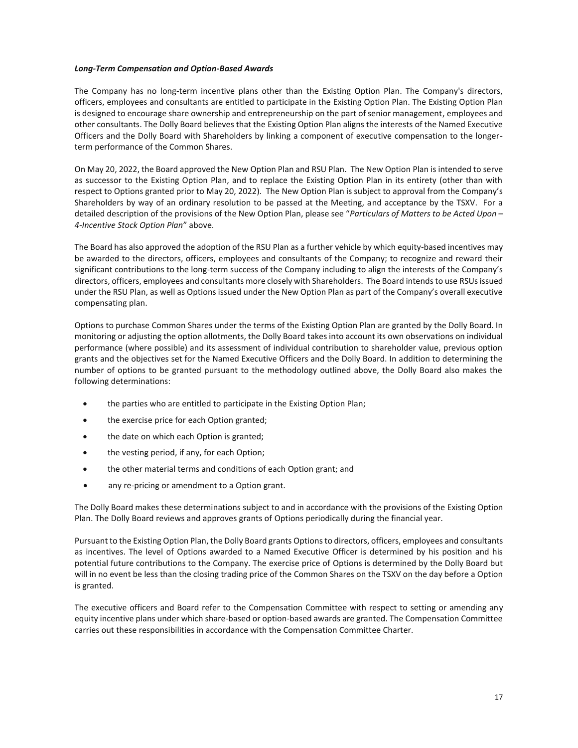#### *Long-Term Compensation and Option-Based Awards*

The Company has no long-term incentive plans other than the Existing Option Plan. The Company's directors, officers, employees and consultants are entitled to participate in the Existing Option Plan. The Existing Option Plan is designed to encourage share ownership and entrepreneurship on the part of senior management, employees and other consultants. The Dolly Board believes that the Existing Option Plan aligns the interests of the Named Executive Officers and the Dolly Board with Shareholders by linking a component of executive compensation to the longerterm performance of the Common Shares.

On May 20, 2022, the Board approved the New Option Plan and RSU Plan. The New Option Plan is intended to serve as successor to the Existing Option Plan, and to replace the Existing Option Plan in its entirety (other than with respect to Options granted prior to May 20, 2022). The New Option Plan is subject to approval from the Company's Shareholders by way of an ordinary resolution to be passed at the Meeting, and acceptance by the TSXV. For a detailed description of the provisions of the New Option Plan, please see "*Particulars of Matters to be Acted Upon – 4-Incentive Stock Option Plan*" above.

The Board has also approved the adoption of the RSU Plan as a further vehicle by which equity-based incentives may be awarded to the directors, officers, employees and consultants of the Company; to recognize and reward their significant contributions to the long-term success of the Company including to align the interests of the Company's directors, officers, employees and consultants more closely with Shareholders. The Board intends to use RSUs issued under the RSU Plan, as well as Options issued under the New Option Plan as part of the Company's overall executive compensating plan.

Options to purchase Common Shares under the terms of the Existing Option Plan are granted by the Dolly Board. In monitoring or adjusting the option allotments, the Dolly Board takes into account its own observations on individual performance (where possible) and its assessment of individual contribution to shareholder value, previous option grants and the objectives set for the Named Executive Officers and the Dolly Board. In addition to determining the number of options to be granted pursuant to the methodology outlined above, the Dolly Board also makes the following determinations:

- the parties who are entitled to participate in the Existing Option Plan;
- the exercise price for each Option granted;
- the date on which each Option is granted;
- the vesting period, if any, for each Option;
- the other material terms and conditions of each Option grant; and
- any re-pricing or amendment to a Option grant.

The Dolly Board makes these determinations subject to and in accordance with the provisions of the Existing Option Plan. The Dolly Board reviews and approves grants of Options periodically during the financial year.

Pursuant to the Existing Option Plan, the Dolly Board grants Options to directors, officers, employees and consultants as incentives. The level of Options awarded to a Named Executive Officer is determined by his position and his potential future contributions to the Company. The exercise price of Options is determined by the Dolly Board but will in no event be less than the closing trading price of the Common Shares on the TSXV on the day before a Option is granted.

The executive officers and Board refer to the Compensation Committee with respect to setting or amending any equity incentive plans under which share-based or option-based awards are granted. The Compensation Committee carries out these responsibilities in accordance with the Compensation Committee Charter.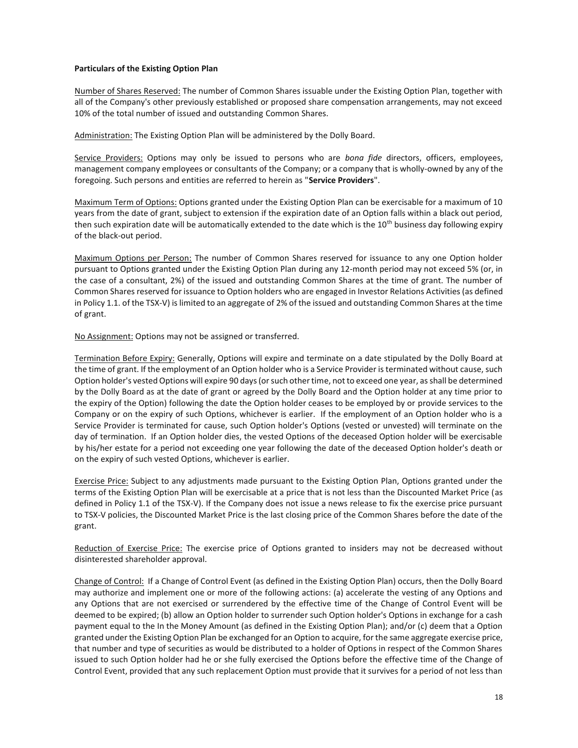#### **Particulars of the Existing Option Plan**

Number of Shares Reserved: The number of Common Shares issuable under the Existing Option Plan, together with all of the Company's other previously established or proposed share compensation arrangements, may not exceed 10% of the total number of issued and outstanding Common Shares.

Administration: The Existing Option Plan will be administered by the Dolly Board.

Service Providers: Options may only be issued to persons who are *bona fide* directors, officers, employees, management company employees or consultants of the Company; or a company that is wholly-owned by any of the foregoing. Such persons and entities are referred to herein as "**Service Providers**".

Maximum Term of Options: Options granted under the Existing Option Plan can be exercisable for a maximum of 10 years from the date of grant, subject to extension if the expiration date of an Option falls within a black out period, then such expiration date will be automatically extended to the date which is the 10<sup>th</sup> business day following expiry of the black-out period.

Maximum Options per Person: The number of Common Shares reserved for issuance to any one Option holder pursuant to Options granted under the Existing Option Plan during any 12-month period may not exceed 5% (or, in the case of a consultant, 2%) of the issued and outstanding Common Shares at the time of grant. The number of Common Shares reserved for issuance to Option holders who are engaged in Investor Relations Activities (as defined in Policy 1.1. of the TSX-V) is limited to an aggregate of 2% of the issued and outstanding Common Shares at the time of grant.

No Assignment: Options may not be assigned or transferred.

Termination Before Expiry: Generally, Options will expire and terminate on a date stipulated by the Dolly Board at the time of grant. If the employment of an Option holder who is a Service Provider is terminated without cause, such Option holder's vested Options will expire 90 days (or such other time, not to exceed one year, as shall be determined by the Dolly Board as at the date of grant or agreed by the Dolly Board and the Option holder at any time prior to the expiry of the Option) following the date the Option holder ceases to be employed by or provide services to the Company or on the expiry of such Options, whichever is earlier. If the employment of an Option holder who is a Service Provider is terminated for cause, such Option holder's Options (vested or unvested) will terminate on the day of termination. If an Option holder dies, the vested Options of the deceased Option holder will be exercisable by his/her estate for a period not exceeding one year following the date of the deceased Option holder's death or on the expiry of such vested Options, whichever is earlier.

Exercise Price: Subject to any adjustments made pursuant to the Existing Option Plan, Options granted under the terms of the Existing Option Plan will be exercisable at a price that is not less than the Discounted Market Price (as defined in Policy 1.1 of the TSX-V). If the Company does not issue a news release to fix the exercise price pursuant to TSX-V policies, the Discounted Market Price is the last closing price of the Common Shares before the date of the grant.

Reduction of Exercise Price: The exercise price of Options granted to insiders may not be decreased without disinterested shareholder approval.

Change of Control: If a Change of Control Event (as defined in the Existing Option Plan) occurs, then the Dolly Board may authorize and implement one or more of the following actions: (a) accelerate the vesting of any Options and any Options that are not exercised or surrendered by the effective time of the Change of Control Event will be deemed to be expired; (b) allow an Option holder to surrender such Option holder's Options in exchange for a cash payment equal to the In the Money Amount (as defined in the Existing Option Plan); and/or (c) deem that a Option granted under the Existing Option Plan be exchanged for an Option to acquire, for the same aggregate exercise price, that number and type of securities as would be distributed to a holder of Options in respect of the Common Shares issued to such Option holder had he or she fully exercised the Options before the effective time of the Change of Control Event, provided that any such replacement Option must provide that it survives for a period of not less than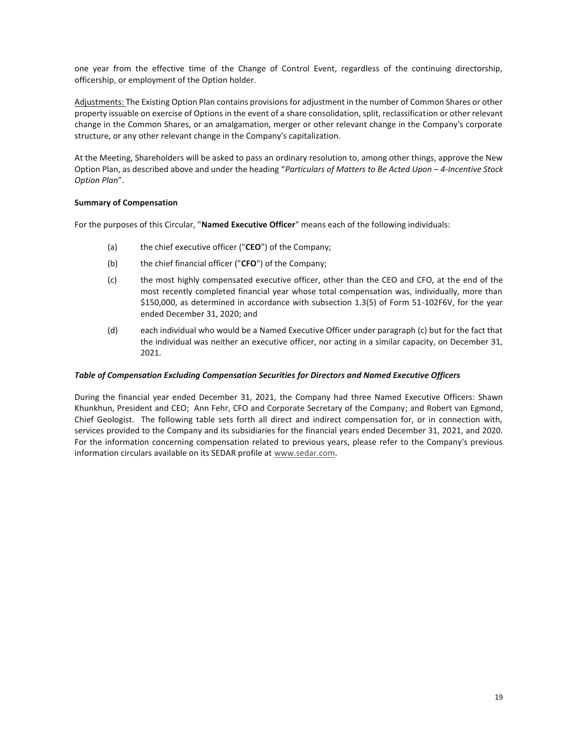one year from the effective time of the Change of Control Event, regardless of the continuing directorship, officership, or employment of the Option holder.

Adjustments: The Existing Option Plan contains provisions for adjustment in the number of Common Shares or other property issuable on exercise of Options in the event of a share consolidation, split, reclassification or other relevant change in the Common Shares, or an amalgamation, merger or other relevant change in the Company's corporate structure, or any other relevant change in the Company's capitalization.

At the Meeting, Shareholders will be asked to pass an ordinary resolution to, among other things, approve the New Option Plan, as described above and under the heading "*Particulars of Matters to Be Acted Upon – 4-Incentive Stock Option Plan*".

## **Summary of Compensation**

For the purposes of this Circular, "**Named Executive Officer**" means each of the following individuals:

- (a) the chief executive officer ("**CEO**") of the Company;
- (b) the chief financial officer ("**CFO**") of the Company;
- (c) the most highly compensated executive officer, other than the CEO and CFO, at the end of the most recently completed financial year whose total compensation was, individually, more than \$150,000, as determined in accordance with subsection 1.3(5) of Form 51-102F6V, for the year ended December 31, 2020; and
- (d) each individual who would be a Named Executive Officer under paragraph (c) but for the fact that the individual was neither an executive officer, nor acting in a similar capacity, on December 31, 2021.

## *Table of Compensation Excluding Compensation Securities for Directors and Named Executive Officers*

During the financial year ended December 31, 2021, the Company had three Named Executive Officers: Shawn Khunkhun, President and CEO; Ann Fehr, CFO and Corporate Secretary of the Company; and Robert van Egmond, Chief Geologist. The following table sets forth all direct and indirect compensation for, or in connection with, services provided to the Company and its subsidiaries for the financial years ended December 31, 2021, and 2020. For the information concerning compensation related to previous years, please refer to the Company's previous information circulars available on its SEDAR profile at www.sedar.com.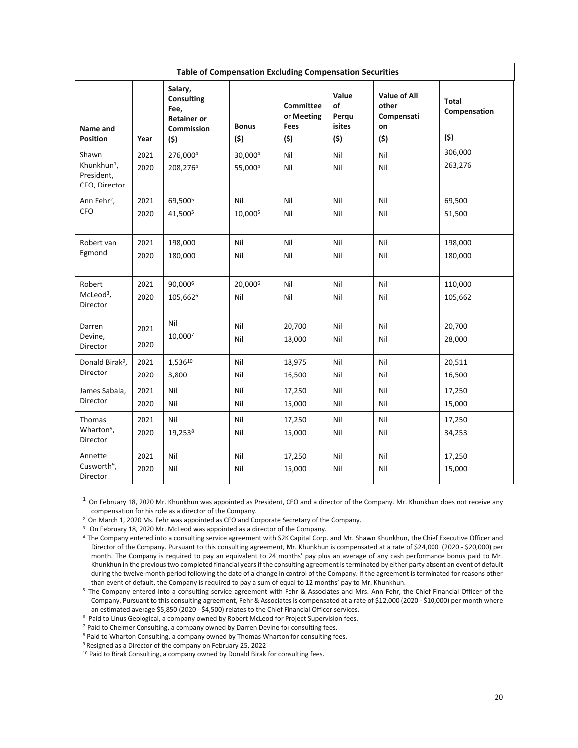| <b>Table of Compensation Excluding Compensation Securities</b>  |              |                                                                                 |                     |                                               |                                              |                                                         |                                     |
|-----------------------------------------------------------------|--------------|---------------------------------------------------------------------------------|---------------------|-----------------------------------------------|----------------------------------------------|---------------------------------------------------------|-------------------------------------|
| Name and<br><b>Position</b>                                     | Year         | Salary,<br><b>Consulting</b><br>Fee,<br><b>Retainer or</b><br>Commission<br>(5) | <b>Bonus</b><br>(5) | <b>Committee</b><br>or Meeting<br>Fees<br>(5) | Value<br>of<br>Perqu<br><b>isites</b><br>(5) | <b>Value of All</b><br>other<br>Compensati<br>on<br>(5) | <b>Total</b><br>Compensation<br>(5) |
| Shawn<br>Khunkhun <sup>1</sup> ,<br>President,<br>CEO, Director | 2021<br>2020 | 276,0004<br>208,2764                                                            | 30,0004<br>55,0004  | Nil<br>Nil                                    | Nil<br>Nil                                   | Nil<br>Nil                                              | 306,000<br>263,276                  |
| Ann Fehr <sup>2</sup> ,<br><b>CFO</b>                           | 2021<br>2020 | 69,500 <sup>5</sup><br>41,500 <sup>5</sup>                                      | Nil<br>10,0005      | Nil<br>Nil                                    | Nil<br>Nil                                   | Nil<br>Nil                                              | 69,500<br>51,500                    |
| Robert van<br>Egmond                                            | 2021<br>2020 | 198,000<br>180,000                                                              | Nil<br>Nil          | Nil<br>Nil                                    | Nil<br>Nil                                   | Nil<br>Nil                                              | 198,000<br>180,000                  |
| Robert<br>McLeod <sup>3</sup> ,<br>Director                     | 2021<br>2020 | 90,0006<br>105,662 <sup>6</sup>                                                 | 20,0006<br>Nil      | Nil<br>Nil                                    | Nil<br>Nil                                   | Nil<br>Nil                                              | 110,000<br>105,662                  |
| Darren<br>Devine,<br>Director                                   | 2021<br>2020 | Nil<br>10.0007                                                                  | Nil<br>Nil          | 20,700<br>18,000                              | Nil<br>Nil                                   | Nil<br>Nil                                              | 20,700<br>28,000                    |
| Donald Birak <sup>9</sup> ,<br>Director                         | 2021<br>2020 | 1,53610<br>3,800                                                                | Nil<br>Nil          | 18,975<br>16,500                              | Nil<br>Nil                                   | Nil<br>Nil                                              | 20,511<br>16,500                    |
| James Sabala,<br>Director                                       | 2021<br>2020 | Nil<br>Nil                                                                      | Nil<br>Nil          | 17,250<br>15,000                              | Nil<br>Nil                                   | Nil<br>Nil                                              | 17,250<br>15,000                    |
| Thomas<br>Wharton <sup>9</sup> ,<br>Director                    | 2021<br>2020 | Nil<br>19,2538                                                                  | Nil<br>Nil          | 17,250<br>15,000                              | Nil<br>Nil                                   | Nil<br>Nil                                              | 17,250<br>34,253                    |
| Annette<br>Cusworth <sup>9</sup> ,<br>Director                  | 2021<br>2020 | Nil<br>Nil                                                                      | Nil<br>Nil          | 17,250<br>15,000                              | Nil<br>Nil                                   | Nil<br>Nil                                              | 17,250<br>15,000                    |

 $1$  On February 18, 2020 Mr. Khunkhun was appointed as President, CEO and a director of the Company. Mr. Khunkhun does not receive any compensation for his role as a director of the Company. 2. On March 1, 2020 Ms. Fehr was appointed as CFO and Corporate Secretary of the Company.

 $3.$  On February 18, 2020 Mr. McLeod was appointed as a director of the Company.

4 The Company entered into a consulting service agreement with S2K Capital Corp. and Mr. Shawn Khunkhun, the Chief Executive Officer and Director of the Company. Pursuant to this consulting agreement, Mr. Khunkhun is compensated at a rate of \$24,000 (2020 - \$20,000) per month. The Company is required to pay an equivalent to 24 months' pay plus an average of any cash performance bonus paid to Mr. Khunkhun in the previous two completed financial years if the consulting agreement is terminated by either party absent an event of default during the twelve-month period following the date of a change in control of the Company. If the agreement is terminated for reasons other<br>than event of default, the Company is required to pay a sum of equal to 12 months' p

<sup>5</sup> The Company entered into a consulting service agreement with Fehr & Associates and Mrs. Ann Fehr, the Chief Financial Officer of the Company. Pursuant to this consulting agreement, Fehr & Associates is compensated at a rate of \$12,000 (2020 - \$10,000) per month where an estimated average \$5,850 (2020 - \$4,500) relates to the Chief Financial Officer serv

<sup>6</sup> Paid to Linus Geological, a company owned by Robert McLeod for Project Supervision fees.<br><sup>7</sup> Paid to Chelmer Consulting, a company owned by Darren Devine for consulting fees.<br><sup>8</sup> Paid to Wharton Consulting, a company

9 Resigned as a Director of the company on February 25, 2022

<sup>10</sup> Paid to Birak Consulting, a company owned by Donald Birak for consulting fees.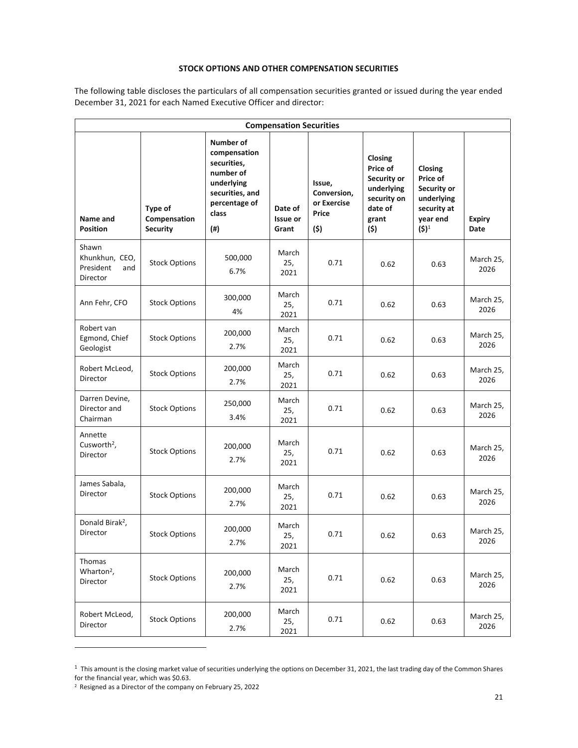# **STOCK OPTIONS AND OTHER COMPENSATION SECURITIES**

The following table discloses the particulars of all compensation securities granted or issued during the year ended December 31, 2021 for each Named Executive Officer and director:

| <b>Compensation Securities</b>                          |                                            |                                                                                                                         |                                     |                                                      |                                                                                            |                                                                                        |                       |
|---------------------------------------------------------|--------------------------------------------|-------------------------------------------------------------------------------------------------------------------------|-------------------------------------|------------------------------------------------------|--------------------------------------------------------------------------------------------|----------------------------------------------------------------------------------------|-----------------------|
| Name and<br><b>Position</b>                             | Type of<br>Compensation<br><b>Security</b> | Number of<br>compensation<br>securities,<br>number of<br>underlying<br>securities, and<br>percentage of<br>class<br>(#) | Date of<br><b>Issue or</b><br>Grant | Issue,<br>Conversion,<br>or Exercise<br>Price<br>(5) | Closing<br>Price of<br>Security or<br>underlying<br>security on<br>date of<br>grant<br>(5) | Closing<br>Price of<br>Security or<br>underlying<br>security at<br>year end<br>$(5)^1$ | <b>Expiry</b><br>Date |
| Shawn<br>Khunkhun, CEO,<br>President<br>and<br>Director | <b>Stock Options</b>                       | 500,000<br>6.7%                                                                                                         | March<br>25,<br>2021                | 0.71                                                 | 0.62                                                                                       | 0.63                                                                                   | March 25,<br>2026     |
| Ann Fehr, CFO                                           | <b>Stock Options</b>                       | 300,000<br>4%                                                                                                           | March<br>25,<br>2021                | 0.71                                                 | 0.62                                                                                       | 0.63                                                                                   | March 25,<br>2026     |
| Robert van<br>Egmond, Chief<br>Geologist                | <b>Stock Options</b>                       | 200,000<br>2.7%                                                                                                         | March<br>25,<br>2021                | 0.71                                                 | 0.62                                                                                       | 0.63                                                                                   | March 25,<br>2026     |
| Robert McLeod,<br>Director                              | <b>Stock Options</b>                       | 200,000<br>2.7%                                                                                                         | March<br>25,<br>2021                | 0.71                                                 | 0.62                                                                                       | 0.63                                                                                   | March 25,<br>2026     |
| Darren Devine,<br>Director and<br>Chairman              | <b>Stock Options</b>                       | 250,000<br>3.4%                                                                                                         | March<br>25,<br>2021                | 0.71                                                 | 0.62                                                                                       | 0.63                                                                                   | March 25,<br>2026     |
| Annette<br>Cusworth <sup>2</sup> ,<br>Director          | <b>Stock Options</b>                       | 200,000<br>2.7%                                                                                                         | March<br>25,<br>2021                | 0.71                                                 | 0.62                                                                                       | 0.63                                                                                   | March 25,<br>2026     |
| James Sabala,<br>Director                               | <b>Stock Options</b>                       | 200,000<br>2.7%                                                                                                         | March<br>25,<br>2021                | 0.71                                                 | 0.62                                                                                       | 0.63                                                                                   | March 25,<br>2026     |
| Donald Birak <sup>2</sup> ,<br>Director                 | <b>Stock Options</b>                       | 200,000<br>2.7%                                                                                                         | March<br>25,<br>2021                | 0.71                                                 | 0.62                                                                                       | 0.63                                                                                   | March 25,<br>2026     |
| Thomas<br>Wharton <sup>2</sup> ,<br>Director            | <b>Stock Options</b>                       | 200,000<br>2.7%                                                                                                         | March<br>25,<br>2021                | 0.71                                                 | 0.62                                                                                       | 0.63                                                                                   | March 25,<br>2026     |
| Robert McLeod,<br>Director                              | <b>Stock Options</b>                       | 200,000<br>2.7%                                                                                                         | March<br>25,<br>2021                | 0.71                                                 | 0.62                                                                                       | 0.63                                                                                   | March 25,<br>2026     |

 $1$  This amount is the closing market value of securities underlying the options on December 31, 2021, the last trading day of the Common Shares for the financial year, which was \$0.63.

<sup>2</sup> Resigned as a Director of the company on February 25, 2022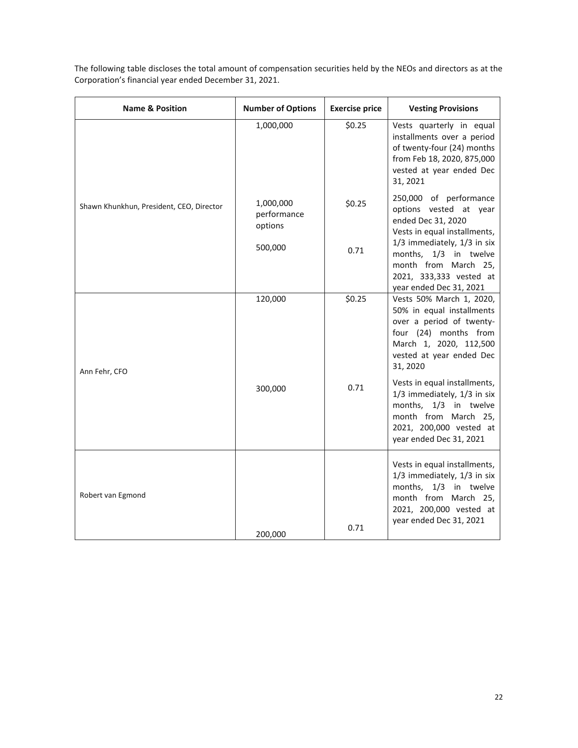| <b>Name &amp; Position</b>               | <b>Number of Options</b>            | <b>Exercise price</b> | <b>Vesting Provisions</b>                                                                                                                                                    |
|------------------------------------------|-------------------------------------|-----------------------|------------------------------------------------------------------------------------------------------------------------------------------------------------------------------|
|                                          | 1,000,000                           | \$0.25                | Vests quarterly in equal<br>installments over a period<br>of twenty-four (24) months<br>from Feb 18, 2020, 875,000<br>vested at year ended Dec<br>31, 2021                   |
| Shawn Khunkhun, President, CEO, Director | 1,000,000<br>performance<br>options | \$0.25                | 250,000 of performance<br>options vested at year<br>ended Dec 31, 2020<br>Vests in equal installments,                                                                       |
|                                          | 500,000                             | 0.71                  | 1/3 immediately, 1/3 in six<br>months, 1/3 in twelve<br>month from March 25,<br>2021, 333,333 vested at<br>year ended Dec 31, 2021                                           |
| Ann Fehr, CFO                            | 120,000                             | \$0.25                | Vests 50% March 1, 2020,<br>50% in equal installments<br>over a period of twenty-<br>four (24) months from<br>March 1, 2020, 112,500<br>vested at year ended Dec<br>31, 2020 |
|                                          | 300,000                             | 0.71                  | Vests in equal installments,<br>1/3 immediately, 1/3 in six<br>months, 1/3 in twelve<br>month from March 25,<br>2021, 200,000 vested at<br>year ended Dec 31, 2021           |
| Robert van Egmond                        | 200,000                             | 0.71                  | Vests in equal installments,<br>1/3 immediately, 1/3 in six<br>months, 1/3 in twelve<br>month from March 25,<br>2021, 200,000 vested at<br>year ended Dec 31, 2021           |

The following table discloses the total amount of compensation securities held by the NEOs and directors as at the Corporation's financial year ended December 31, 2021.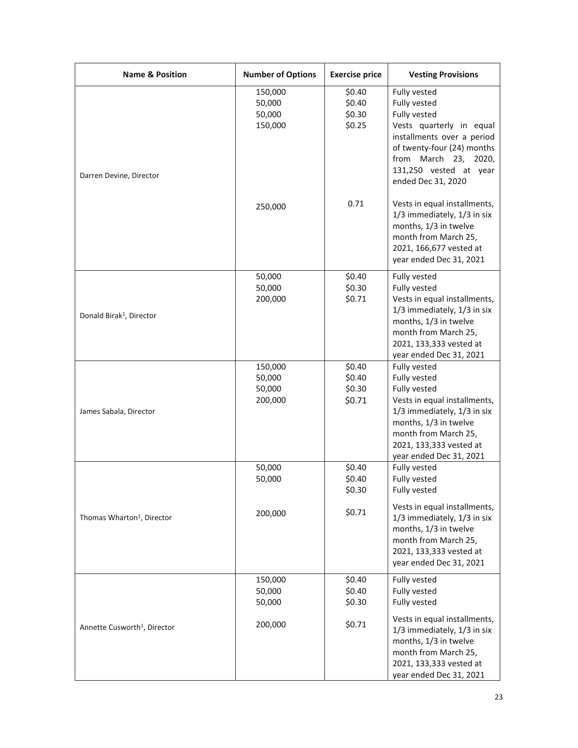| <b>Name &amp; Position</b>               | <b>Number of Options</b>               | <b>Exercise price</b>                | <b>Vesting Provisions</b>                                                                                                                                                                                          |
|------------------------------------------|----------------------------------------|--------------------------------------|--------------------------------------------------------------------------------------------------------------------------------------------------------------------------------------------------------------------|
| Darren Devine, Director                  | 150,000<br>50,000<br>50,000<br>150,000 | \$0.40<br>\$0.40<br>\$0.30<br>\$0.25 | Fully vested<br>Fully vested<br>Fully vested<br>Vests quarterly in equal<br>installments over a period<br>of twenty-four (24) months<br>from March 23, 2020,<br>131,250 vested at year<br>ended Dec 31, 2020       |
|                                          | 250,000                                | 0.71                                 | Vests in equal installments,<br>1/3 immediately, 1/3 in six<br>months, 1/3 in twelve<br>month from March 25,<br>2021, 166,677 vested at<br>year ended Dec 31, 2021                                                 |
| Donald Birak <sup>1</sup> , Director     | 50,000<br>50,000<br>200,000            | \$0.40<br>\$0.30<br>\$0.71           | Fully vested<br>Fully vested<br>Vests in equal installments,<br>1/3 immediately, 1/3 in six<br>months, 1/3 in twelve<br>month from March 25,<br>2021, 133,333 vested at<br>year ended Dec 31, 2021                 |
| James Sabala, Director                   | 150,000<br>50,000<br>50,000<br>200,000 | \$0.40<br>\$0.40<br>\$0.30<br>\$0.71 | Fully vested<br>Fully vested<br>Fully vested<br>Vests in equal installments,<br>1/3 immediately, 1/3 in six<br>months, 1/3 in twelve<br>month from March 25,<br>2021, 133,333 vested at<br>year ended Dec 31, 2021 |
|                                          | 50,000<br>50,000                       | \$0.40<br>\$0.40<br>\$0.30           | Fully vested<br>Fully vested<br>Fully vested                                                                                                                                                                       |
| Thomas Wharton <sup>1</sup> , Director   | 200,000                                | \$0.71                               | Vests in equal installments,<br>1/3 immediately, 1/3 in six<br>months, 1/3 in twelve<br>month from March 25,<br>2021, 133,333 vested at<br>year ended Dec 31, 2021                                                 |
|                                          | 150,000<br>50,000<br>50,000            | \$0.40<br>\$0.40<br>\$0.30           | Fully vested<br>Fully vested<br>Fully vested                                                                                                                                                                       |
| Annette Cusworth <sup>1</sup> , Director | 200,000                                | \$0.71                               | Vests in equal installments,<br>1/3 immediately, 1/3 in six<br>months, 1/3 in twelve<br>month from March 25,<br>2021, 133,333 vested at<br>year ended Dec 31, 2021                                                 |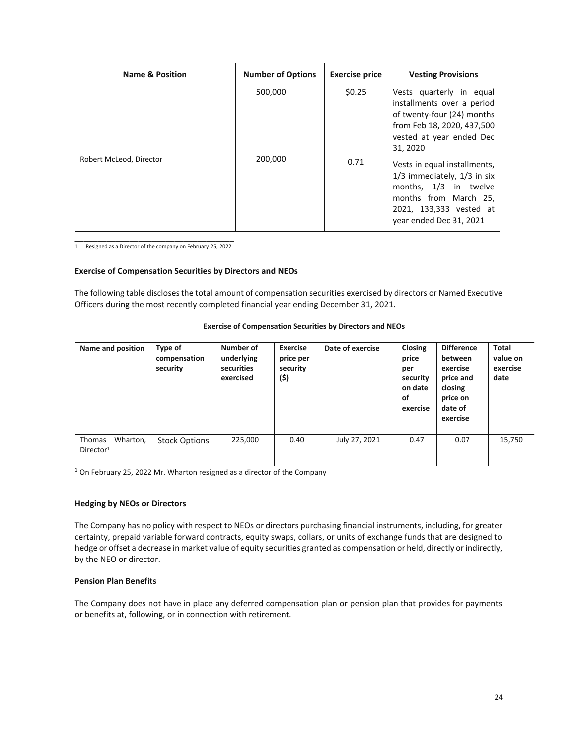| <b>Name &amp; Position</b> | <b>Number of Options</b> | <b>Exercise price</b> | <b>Vesting Provisions</b>                                                                                                                                               |
|----------------------------|--------------------------|-----------------------|-------------------------------------------------------------------------------------------------------------------------------------------------------------------------|
|                            | 500,000                  | \$0.25                | Vests quarterly in equal<br>installments over a period<br>of twenty-four (24) months<br>from Feb 18, 2020, 437,500<br>vested at year ended Dec<br>31, 2020              |
| Robert McLeod, Director    | 200,000                  | 0.71                  | Vests in equal installments,<br>$1/3$ immediately, $1/3$ in six<br>months, 1/3 in twelve<br>months from March 25,<br>2021, 133,333 vested at<br>year ended Dec 31, 2021 |

\_\_\_\_\_\_\_\_\_\_\_\_\_\_\_\_\_\_\_\_\_\_\_\_\_\_\_\_\_\_\_\_\_\_\_ 1 Resigned as a Director of the company on February 25, 2022

#### **Exercise of Compensation Securities by Directors and NEOs**

The following table discloses the total amount of compensation securities exercised by directors or Named Executive Officers during the most recently completed financial year ending December 31, 2021.

|                                                    | <b>Exercise of Compensation Securities by Directors and NEOs</b> |                                                    |                                                  |                  |                                                                         |                                                                                                     |                                              |
|----------------------------------------------------|------------------------------------------------------------------|----------------------------------------------------|--------------------------------------------------|------------------|-------------------------------------------------------------------------|-----------------------------------------------------------------------------------------------------|----------------------------------------------|
| Name and position                                  | Type of<br>compensation<br>security                              | Number of<br>underlying<br>securities<br>exercised | <b>Exercise</b><br>price per<br>security<br>(\$) | Date of exercise | <b>Closing</b><br>price<br>per<br>security<br>on date<br>οf<br>exercise | <b>Difference</b><br>between<br>exercise<br>price and<br>closing<br>price on<br>date of<br>exercise | <b>Total</b><br>value on<br>exercise<br>date |
| Wharton,<br><b>Thomas</b><br>Director <sup>1</sup> | <b>Stock Options</b>                                             | 225,000                                            | 0.40                                             | July 27, 2021    | 0.47                                                                    | 0.07                                                                                                | 15,750                                       |

 $<sup>1</sup>$  On February 25, 2022 Mr. Wharton resigned as a director of the Company</sup>

#### **Hedging by NEOs or Directors**

The Company has no policy with respect to NEOs or directors purchasing financial instruments, including, for greater certainty, prepaid variable forward contracts, equity swaps, collars, or units of exchange funds that are designed to hedge or offset a decrease in market value of equity securities granted as compensation or held, directly or indirectly, by the NEO or director.

## **Pension Plan Benefits**

The Company does not have in place any deferred compensation plan or pension plan that provides for payments or benefits at, following, or in connection with retirement.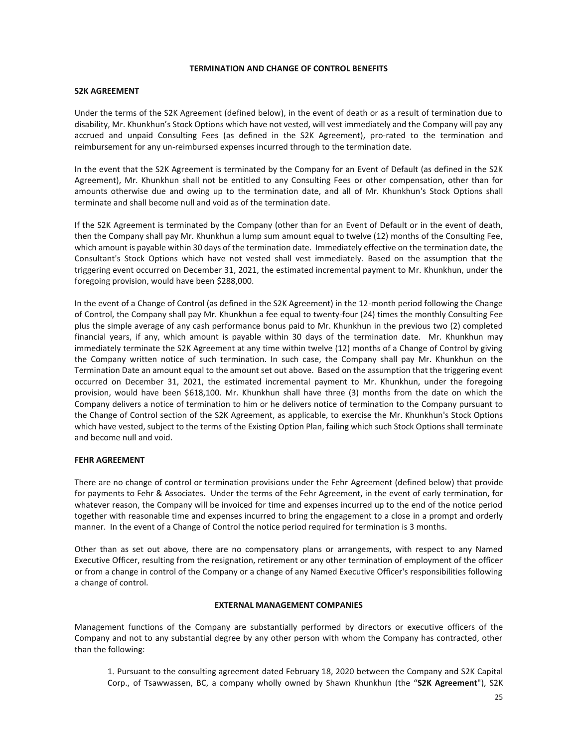#### **TERMINATION AND CHANGE OF CONTROL BENEFITS**

#### **S2K AGREEMENT**

Under the terms of the S2K Agreement (defined below), in the event of death or as a result of termination due to disability, Mr. Khunkhun's Stock Options which have not vested, will vest immediately and the Company will pay any accrued and unpaid Consulting Fees (as defined in the S2K Agreement), pro-rated to the termination and reimbursement for any un-reimbursed expenses incurred through to the termination date.

In the event that the S2K Agreement is terminated by the Company for an Event of Default (as defined in the S2K Agreement), Mr. Khunkhun shall not be entitled to any Consulting Fees or other compensation, other than for amounts otherwise due and owing up to the termination date, and all of Mr. Khunkhun's Stock Options shall terminate and shall become null and void as of the termination date.

If the S2K Agreement is terminated by the Company (other than for an Event of Default or in the event of death, then the Company shall pay Mr. Khunkhun a lump sum amount equal to twelve (12) months of the Consulting Fee, which amount is payable within 30 days of the termination date. Immediately effective on the termination date, the Consultant's Stock Options which have not vested shall vest immediately. Based on the assumption that the triggering event occurred on December 31, 2021, the estimated incremental payment to Mr. Khunkhun, under the foregoing provision, would have been \$288,000.

In the event of a Change of Control (as defined in the S2K Agreement) in the 12-month period following the Change of Control, the Company shall pay Mr. Khunkhun a fee equal to twenty-four (24) times the monthly Consulting Fee plus the simple average of any cash performance bonus paid to Mr. Khunkhun in the previous two (2) completed financial years, if any, which amount is payable within 30 days of the termination date. Mr. Khunkhun may immediately terminate the S2K Agreement at any time within twelve (12) months of a Change of Control by giving the Company written notice of such termination. In such case, the Company shall pay Mr. Khunkhun on the Termination Date an amount equal to the amount set out above. Based on the assumption that the triggering event occurred on December 31, 2021, the estimated incremental payment to Mr. Khunkhun, under the foregoing provision, would have been \$618,100. Mr. Khunkhun shall have three (3) months from the date on which the Company delivers a notice of termination to him or he delivers notice of termination to the Company pursuant to the Change of Control section of the S2K Agreement, as applicable, to exercise the Mr. Khunkhun's Stock Options which have vested, subject to the terms of the Existing Option Plan, failing which such Stock Options shall terminate and become null and void.

## **FEHR AGREEMENT**

There are no change of control or termination provisions under the Fehr Agreement (defined below) that provide for payments to Fehr & Associates. Under the terms of the Fehr Agreement, in the event of early termination, for whatever reason, the Company will be invoiced for time and expenses incurred up to the end of the notice period together with reasonable time and expenses incurred to bring the engagement to a close in a prompt and orderly manner. In the event of a Change of Control the notice period required for termination is 3 months.

Other than as set out above, there are no compensatory plans or arrangements, with respect to any Named Executive Officer, resulting from the resignation, retirement or any other termination of employment of the officer or from a change in control of the Company or a change of any Named Executive Officer's responsibilities following a change of control.

## **EXTERNAL MANAGEMENT COMPANIES**

Management functions of the Company are substantially performed by directors or executive officers of the Company and not to any substantial degree by any other person with whom the Company has contracted, other than the following:

1. Pursuant to the consulting agreement dated February 18, 2020 between the Company and S2K Capital Corp., of Tsawwassen, BC, a company wholly owned by Shawn Khunkhun (the "**S2K Agreement**"), S2K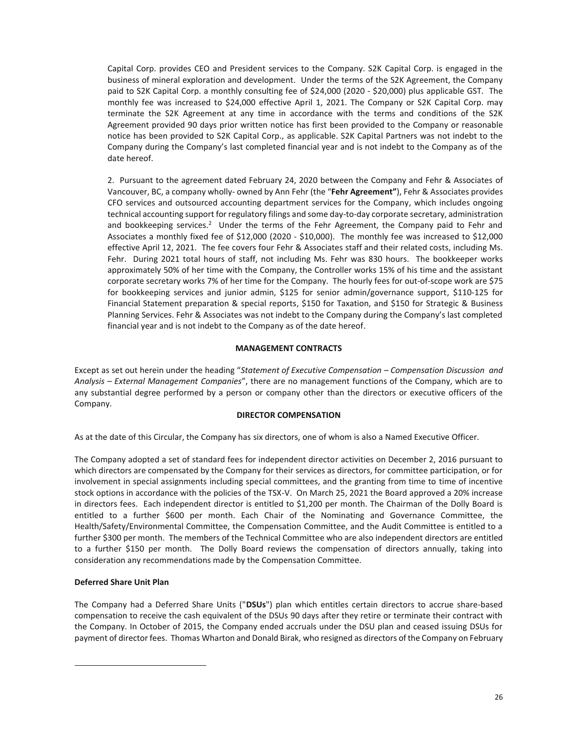Capital Corp. provides CEO and President services to the Company. S2K Capital Corp. is engaged in the business of mineral exploration and development. Under the terms of the S2K Agreement, the Company paid to S2K Capital Corp. a monthly consulting fee of \$24,000 (2020 - \$20,000) plus applicable GST. The monthly fee was increased to \$24,000 effective April 1, 2021. The Company or S2K Capital Corp. may terminate the S2K Agreement at any time in accordance with the terms and conditions of the S2K Agreement provided 90 days prior written notice has first been provided to the Company or reasonable notice has been provided to S2K Capital Corp., as applicable. S2K Capital Partners was not indebt to the Company during the Company's last completed financial year and is not indebt to the Company as of the date hereof.

2. Pursuant to the agreement dated February 24, 2020 between the Company and Fehr & Associates of Vancouver, BC, a company wholly- owned by Ann Fehr (the "**Fehr Agreement"**), Fehr & Associates provides CFO services and outsourced accounting department services for the Company, which includes ongoing technical accounting support for regulatory filings and some day-to-day corporate secretary, administration and bookkeeping services.<sup>2</sup> Under the terms of the Fehr Agreement, the Company paid to Fehr and Associates a monthly fixed fee of \$12,000 (2020 - \$10,000). The monthly fee was increased to \$12,000 effective April 12, 2021. The fee covers four Fehr & Associates staff and their related costs, including Ms. Fehr. During 2021 total hours of staff, not including Ms. Fehr was 830 hours. The bookkeeper works approximately 50% of her time with the Company, the Controller works 15% of his time and the assistant corporate secretary works 7% of her time for the Company. The hourly fees for out-of-scope work are \$75 for bookkeeping services and junior admin, \$125 for senior admin/governance support, \$110-125 for Financial Statement preparation & special reports, \$150 for Taxation, and \$150 for Strategic & Business Planning Services. Fehr & Associates was not indebt to the Company during the Company's last completed financial year and is not indebt to the Company as of the date hereof.

## **MANAGEMENT CONTRACTS**

Except as set out herein under the heading "*Statement of Executive Compensation – Compensation Discussion and Analysis – External Management Companies*", there are no management functions of the Company, which are to any substantial degree performed by a person or company other than the directors or executive officers of the Company.

## **DIRECTOR COMPENSATION**

As at the date of this Circular, the Company has six directors, one of whom is also a Named Executive Officer.

The Company adopted a set of standard fees for independent director activities on December 2, 2016 pursuant to which directors are compensated by the Company for their services as directors, for committee participation, or for involvement in special assignments including special committees, and the granting from time to time of incentive stock options in accordance with the policies of the TSX-V. On March 25, 2021 the Board approved a 20% increase in directors fees. Each independent director is entitled to \$1,200 per month. The Chairman of the Dolly Board is entitled to a further \$600 per month. Each Chair of the Nominating and Governance Committee, the Health/Safety/Environmental Committee, the Compensation Committee, and the Audit Committee is entitled to a further \$300 per month. The members of the Technical Committee who are also independent directors are entitled to a further \$150 per month. The Dolly Board reviews the compensation of directors annually, taking into consideration any recommendations made by the Compensation Committee.

## **Deferred Share Unit Plan**

The Company had a Deferred Share Units ("**DSUs**") plan which entitles certain directors to accrue share-based compensation to receive the cash equivalent of the DSUs 90 days after they retire or terminate their contract with the Company. In October of 2015, the Company ended accruals under the DSU plan and ceased issuing DSUs for payment of director fees. Thomas Wharton and Donald Birak, who resigned as directors of the Company on February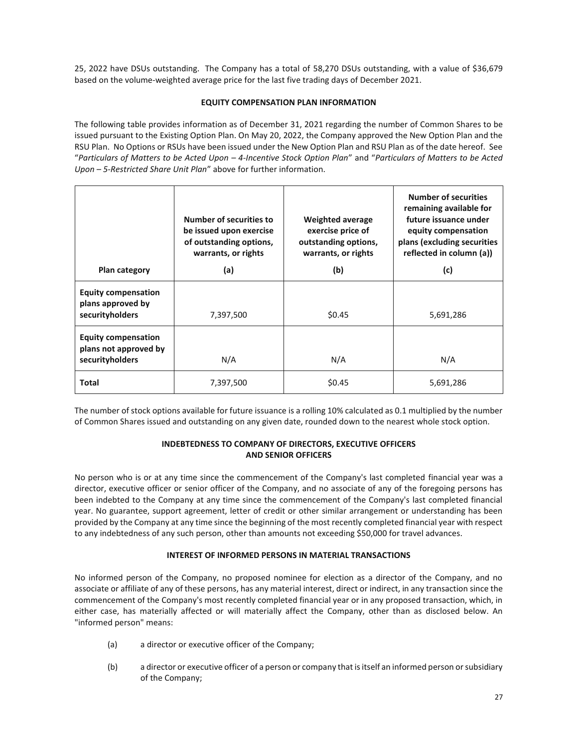25, 2022 have DSUs outstanding. The Company has a total of 58,270 DSUs outstanding, with a value of \$36,679 based on the volume-weighted average price for the last five trading days of December 2021.

## **EQUITY COMPENSATION PLAN INFORMATION**

The following table provides information as of December 31, 2021 regarding the number of Common Shares to be issued pursuant to the Existing Option Plan. On May 20, 2022, the Company approved the New Option Plan and the RSU Plan. No Options or RSUs have been issued under the New Option Plan and RSU Plan as of the date hereof. See "*Particulars of Matters to be Acted Upon – 4-Incentive Stock Option Plan*" and "*Particulars of Matters to be Acted Upon – 5-Restricted Share Unit Plan*" above for further information.

| Plan category                                                          | <b>Number of securities to</b><br>be issued upon exercise<br>of outstanding options,<br>warrants, or rights<br>(a) | <b>Weighted average</b><br>exercise price of<br>outstanding options,<br>warrants, or rights<br>(b) | <b>Number of securities</b><br>remaining available for<br>future issuance under<br>equity compensation<br>plans (excluding securities<br>reflected in column (a))<br>(c) |
|------------------------------------------------------------------------|--------------------------------------------------------------------------------------------------------------------|----------------------------------------------------------------------------------------------------|--------------------------------------------------------------------------------------------------------------------------------------------------------------------------|
| <b>Equity compensation</b><br>plans approved by<br>securityholders     | 7,397,500                                                                                                          | \$0.45                                                                                             | 5,691,286                                                                                                                                                                |
| <b>Equity compensation</b><br>plans not approved by<br>securityholders | N/A                                                                                                                | N/A                                                                                                | N/A                                                                                                                                                                      |
| <b>Total</b>                                                           | 7,397,500                                                                                                          | \$0.45                                                                                             | 5,691,286                                                                                                                                                                |

The number of stock options available for future issuance is a rolling 10% calculated as 0.1 multiplied by the number of Common Shares issued and outstanding on any given date, rounded down to the nearest whole stock option.

# **INDEBTEDNESS TO COMPANY OF DIRECTORS, EXECUTIVE OFFICERS AND SENIOR OFFICERS**

No person who is or at any time since the commencement of the Company's last completed financial year was a director, executive officer or senior officer of the Company, and no associate of any of the foregoing persons has been indebted to the Company at any time since the commencement of the Company's last completed financial year. No guarantee, support agreement, letter of credit or other similar arrangement or understanding has been provided by the Company at any time since the beginning of the most recently completed financial year with respect to any indebtedness of any such person, other than amounts not exceeding \$50,000 for travel advances.

# **INTEREST OF INFORMED PERSONS IN MATERIAL TRANSACTIONS**

No informed person of the Company, no proposed nominee for election as a director of the Company, and no associate or affiliate of any of these persons, has any material interest, direct or indirect, in any transaction since the commencement of the Company's most recently completed financial year or in any proposed transaction, which, in either case, has materially affected or will materially affect the Company, other than as disclosed below. An "informed person" means:

- (a) a director or executive officer of the Company;
- (b) a director or executive officer of a person or company that is itself an informed person or subsidiary of the Company;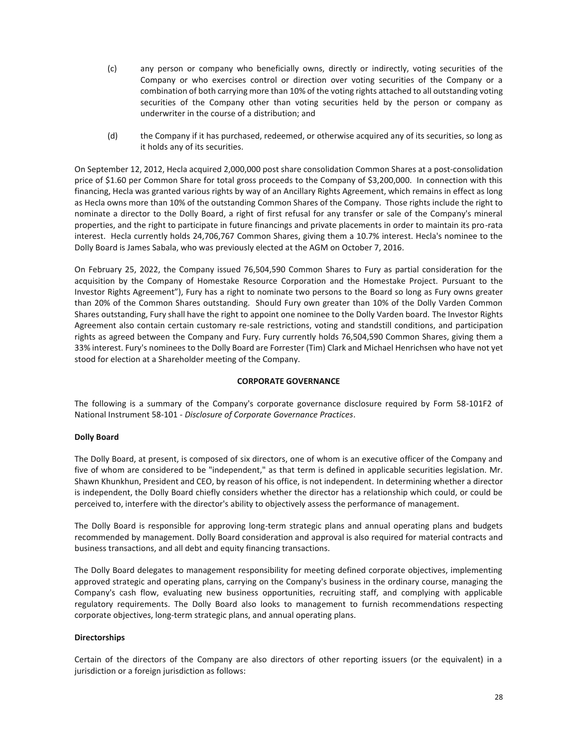- (c) any person or company who beneficially owns, directly or indirectly, voting securities of the Company or who exercises control or direction over voting securities of the Company or a combination of both carrying more than 10% of the voting rights attached to all outstanding voting securities of the Company other than voting securities held by the person or company as underwriter in the course of a distribution; and
- (d) the Company if it has purchased, redeemed, or otherwise acquired any of its securities, so long as it holds any of its securities.

On September 12, 2012, Hecla acquired 2,000,000 post share consolidation Common Shares at a post-consolidation price of \$1.60 per Common Share for total gross proceeds to the Company of \$3,200,000. In connection with this financing, Hecla was granted various rights by way of an Ancillary Rights Agreement, which remains in effect as long as Hecla owns more than 10% of the outstanding Common Shares of the Company. Those rights include the right to nominate a director to the Dolly Board, a right of first refusal for any transfer or sale of the Company's mineral properties, and the right to participate in future financings and private placements in order to maintain its pro-rata interest. Hecla currently holds 24,706,767 Common Shares, giving them a 10.7% interest. Hecla's nominee to the Dolly Board is James Sabala, who was previously elected at the AGM on October 7, 2016.

On February 25, 2022, the Company issued 76,504,590 Common Shares to Fury as partial consideration for the acquisition by the Company of Homestake Resource Corporation and the Homestake Project. Pursuant to the Investor Rights Agreement"), Fury has a right to nominate two persons to the Board so long as Fury owns greater than 20% of the Common Shares outstanding. Should Fury own greater than 10% of the Dolly Varden Common Shares outstanding, Fury shall have the right to appoint one nominee to the Dolly Varden board. The Investor Rights Agreement also contain certain customary re-sale restrictions, voting and standstill conditions, and participation rights as agreed between the Company and Fury. Fury currently holds 76,504,590 Common Shares, giving them a 33% interest. Fury's nominees to the Dolly Board are Forrester (Tim) Clark and Michael Henrichsen who have not yet stood for election at a Shareholder meeting of the Company.

## **CORPORATE GOVERNANCE**

The following is a summary of the Company's corporate governance disclosure required by Form 58-101F2 of National Instrument 58-101 - *Disclosure of Corporate Governance Practices*.

## **Dolly Board**

The Dolly Board, at present, is composed of six directors, one of whom is an executive officer of the Company and five of whom are considered to be "independent," as that term is defined in applicable securities legislation. Mr. Shawn Khunkhun, President and CEO, by reason of his office, is not independent. In determining whether a director is independent, the Dolly Board chiefly considers whether the director has a relationship which could, or could be perceived to, interfere with the director's ability to objectively assess the performance of management.

The Dolly Board is responsible for approving long-term strategic plans and annual operating plans and budgets recommended by management. Dolly Board consideration and approval is also required for material contracts and business transactions, and all debt and equity financing transactions.

The Dolly Board delegates to management responsibility for meeting defined corporate objectives, implementing approved strategic and operating plans, carrying on the Company's business in the ordinary course, managing the Company's cash flow, evaluating new business opportunities, recruiting staff, and complying with applicable regulatory requirements. The Dolly Board also looks to management to furnish recommendations respecting corporate objectives, long-term strategic plans, and annual operating plans.

## **Directorships**

Certain of the directors of the Company are also directors of other reporting issuers (or the equivalent) in a jurisdiction or a foreign jurisdiction as follows: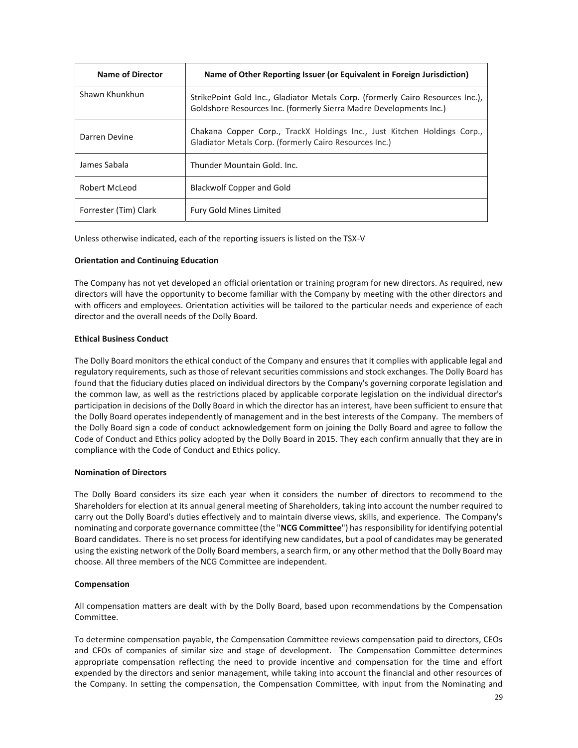| <b>Name of Director</b> | Name of Other Reporting Issuer (or Equivalent in Foreign Jurisdiction)                                                                               |
|-------------------------|------------------------------------------------------------------------------------------------------------------------------------------------------|
| Shawn Khunkhun          | StrikePoint Gold Inc., Gladiator Metals Corp. (formerly Cairo Resources Inc.),<br>Goldshore Resources Inc. (formerly Sierra Madre Developments Inc.) |
| Darren Devine           | Chakana Copper Corp., TrackX Holdings Inc., Just Kitchen Holdings Corp.,<br>Gladiator Metals Corp. (formerly Cairo Resources Inc.)                   |
| James Sabala            | Thunder Mountain Gold, Inc.                                                                                                                          |
| Robert McLeod           | <b>Blackwolf Copper and Gold</b>                                                                                                                     |
| Forrester (Tim) Clark   | <b>Fury Gold Mines Limited</b>                                                                                                                       |

Unless otherwise indicated, each of the reporting issuers is listed on the TSX-V

## **Orientation and Continuing Education**

The Company has not yet developed an official orientation or training program for new directors. As required, new directors will have the opportunity to become familiar with the Company by meeting with the other directors and with officers and employees. Orientation activities will be tailored to the particular needs and experience of each director and the overall needs of the Dolly Board.

## **Ethical Business Conduct**

The Dolly Board monitors the ethical conduct of the Company and ensures that it complies with applicable legal and regulatory requirements, such as those of relevant securities commissions and stock exchanges. The Dolly Board has found that the fiduciary duties placed on individual directors by the Company's governing corporate legislation and the common law, as well as the restrictions placed by applicable corporate legislation on the individual director's participation in decisions of the Dolly Board in which the director has an interest, have been sufficient to ensure that the Dolly Board operates independently of management and in the best interests of the Company. The members of the Dolly Board sign a code of conduct acknowledgement form on joining the Dolly Board and agree to follow the Code of Conduct and Ethics policy adopted by the Dolly Board in 2015. They each confirm annually that they are in compliance with the Code of Conduct and Ethics policy.

## **Nomination of Directors**

The Dolly Board considers its size each year when it considers the number of directors to recommend to the Shareholders for election at its annual general meeting of Shareholders, taking into account the number required to carry out the Dolly Board's duties effectively and to maintain diverse views, skills, and experience. The Company's nominating and corporate governance committee (the "**NCG Committee**") has responsibility for identifying potential Board candidates. There is no set process for identifying new candidates, but a pool of candidates may be generated using the existing network of the Dolly Board members, a search firm, or any other method that the Dolly Board may choose. All three members of the NCG Committee are independent.

# **Compensation**

All compensation matters are dealt with by the Dolly Board, based upon recommendations by the Compensation Committee.

To determine compensation payable, the Compensation Committee reviews compensation paid to directors, CEOs and CFOs of companies of similar size and stage of development. The Compensation Committee determines appropriate compensation reflecting the need to provide incentive and compensation for the time and effort expended by the directors and senior management, while taking into account the financial and other resources of the Company. In setting the compensation, the Compensation Committee, with input from the Nominating and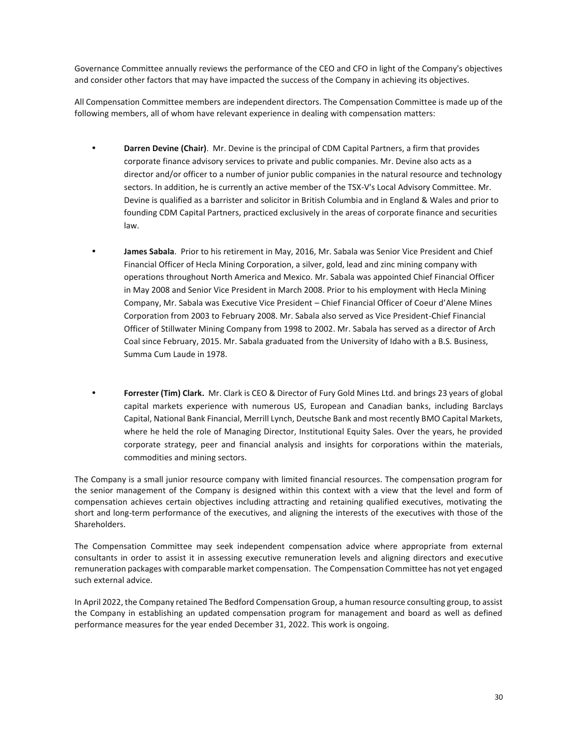Governance Committee annually reviews the performance of the CEO and CFO in light of the Company's objectives and consider other factors that may have impacted the success of the Company in achieving its objectives.

All Compensation Committee members are independent directors. The Compensation Committee is made up of the following members, all of whom have relevant experience in dealing with compensation matters:

- **Darren Devine (Chair)**. Mr. Devine is the principal of CDM Capital Partners, a firm that provides corporate finance advisory services to private and public companies. Mr. Devine also acts as a director and/or officer to a number of junior public companies in the natural resource and technology sectors. In addition, he is currently an active member of the TSX-V's Local Advisory Committee. Mr. Devine is qualified as a barrister and solicitor in British Columbia and in England & Wales and prior to founding CDM Capital Partners, practiced exclusively in the areas of corporate finance and securities law.
- **James Sabala**. Prior to his retirement in May, 2016, Mr. Sabala was Senior Vice President and Chief Financial Officer of Hecla Mining Corporation, a silver, gold, lead and zinc mining company with operations throughout North America and Mexico. Mr. Sabala was appointed Chief Financial Officer in May 2008 and Senior Vice President in March 2008. Prior to his employment with Hecla Mining Company, Mr. Sabala was Executive Vice President – Chief Financial Officer of Coeur d'Alene Mines Corporation from 2003 to February 2008. Mr. Sabala also served as Vice President-Chief Financial Officer of Stillwater Mining Company from 1998 to 2002. Mr. Sabala has served as a director of Arch Coal since February, 2015. Mr. Sabala graduated from the University of Idaho with a B.S. Business, Summa Cum Laude in 1978.
- **Forrester (Tim) Clark.** Mr. Clark is CEO & Director of Fury Gold Mines Ltd. and brings 23 years of global capital markets experience with numerous US, European and Canadian banks, including Barclays Capital, National Bank Financial, Merrill Lynch, Deutsche Bank and most recently BMO Capital Markets, where he held the role of Managing Director, Institutional Equity Sales. Over the years, he provided corporate strategy, peer and financial analysis and insights for corporations within the materials, commodities and mining sectors.

The Company is a small junior resource company with limited financial resources. The compensation program for the senior management of the Company is designed within this context with a view that the level and form of compensation achieves certain objectives including attracting and retaining qualified executives, motivating the short and long-term performance of the executives, and aligning the interests of the executives with those of the Shareholders.

The Compensation Committee may seek independent compensation advice where appropriate from external consultants in order to assist it in assessing executive remuneration levels and aligning directors and executive remuneration packages with comparable market compensation. The Compensation Committee has not yet engaged such external advice.

In April 2022, the Company retained The Bedford Compensation Group, a human resource consulting group, to assist the Company in establishing an updated compensation program for management and board as well as defined performance measures for the year ended December 31, 2022. This work is ongoing.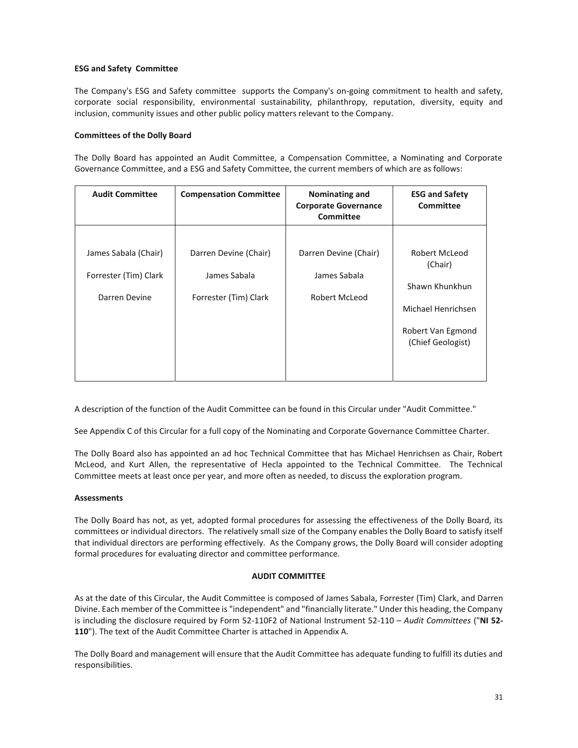## **ESG and Safety Committee**

The Company's ESG and Safety committee supports the Company's on-going commitment to health and safety, corporate social responsibility, environmental sustainability, philanthropy, reputation, diversity, equity and inclusion, community issues and other public policy matters relevant to the Company.

## **Committees of the Dolly Board**

The Dolly Board has appointed an Audit Committee, a Compensation Committee, a Nominating and Corporate Governance Committee, and a ESG and Safety Committee, the current members of which are as follows:

| <b>Audit Committee</b> | <b>Compensation Committee</b> | <b>Nominating and</b><br><b>Corporate Governance</b><br>Committee | <b>ESG and Safety</b><br>Committee |
|------------------------|-------------------------------|-------------------------------------------------------------------|------------------------------------|
|                        |                               |                                                                   |                                    |
| James Sabala (Chair)   | Darren Devine (Chair)         | Darren Devine (Chair)                                             | Robert McLeod<br>(Chair)           |
| Forrester (Tim) Clark  | James Sabala                  | James Sabala                                                      | Shawn Khunkhun                     |
| Darren Devine          | Forrester (Tim) Clark         | Robert McLeod                                                     |                                    |
|                        |                               |                                                                   | Michael Henrichsen                 |
|                        |                               |                                                                   | Robert Van Egmond                  |
|                        |                               |                                                                   | (Chief Geologist)                  |
|                        |                               |                                                                   |                                    |

A description of the function of the Audit Committee can be found in this Circular under "Audit Committee."

See Appendix C of this Circular for a full copy of the Nominating and Corporate Governance Committee Charter.

The Dolly Board also has appointed an ad hoc Technical Committee that has Michael Henrichsen as Chair, Robert McLeod, and Kurt Allen, the representative of Hecla appointed to the Technical Committee. The Technical Committee meets at least once per year, and more often as needed, to discuss the exploration program.

## **Assessments**

The Dolly Board has not, as yet, adopted formal procedures for assessing the effectiveness of the Dolly Board, its committees or individual directors. The relatively small size of the Company enables the Dolly Board to satisfy itself that individual directors are performing effectively. As the Company grows, the Dolly Board will consider adopting formal procedures for evaluating director and committee performance.

## **AUDIT COMMITTEE**

As at the date of this Circular, the Audit Committee is composed of James Sabala, Forrester (Tim) Clark, and Darren Divine. Each member of the Committee is "independent" and "financially literate." Under this heading, the Company is including the disclosure required by Form 52-110F2 of National Instrument 52-110 – *Audit Committees* ("**NI 52- 110**"). The text of the Audit Committee Charter is attached in Appendix A.

The Dolly Board and management will ensure that the Audit Committee has adequate funding to fulfill its duties and responsibilities.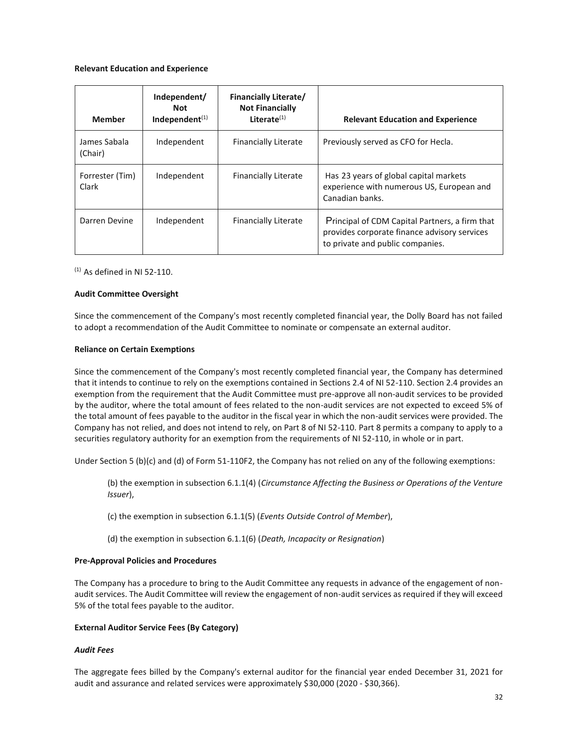#### **Relevant Education and Experience**

| <b>Member</b>            | Independent/<br><b>Not</b><br>Independent $(1)$ | <b>Financially Literate/</b><br><b>Not Financially</b><br>Literate $(1)$ | <b>Relevant Education and Experience</b>                                                                                           |
|--------------------------|-------------------------------------------------|--------------------------------------------------------------------------|------------------------------------------------------------------------------------------------------------------------------------|
| James Sabala<br>(Chair)  | Independent                                     | <b>Financially Literate</b>                                              | Previously served as CFO for Hecla.                                                                                                |
| Forrester (Tim)<br>Clark | Independent                                     | <b>Financially Literate</b>                                              | Has 23 years of global capital markets<br>experience with numerous US, European and<br>Canadian banks.                             |
| Darren Devine            | Independent                                     | <b>Financially Literate</b>                                              | Principal of CDM Capital Partners, a firm that<br>provides corporate finance advisory services<br>to private and public companies. |

 $(1)$  As defined in NI 52-110.

## **Audit Committee Oversight**

Since the commencement of the Company's most recently completed financial year, the Dolly Board has not failed to adopt a recommendation of the Audit Committee to nominate or compensate an external auditor.

#### **Reliance on Certain Exemptions**

Since the commencement of the Company's most recently completed financial year, the Company has determined that it intends to continue to rely on the exemptions contained in Sections 2.4 of NI 52-110. Section 2.4 provides an exemption from the requirement that the Audit Committee must pre-approve all non-audit services to be provided by the auditor, where the total amount of fees related to the non-audit services are not expected to exceed 5% of the total amount of fees payable to the auditor in the fiscal year in which the non-audit services were provided. The Company has not relied, and does not intend to rely, on Part 8 of NI 52-110. Part 8 permits a company to apply to a securities regulatory authority for an exemption from the requirements of NI 52-110, in whole or in part.

Under Section 5 (b)(c) and (d) of Form 51-110F2, the Company has not relied on any of the following exemptions:

- (b) the exemption in subsection 6.1.1(4) (*Circumstance Affecting the Business or Operations of the Venture Issuer*),
- (c) the exemption in subsection 6.1.1(5) (*Events Outside Control of Member*),
- (d) the exemption in subsection 6.1.1(6) (*Death, Incapacity or Resignation*)

## **Pre-Approval Policies and Procedures**

The Company has a procedure to bring to the Audit Committee any requests in advance of the engagement of nonaudit services. The Audit Committee will review the engagement of non-audit services as required if they will exceed 5% of the total fees payable to the auditor.

## **External Auditor Service Fees (By Category)**

## *Audit Fees*

The aggregate fees billed by the Company's external auditor for the financial year ended December 31, 2021 for audit and assurance and related services were approximately \$30,000 (2020 - \$30,366).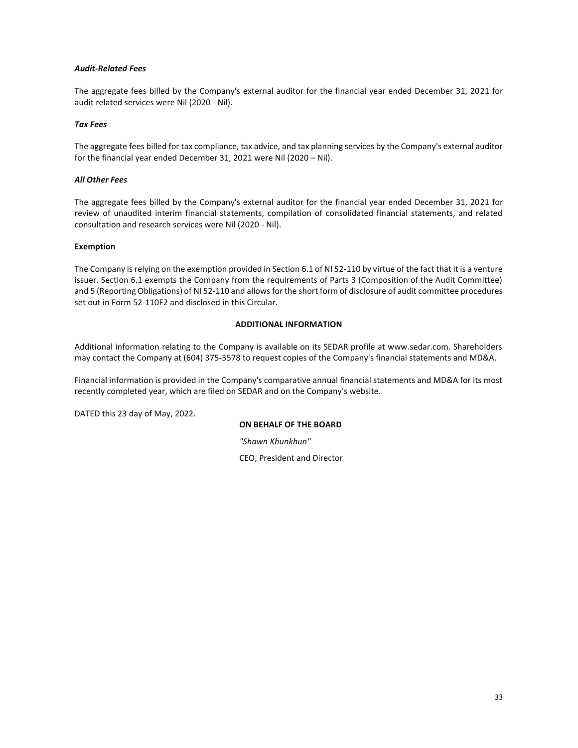## *Audit-Related Fees*

The aggregate fees billed by the Company's external auditor for the financial year ended December 31, 2021 for audit related services were Nil (2020 - Nil).

## *Tax Fees*

The aggregate fees billed for tax compliance, tax advice, and tax planning services by the Company's external auditor for the financial year ended December 31, 2021 were Nil (2020 – Nil).

## *All Other Fees*

The aggregate fees billed by the Company's external auditor for the financial year ended December 31, 2021 for review of unaudited interim financial statements, compilation of consolidated financial statements, and related consultation and research services were Nil (2020 - Nil).

## **Exemption**

The Company is relying on the exemption provided in Section 6.1 of NI 52-110 by virtue of the fact that it is a venture issuer. Section 6.1 exempts the Company from the requirements of Parts 3 (Composition of the Audit Committee) and 5 (Reporting Obligations) of NI 52-110 and allows for the short form of disclosure of audit committee procedures set out in Form 52-110F2 and disclosed in this Circular.

# **ADDITIONAL INFORMATION**

Additional information relating to the Company is available on its SEDAR profile at www.sedar.com. Shareholders may contact the Company at (604) 375-5578 to request copies of the Company's financial statements and MD&A.

Financial information is provided in the Company's comparative annual financial statements and MD&A for its most recently completed year, which are filed on SEDAR and on the Company's website.

DATED this 23 day of May, 2022.

# **ON BEHALF OF THE BOARD**

*"Shawn Khunkhun"* 

CEO, President and Director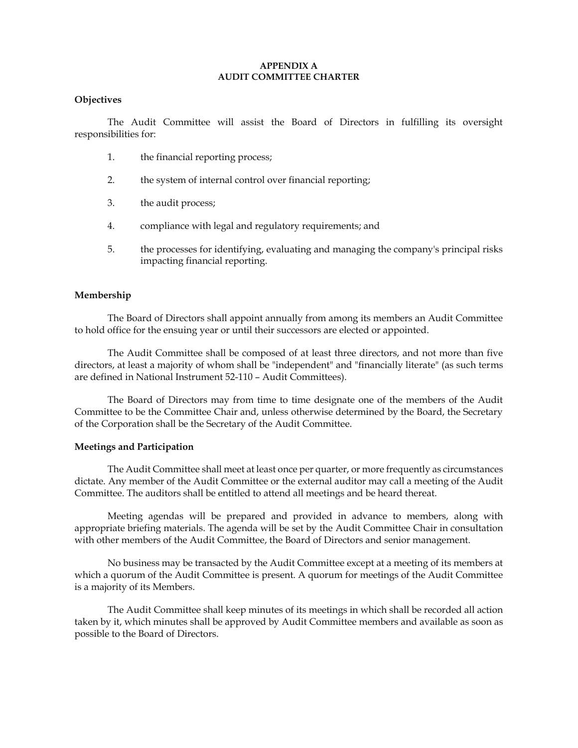## **APPENDIX A AUDIT COMMITTEE CHARTER**

# **Objectives**

The Audit Committee will assist the Board of Directors in fulfilling its oversight responsibilities for:

- 1. the financial reporting process;
- 2. the system of internal control over financial reporting;
- 3. the audit process;
- 4. compliance with legal and regulatory requirements; and
- 5. the processes for identifying, evaluating and managing the company's principal risks impacting financial reporting.

## **Membership**

The Board of Directors shall appoint annually from among its members an Audit Committee to hold office for the ensuing year or until their successors are elected or appointed.

The Audit Committee shall be composed of at least three directors, and not more than five directors, at least a majority of whom shall be "independent" and "financially literate" (as such terms are defined in National Instrument 52-110 – Audit Committees).

The Board of Directors may from time to time designate one of the members of the Audit Committee to be the Committee Chair and, unless otherwise determined by the Board, the Secretary of the Corporation shall be the Secretary of the Audit Committee.

# **Meetings and Participation**

The Audit Committee shall meet at least once per quarter, or more frequently as circumstances dictate. Any member of the Audit Committee or the external auditor may call a meeting of the Audit Committee. The auditors shall be entitled to attend all meetings and be heard thereat.

Meeting agendas will be prepared and provided in advance to members, along with appropriate briefing materials. The agenda will be set by the Audit Committee Chair in consultation with other members of the Audit Committee, the Board of Directors and senior management.

No business may be transacted by the Audit Committee except at a meeting of its members at which a quorum of the Audit Committee is present. A quorum for meetings of the Audit Committee is a majority of its Members.

The Audit Committee shall keep minutes of its meetings in which shall be recorded all action taken by it, which minutes shall be approved by Audit Committee members and available as soon as possible to the Board of Directors.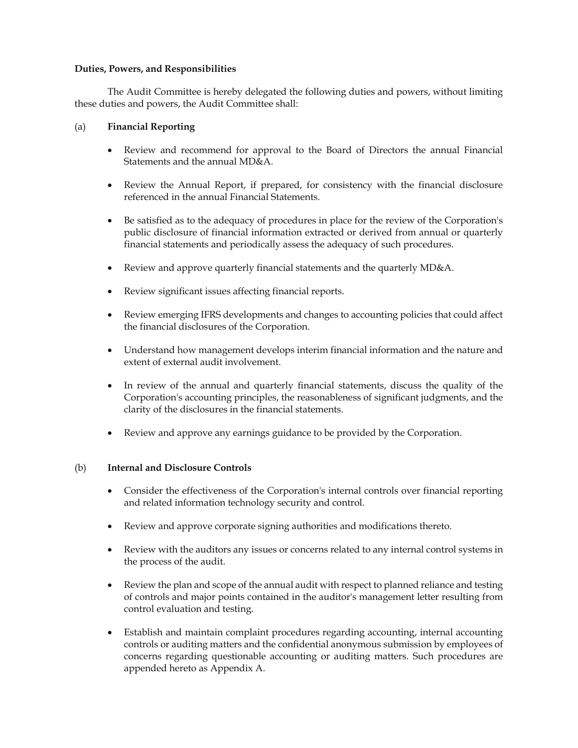# **Duties, Powers, and Responsibilities**

The Audit Committee is hereby delegated the following duties and powers, without limiting these duties and powers, the Audit Committee shall:

# (a) **Financial Reporting**

- Review and recommend for approval to the Board of Directors the annual Financial Statements and the annual MD&A.
- Review the Annual Report, if prepared, for consistency with the financial disclosure referenced in the annual Financial Statements.
- Be satisfied as to the adequacy of procedures in place for the review of the Corporation's public disclosure of financial information extracted or derived from annual or quarterly financial statements and periodically assess the adequacy of such procedures.
- Review and approve quarterly financial statements and the quarterly MD&A.
- Review significant issues affecting financial reports.
- x Review emerging IFRS developments and changes to accounting policies that could affect the financial disclosures of the Corporation.
- x Understand how management develops interim financial information and the nature and extent of external audit involvement.
- In review of the annual and quarterly financial statements, discuss the quality of the Corporation's accounting principles, the reasonableness of significant judgments, and the clarity of the disclosures in the financial statements.
- x Review and approve any earnings guidance to be provided by the Corporation.

# (b) **Internal and Disclosure Controls**

- Consider the effectiveness of the Corporation's internal controls over financial reporting and related information technology security and control.
- Review and approve corporate signing authorities and modifications thereto.
- x Review with the auditors any issues or concerns related to any internal control systems in the process of the audit.
- Review the plan and scope of the annual audit with respect to planned reliance and testing of controls and major points contained in the auditor's management letter resulting from control evaluation and testing.
- Establish and maintain complaint procedures regarding accounting, internal accounting controls or auditing matters and the confidential anonymous submission by employees of concerns regarding questionable accounting or auditing matters. Such procedures are appended hereto as Appendix A.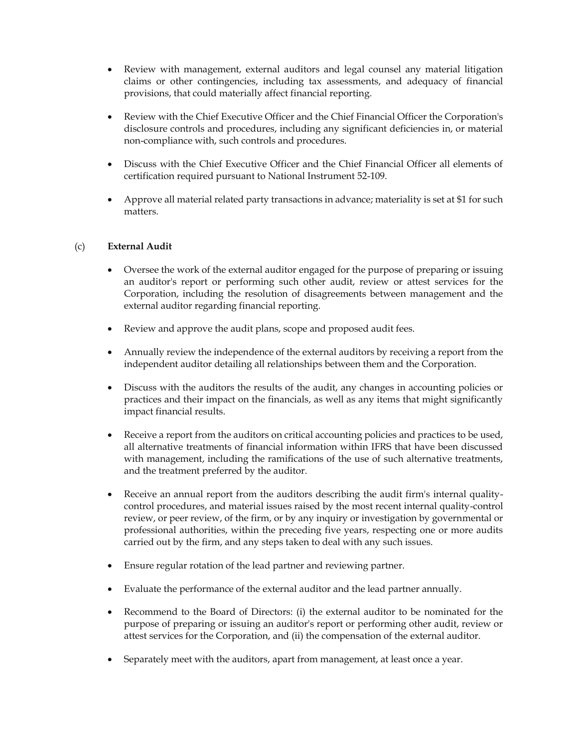- Review with management, external auditors and legal counsel any material litigation claims or other contingencies, including tax assessments, and adequacy of financial provisions, that could materially affect financial reporting.
- x Review with the Chief Executive Officer and the Chief Financial Officer the Corporation's disclosure controls and procedures, including any significant deficiencies in, or material non-compliance with, such controls and procedures.
- Discuss with the Chief Executive Officer and the Chief Financial Officer all elements of certification required pursuant to National Instrument 52-109.
- Approve all material related party transactions in advance; materiality is set at \$1 for such matters.

# (c) **External Audit**

- Oversee the work of the external auditor engaged for the purpose of preparing or issuing an auditor's report or performing such other audit, review or attest services for the Corporation, including the resolution of disagreements between management and the external auditor regarding financial reporting.
- Review and approve the audit plans, scope and proposed audit fees.
- Annually review the independence of the external auditors by receiving a report from the independent auditor detailing all relationships between them and the Corporation.
- Discuss with the auditors the results of the audit, any changes in accounting policies or practices and their impact on the financials, as well as any items that might significantly impact financial results.
- Receive a report from the auditors on critical accounting policies and practices to be used, all alternative treatments of financial information within IFRS that have been discussed with management, including the ramifications of the use of such alternative treatments, and the treatment preferred by the auditor.
- Receive an annual report from the auditors describing the audit firm's internal qualitycontrol procedures, and material issues raised by the most recent internal quality-control review, or peer review, of the firm, or by any inquiry or investigation by governmental or professional authorities, within the preceding five years, respecting one or more audits carried out by the firm, and any steps taken to deal with any such issues.
- Ensure regular rotation of the lead partner and reviewing partner.
- Evaluate the performance of the external auditor and the lead partner annually.
- x Recommend to the Board of Directors: (i) the external auditor to be nominated for the purpose of preparing or issuing an auditor's report or performing other audit, review or attest services for the Corporation, and (ii) the compensation of the external auditor.
- Separately meet with the auditors, apart from management, at least once a year.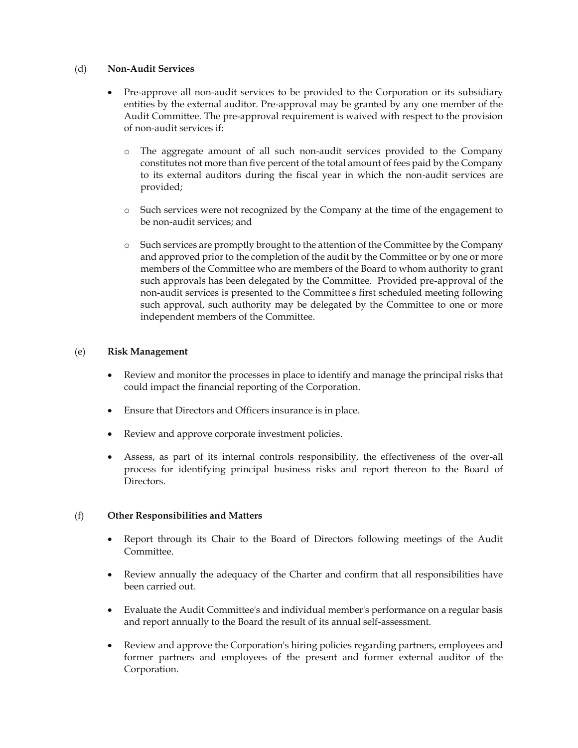### (d) **Non-Audit Services**

- Pre-approve all non-audit services to be provided to the Corporation or its subsidiary entities by the external auditor. Pre-approval may be granted by any one member of the Audit Committee. The pre-approval requirement is waived with respect to the provision of non-audit services if:
	- The aggregate amount of all such non-audit services provided to the Company constitutes not more than five percent of the total amount of fees paid by the Company to its external auditors during the fiscal year in which the non-audit services are provided;
	- o Such services were not recognized by the Company at the time of the engagement to be non-audit services; and
	- o Such services are promptly brought to the attention of the Committee by the Company and approved prior to the completion of the audit by the Committee or by one or more members of the Committee who are members of the Board to whom authority to grant such approvals has been delegated by the Committee. Provided pre-approval of the non-audit services is presented to the Committee's first scheduled meeting following such approval, such authority may be delegated by the Committee to one or more independent members of the Committee.

## (e) **Risk Management**

- Review and monitor the processes in place to identify and manage the principal risks that could impact the financial reporting of the Corporation.
- Ensure that Directors and Officers insurance is in place.
- Review and approve corporate investment policies.
- x Assess, as part of its internal controls responsibility, the effectiveness of the over-all process for identifying principal business risks and report thereon to the Board of Directors.

## (f) **Other Responsibilities and Matters**

- x Report through its Chair to the Board of Directors following meetings of the Audit Committee.
- x Review annually the adequacy of the Charter and confirm that all responsibilities have been carried out.
- Evaluate the Audit Committee's and individual member's performance on a regular basis and report annually to the Board the result of its annual self-assessment.
- x Review and approve the Corporation's hiring policies regarding partners, employees and former partners and employees of the present and former external auditor of the Corporation.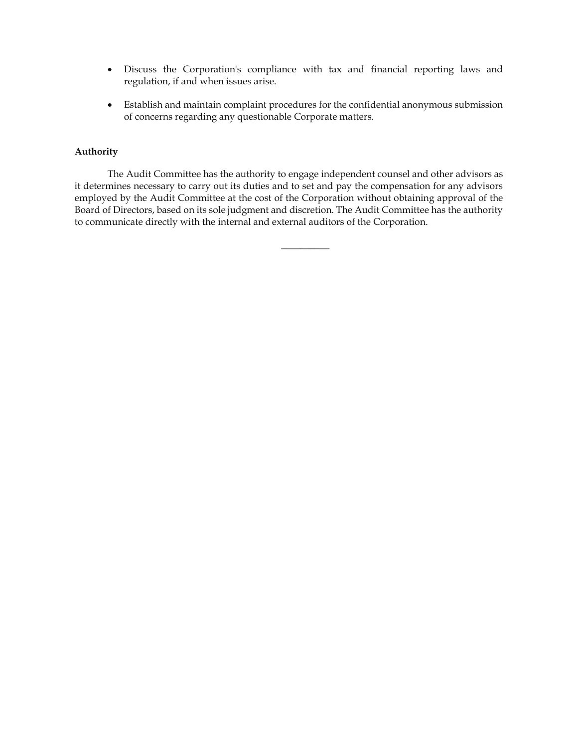- Discuss the Corporation's compliance with tax and financial reporting laws and regulation, if and when issues arise.
- Establish and maintain complaint procedures for the confidential anonymous submission of concerns regarding any questionable Corporate matters.

## **Authority**

The Audit Committee has the authority to engage independent counsel and other advisors as it determines necessary to carry out its duties and to set and pay the compensation for any advisors employed by the Audit Committee at the cost of the Corporation without obtaining approval of the Board of Directors, based on its sole judgment and discretion. The Audit Committee has the authority to communicate directly with the internal and external auditors of the Corporation.

 $\overline{\phantom{a}}$  , where  $\overline{\phantom{a}}$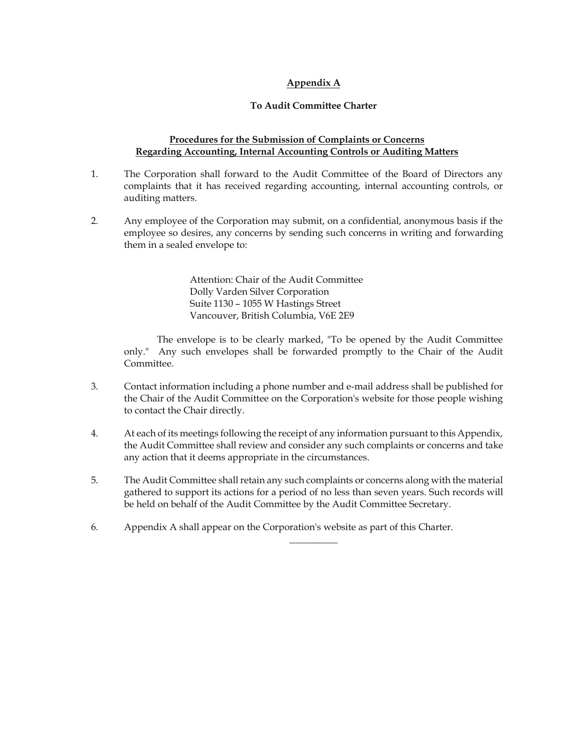# **Appendix A**

## **To Audit Committee Charter**

### **Procedures for the Submission of Complaints or Concerns Regarding Accounting, Internal Accounting Controls or Auditing Matters**

- 1. The Corporation shall forward to the Audit Committee of the Board of Directors any complaints that it has received regarding accounting, internal accounting controls, or auditing matters.
- 2. Any employee of the Corporation may submit, on a confidential, anonymous basis if the employee so desires, any concerns by sending such concerns in writing and forwarding them in a sealed envelope to:

Attention: Chair of the Audit Committee Dolly Varden Silver Corporation Suite 1130 – 1055 W Hastings Street Vancouver, British Columbia, V6E 2E9

The envelope is to be clearly marked, "To be opened by the Audit Committee only." Any such envelopes shall be forwarded promptly to the Chair of the Audit Committee.

- 3. Contact information including a phone number and e-mail address shall be published for the Chair of the Audit Committee on the Corporation's website for those people wishing to contact the Chair directly.
- 4. At each of its meetings following the receipt of any information pursuant to this Appendix, the Audit Committee shall review and consider any such complaints or concerns and take any action that it deems appropriate in the circumstances.
- 5. The Audit Committee shall retain any such complaints or concerns along with the material gathered to support its actions for a period of no less than seven years. Such records will be held on behalf of the Audit Committee by the Audit Committee Secretary.

 $\overline{\phantom{a}}$  , where  $\overline{\phantom{a}}$ 

6. Appendix A shall appear on the Corporation's website as part of this Charter.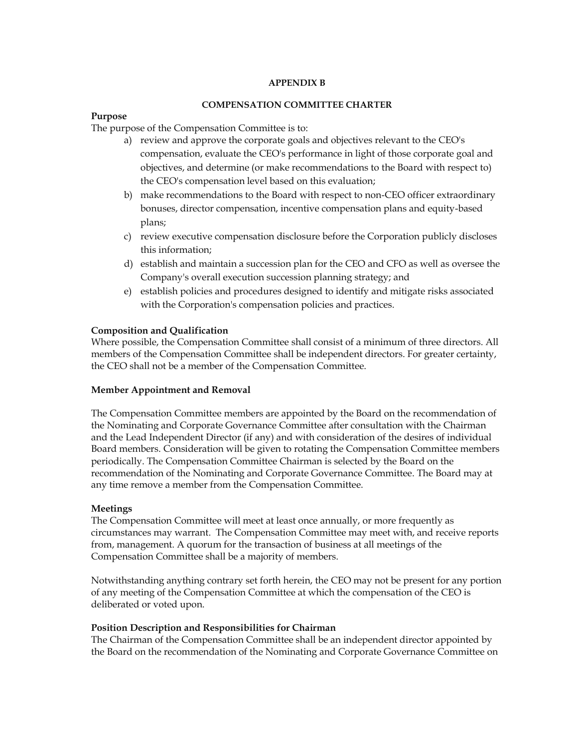### **APPENDIX B**

### **COMPENSATION COMMITTEE CHARTER**

### **Purpose**

The purpose of the Compensation Committee is to:

- a) review and approve the corporate goals and objectives relevant to the CEO's compensation, evaluate the CEO's performance in light of those corporate goal and objectives, and determine (or make recommendations to the Board with respect to) the CEO's compensation level based on this evaluation;
- b) make recommendations to the Board with respect to non-CEO officer extraordinary bonuses, director compensation, incentive compensation plans and equity-based plans;
- c) review executive compensation disclosure before the Corporation publicly discloses this information;
- d) establish and maintain a succession plan for the CEO and CFO as well as oversee the Company's overall execution succession planning strategy; and
- e) establish policies and procedures designed to identify and mitigate risks associated with the Corporation's compensation policies and practices.

## **Composition and Qualification**

Where possible, the Compensation Committee shall consist of a minimum of three directors. All members of the Compensation Committee shall be independent directors. For greater certainty, the CEO shall not be a member of the Compensation Committee.

## **Member Appointment and Removal**

The Compensation Committee members are appointed by the Board on the recommendation of the Nominating and Corporate Governance Committee after consultation with the Chairman and the Lead Independent Director (if any) and with consideration of the desires of individual Board members. Consideration will be given to rotating the Compensation Committee members periodically. The Compensation Committee Chairman is selected by the Board on the recommendation of the Nominating and Corporate Governance Committee. The Board may at any time remove a member from the Compensation Committee.

## **Meetings**

The Compensation Committee will meet at least once annually, or more frequently as circumstances may warrant. The Compensation Committee may meet with, and receive reports from, management. A quorum for the transaction of business at all meetings of the Compensation Committee shall be a majority of members.

Notwithstanding anything contrary set forth herein, the CEO may not be present for any portion of any meeting of the Compensation Committee at which the compensation of the CEO is deliberated or voted upon.

## **Position Description and Responsibilities for Chairman**

The Chairman of the Compensation Committee shall be an independent director appointed by the Board on the recommendation of the Nominating and Corporate Governance Committee on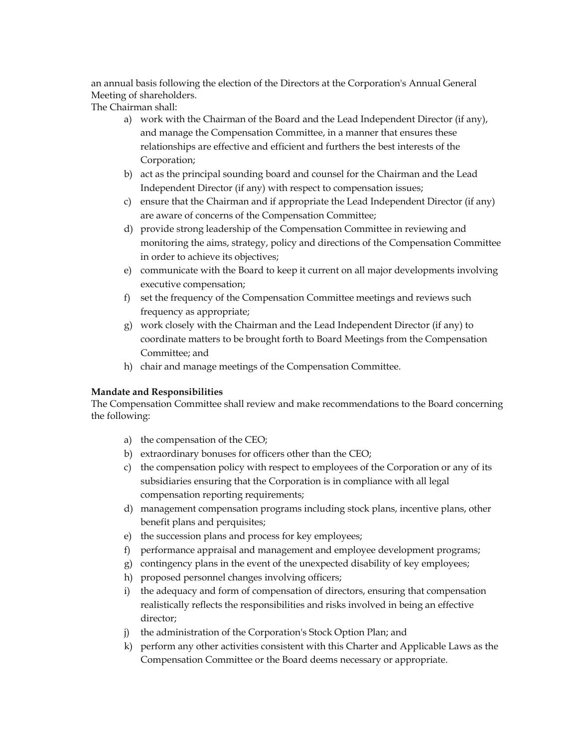an annual basis following the election of the Directors at the Corporation's Annual General Meeting of shareholders.

The Chairman shall:

- a) work with the Chairman of the Board and the Lead Independent Director (if any), and manage the Compensation Committee, in a manner that ensures these relationships are effective and efficient and furthers the best interests of the Corporation;
- b) act as the principal sounding board and counsel for the Chairman and the Lead Independent Director (if any) with respect to compensation issues;
- c) ensure that the Chairman and if appropriate the Lead Independent Director (if any) are aware of concerns of the Compensation Committee;
- d) provide strong leadership of the Compensation Committee in reviewing and monitoring the aims, strategy, policy and directions of the Compensation Committee in order to achieve its objectives;
- e) communicate with the Board to keep it current on all major developments involving executive compensation;
- f) set the frequency of the Compensation Committee meetings and reviews such frequency as appropriate;
- g) work closely with the Chairman and the Lead Independent Director (if any) to coordinate matters to be brought forth to Board Meetings from the Compensation Committee; and
- h) chair and manage meetings of the Compensation Committee.

## **Mandate and Responsibilities**

The Compensation Committee shall review and make recommendations to the Board concerning the following:

- a) the compensation of the CEO;
- b) extraordinary bonuses for officers other than the CEO;
- c) the compensation policy with respect to employees of the Corporation or any of its subsidiaries ensuring that the Corporation is in compliance with all legal compensation reporting requirements;
- d) management compensation programs including stock plans, incentive plans, other benefit plans and perquisites;
- e) the succession plans and process for key employees;
- f) performance appraisal and management and employee development programs;
- g) contingency plans in the event of the unexpected disability of key employees;
- h) proposed personnel changes involving officers;
- i) the adequacy and form of compensation of directors, ensuring that compensation realistically reflects the responsibilities and risks involved in being an effective director;
- j) the administration of the Corporation's Stock Option Plan; and
- k) perform any other activities consistent with this Charter and Applicable Laws as the Compensation Committee or the Board deems necessary or appropriate.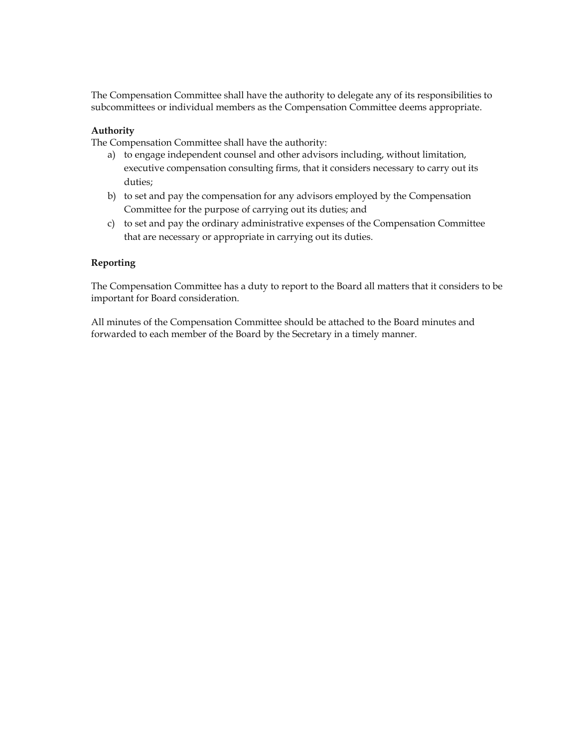The Compensation Committee shall have the authority to delegate any of its responsibilities to subcommittees or individual members as the Compensation Committee deems appropriate.

### **Authority**

The Compensation Committee shall have the authority:

- a) to engage independent counsel and other advisors including, without limitation, executive compensation consulting firms, that it considers necessary to carry out its duties;
- b) to set and pay the compensation for any advisors employed by the Compensation Committee for the purpose of carrying out its duties; and
- c) to set and pay the ordinary administrative expenses of the Compensation Committee that are necessary or appropriate in carrying out its duties.

### **Reporting**

The Compensation Committee has a duty to report to the Board all matters that it considers to be important for Board consideration.

All minutes of the Compensation Committee should be attached to the Board minutes and forwarded to each member of the Board by the Secretary in a timely manner.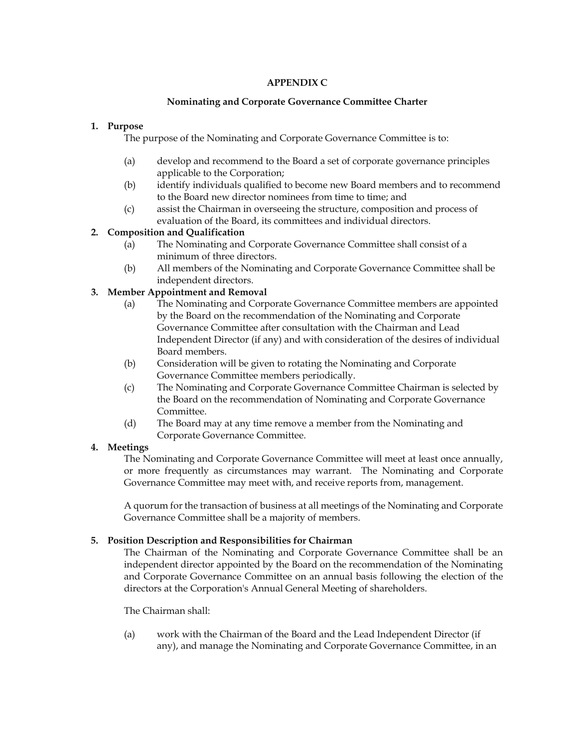# **APPENDIX C**

## **Nominating and Corporate Governance Committee Charter**

# **1. Purpose**

The purpose of the Nominating and Corporate Governance Committee is to:

- (a) develop and recommend to the Board a set of corporate governance principles applicable to the Corporation;
- (b) identify individuals qualified to become new Board members and to recommend to the Board new director nominees from time to time; and
- (c) assist the Chairman in overseeing the structure, composition and process of evaluation of the Board, its committees and individual directors.

# **2. Composition and Qualification**

- (a) The Nominating and Corporate Governance Committee shall consist of a minimum of three directors.
- (b) All members of the Nominating and Corporate Governance Committee shall be independent directors.

# **3. Member Appointment and Removal**

- (a) The Nominating and Corporate Governance Committee members are appointed by the Board on the recommendation of the Nominating and Corporate Governance Committee after consultation with the Chairman and Lead Independent Director (if any) and with consideration of the desires of individual Board members.
- (b) Consideration will be given to rotating the Nominating and Corporate Governance Committee members periodically.
- (c) The Nominating and Corporate Governance Committee Chairman is selected by the Board on the recommendation of Nominating and Corporate Governance Committee.
- (d) The Board may at any time remove a member from the Nominating and Corporate Governance Committee.

## **4. Meetings**

The Nominating and Corporate Governance Committee will meet at least once annually, or more frequently as circumstances may warrant. The Nominating and Corporate Governance Committee may meet with, and receive reports from, management.

A quorum for the transaction of business at all meetings of the Nominating and Corporate Governance Committee shall be a majority of members.

## **5. Position Description and Responsibilities for Chairman**

The Chairman of the Nominating and Corporate Governance Committee shall be an independent director appointed by the Board on the recommendation of the Nominating and Corporate Governance Committee on an annual basis following the election of the directors at the Corporation's Annual General Meeting of shareholders.

The Chairman shall:

(a) work with the Chairman of the Board and the Lead Independent Director (if any), and manage the Nominating and Corporate Governance Committee, in an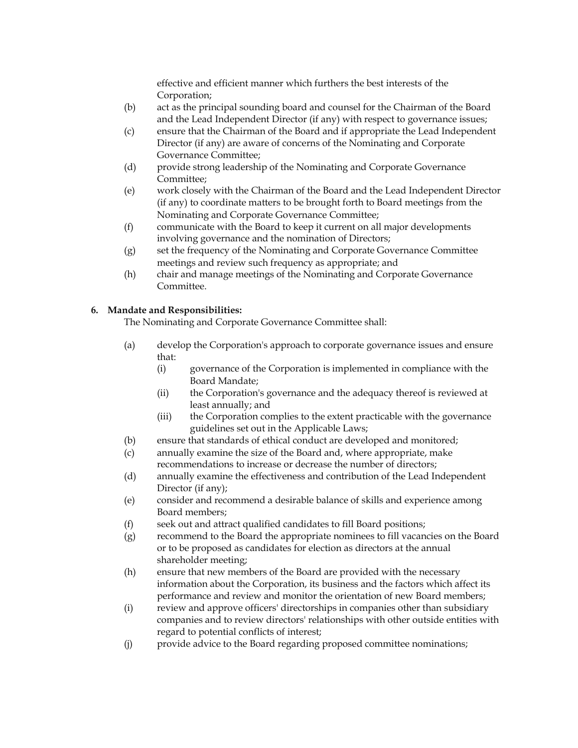effective and efficient manner which furthers the best interests of the Corporation;

- (b) act as the principal sounding board and counsel for the Chairman of the Board and the Lead Independent Director (if any) with respect to governance issues;
- (c) ensure that the Chairman of the Board and if appropriate the Lead Independent Director (if any) are aware of concerns of the Nominating and Corporate Governance Committee;
- (d) provide strong leadership of the Nominating and Corporate Governance Committee;
- (e) work closely with the Chairman of the Board and the Lead Independent Director (if any) to coordinate matters to be brought forth to Board meetings from the Nominating and Corporate Governance Committee;
- (f) communicate with the Board to keep it current on all major developments involving governance and the nomination of Directors;
- (g) set the frequency of the Nominating and Corporate Governance Committee meetings and review such frequency as appropriate; and
- (h) chair and manage meetings of the Nominating and Corporate Governance Committee.

# **6. Mandate and Responsibilities:**

The Nominating and Corporate Governance Committee shall:

- (a) develop the Corporation's approach to corporate governance issues and ensure that:
	- (i) governance of the Corporation is implemented in compliance with the Board Mandate;
	- (ii) the Corporation's governance and the adequacy thereof is reviewed at least annually; and
	- (iii) the Corporation complies to the extent practicable with the governance guidelines set out in the Applicable Laws;
- (b) ensure that standards of ethical conduct are developed and monitored;
- (c) annually examine the size of the Board and, where appropriate, make recommendations to increase or decrease the number of directors;
- (d) annually examine the effectiveness and contribution of the Lead Independent Director (if any);
- (e) consider and recommend a desirable balance of skills and experience among Board members;
- (f) seek out and attract qualified candidates to fill Board positions;
- (g) recommend to the Board the appropriate nominees to fill vacancies on the Board or to be proposed as candidates for election as directors at the annual shareholder meeting;
- (h) ensure that new members of the Board are provided with the necessary information about the Corporation, its business and the factors which affect its performance and review and monitor the orientation of new Board members;
- (i) review and approve officers' directorships in companies other than subsidiary companies and to review directors' relationships with other outside entities with regard to potential conflicts of interest;
- (j) provide advice to the Board regarding proposed committee nominations;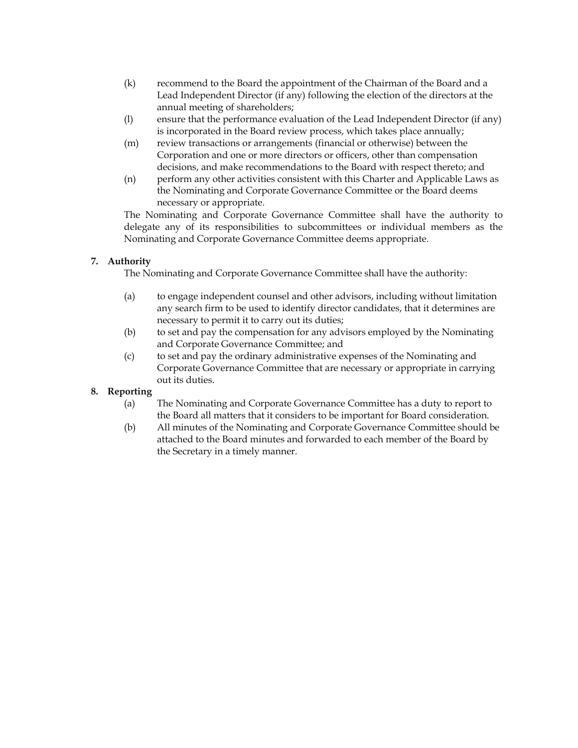- (k) recommend to the Board the appointment of the Chairman of the Board and a Lead Independent Director (if any) following the election of the directors at the annual meeting of shareholders;
- (l) ensure that the performance evaluation of the Lead Independent Director (if any) is incorporated in the Board review process, which takes place annually;
- (m) review transactions or arrangements (financial or otherwise) between the Corporation and one or more directors or officers, other than compensation decisions, and make recommendations to the Board with respect thereto; and
- (n) perform any other activities consistent with this Charter and Applicable Laws as the Nominating and Corporate Governance Committee or the Board deems necessary or appropriate.

The Nominating and Corporate Governance Committee shall have the authority to delegate any of its responsibilities to subcommittees or individual members as the Nominating and Corporate Governance Committee deems appropriate.

# **7. Authority**

The Nominating and Corporate Governance Committee shall have the authority:

- (a) to engage independent counsel and other advisors, including without limitation any search firm to be used to identify director candidates, that it determines are necessary to permit it to carry out its duties;
- (b) to set and pay the compensation for any advisors employed by the Nominating and Corporate Governance Committee; and
- (c) to set and pay the ordinary administrative expenses of the Nominating and Corporate Governance Committee that are necessary or appropriate in carrying out its duties.

# **8. Reporting**

- (a) The Nominating and Corporate Governance Committee has a duty to report to the Board all matters that it considers to be important for Board consideration.
- (b) All minutes of the Nominating and Corporate Governance Committee should be attached to the Board minutes and forwarded to each member of the Board by the Secretary in a timely manner.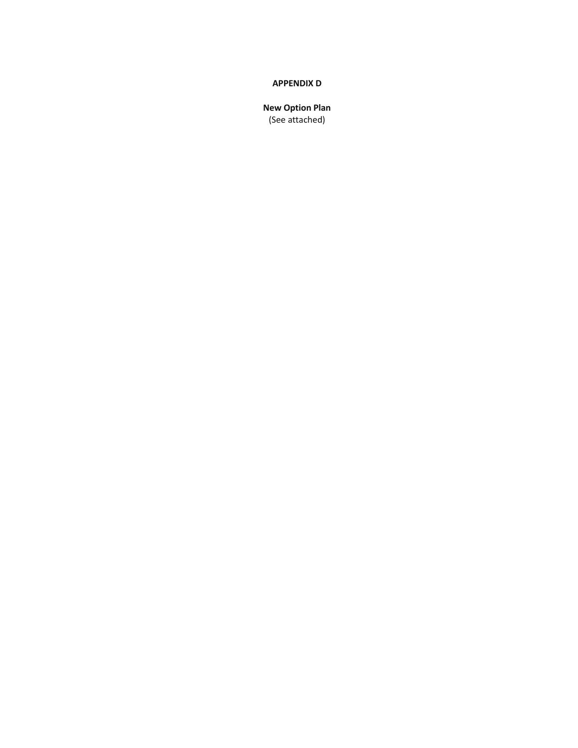#### **APPENDIX D**

**New Option Plan**  (See attached)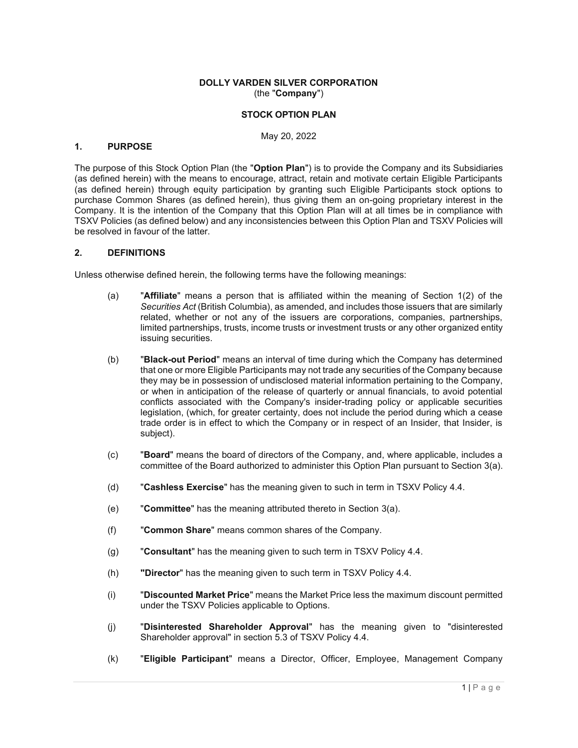#### **DOLLY VARDEN SILVER CORPORATION**  (the "**Company**")

### **STOCK OPTION PLAN**

May 20, 2022

#### **1. PURPOSE**

The purpose of this Stock Option Plan (the "**Option Plan**") is to provide the Company and its Subsidiaries (as defined herein) with the means to encourage, attract, retain and motivate certain Eligible Participants (as defined herein) through equity participation by granting such Eligible Participants stock options to purchase Common Shares (as defined herein), thus giving them an on-going proprietary interest in the Company. It is the intention of the Company that this Option Plan will at all times be in compliance with TSXV Policies (as defined below) and any inconsistencies between this Option Plan and TSXV Policies will be resolved in favour of the latter.

#### **2. DEFINITIONS**

Unless otherwise defined herein, the following terms have the following meanings:

- (a) "**Affiliate**" means a person that is affiliated within the meaning of Section 1(2) of the *Securities Act* (British Columbia), as amended, and includes those issuers that are similarly related, whether or not any of the issuers are corporations, companies, partnerships, limited partnerships, trusts, income trusts or investment trusts or any other organized entity issuing securities.
- (b) "**Black-out Period**" means an interval of time during which the Company has determined that one or more Eligible Participants may not trade any securities of the Company because they may be in possession of undisclosed material information pertaining to the Company, or when in anticipation of the release of quarterly or annual financials, to avoid potential conflicts associated with the Company's insider-trading policy or applicable securities legislation, (which, for greater certainty, does not include the period during which a cease trade order is in effect to which the Company or in respect of an Insider, that Insider, is subject).
- (c) "**Board**" means the board of directors of the Company, and, where applicable, includes a committee of the Board authorized to administer this Option Plan pursuant to Section 3(a).
- (d) "**Cashless Exercise**" has the meaning given to such in term in TSXV Policy 4.4.
- (e) "**Committee**" has the meaning attributed thereto in Section 3(a).
- (f) "**Common Share**" means common shares of the Company.
- (g) "**Consultant**" has the meaning given to such term in TSXV Policy 4.4.
- (h) **"Director**" has the meaning given to such term in TSXV Policy 4.4.
- (i) "**Discounted Market Price**" means the Market Price less the maximum discount permitted under the TSXV Policies applicable to Options.
- (j) "**Disinterested Shareholder Approval**" has the meaning given to "disinterested Shareholder approval" in section 5.3 of TSXV Policy 4.4.
- (k) "**Eligible Participant**" means a Director, Officer, Employee, Management Company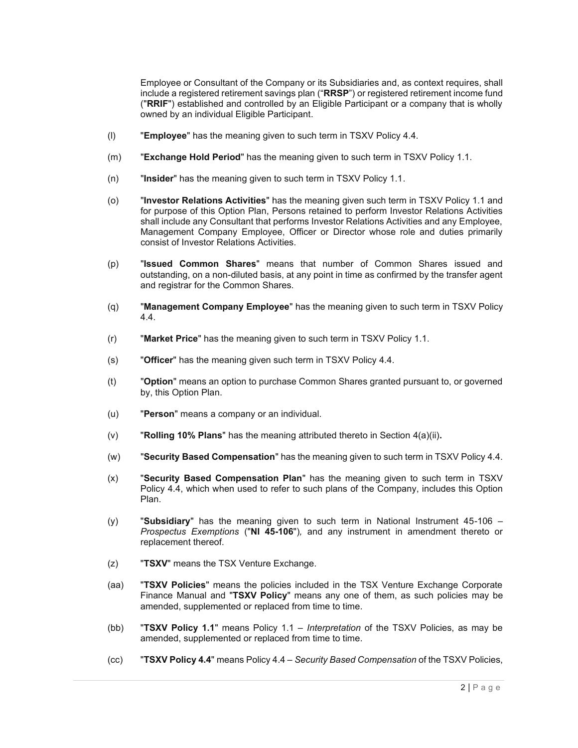Employee or Consultant of the Company or its Subsidiaries and, as context requires, shall include a registered retirement savings plan ("**RRSP**") or registered retirement income fund ("**RRIF**") established and controlled by an Eligible Participant or a company that is wholly owned by an individual Eligible Participant.

- (l) "**Employee**" has the meaning given to such term in TSXV Policy 4.4.
- (m) "**Exchange Hold Period**" has the meaning given to such term in TSXV Policy 1.1.
- (n) "**Insider**" has the meaning given to such term in TSXV Policy 1.1.
- (o) "**Investor Relations Activities**" has the meaning given such term in TSXV Policy 1.1 and for purpose of this Option Plan, Persons retained to perform Investor Relations Activities shall include any Consultant that performs Investor Relations Activities and any Employee, Management Company Employee, Officer or Director whose role and duties primarily consist of Investor Relations Activities.
- (p) "**Issued Common Shares**" means that number of Common Shares issued and outstanding, on a non-diluted basis, at any point in time as confirmed by the transfer agent and registrar for the Common Shares.
- (q) "**Management Company Employee**" has the meaning given to such term in TSXV Policy 4.4.
- (r) "**Market Price**" has the meaning given to such term in TSXV Policy 1.1.
- (s) "**Officer**" has the meaning given such term in TSXV Policy 4.4.
- (t) "**Option**" means an option to purchase Common Shares granted pursuant to, or governed by, this Option Plan.
- (u) "**Person**" means a company or an individual.
- (v) "**Rolling 10% Plans**" has the meaning attributed thereto in Section 4(a)(ii)**.**
- (w) "**Security Based Compensation**" has the meaning given to such term in TSXV Policy 4.4.
- (x) "**Security Based Compensation Plan**" has the meaning given to such term in TSXV Policy 4.4, which when used to refer to such plans of the Company, includes this Option Plan.
- (y) "**Subsidiary**" has the meaning given to such term in National Instrument 45-106 *Prospectus Exemptions* ("**NI 45-106**")*,* and any instrument in amendment thereto or replacement thereof.
- (z) "**TSXV**" means the TSX Venture Exchange.
- (aa) "**TSXV Policies**" means the policies included in the TSX Venture Exchange Corporate Finance Manual and "**TSXV Policy**" means any one of them, as such policies may be amended, supplemented or replaced from time to time.
- (bb) "**TSXV Policy 1.1**" means Policy 1.1 *Interpretation* of the TSXV Policies, as may be amended, supplemented or replaced from time to time.
- (cc) "**TSXV Policy 4.4**" means Policy 4.4 *Security Based Compensation* of the TSXV Policies,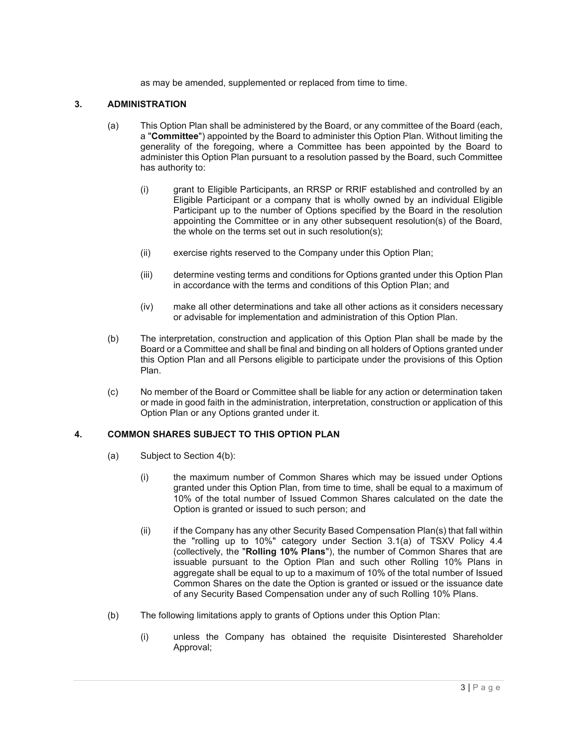as may be amended, supplemented or replaced from time to time.

### **3. ADMINISTRATION**

- (a) This Option Plan shall be administered by the Board, or any committee of the Board (each, a "**Committee**") appointed by the Board to administer this Option Plan. Without limiting the generality of the foregoing, where a Committee has been appointed by the Board to administer this Option Plan pursuant to a resolution passed by the Board, such Committee has authority to:
	- (i) grant to Eligible Participants, an RRSP or RRIF established and controlled by an Eligible Participant or a company that is wholly owned by an individual Eligible Participant up to the number of Options specified by the Board in the resolution appointing the Committee or in any other subsequent resolution(s) of the Board, the whole on the terms set out in such resolution(s);
	- (ii) exercise rights reserved to the Company under this Option Plan;
	- (iii) determine vesting terms and conditions for Options granted under this Option Plan in accordance with the terms and conditions of this Option Plan; and
	- (iv) make all other determinations and take all other actions as it considers necessary or advisable for implementation and administration of this Option Plan.
- (b) The interpretation, construction and application of this Option Plan shall be made by the Board or a Committee and shall be final and binding on all holders of Options granted under this Option Plan and all Persons eligible to participate under the provisions of this Option Plan.
- (c) No member of the Board or Committee shall be liable for any action or determination taken or made in good faith in the administration, interpretation, construction or application of this Option Plan or any Options granted under it.

#### **4. COMMON SHARES SUBJECT TO THIS OPTION PLAN**

- (a) Subject to Section 4(b):
	- (i) the maximum number of Common Shares which may be issued under Options granted under this Option Plan, from time to time, shall be equal to a maximum of 10% of the total number of Issued Common Shares calculated on the date the Option is granted or issued to such person; and
	- (ii) if the Company has any other Security Based Compensation Plan(s) that fall within the "rolling up to 10%" category under Section 3.1(a) of TSXV Policy 4.4 (collectively, the "**Rolling 10% Plans**"), the number of Common Shares that are issuable pursuant to the Option Plan and such other Rolling 10% Plans in aggregate shall be equal to up to a maximum of 10% of the total number of Issued Common Shares on the date the Option is granted or issued or the issuance date of any Security Based Compensation under any of such Rolling 10% Plans.
- (b) The following limitations apply to grants of Options under this Option Plan:
	- (i) unless the Company has obtained the requisite Disinterested Shareholder Approval;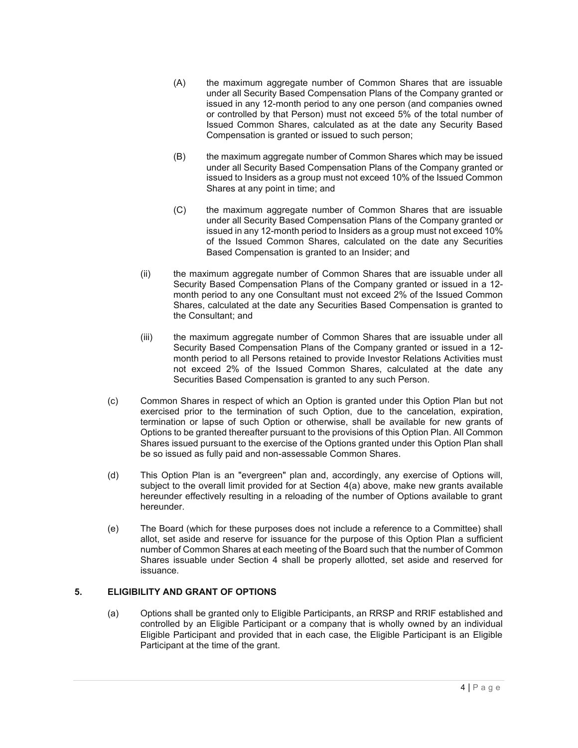- (A) the maximum aggregate number of Common Shares that are issuable under all Security Based Compensation Plans of the Company granted or issued in any 12-month period to any one person (and companies owned or controlled by that Person) must not exceed 5% of the total number of Issued Common Shares, calculated as at the date any Security Based Compensation is granted or issued to such person;
- (B) the maximum aggregate number of Common Shares which may be issued under all Security Based Compensation Plans of the Company granted or issued to Insiders as a group must not exceed 10% of the Issued Common Shares at any point in time; and
- (C) the maximum aggregate number of Common Shares that are issuable under all Security Based Compensation Plans of the Company granted or issued in any 12-month period to Insiders as a group must not exceed 10% of the Issued Common Shares, calculated on the date any Securities Based Compensation is granted to an Insider; and
- (ii) the maximum aggregate number of Common Shares that are issuable under all Security Based Compensation Plans of the Company granted or issued in a 12 month period to any one Consultant must not exceed 2% of the Issued Common Shares, calculated at the date any Securities Based Compensation is granted to the Consultant; and
- (iii) the maximum aggregate number of Common Shares that are issuable under all Security Based Compensation Plans of the Company granted or issued in a 12 month period to all Persons retained to provide Investor Relations Activities must not exceed 2% of the Issued Common Shares, calculated at the date any Securities Based Compensation is granted to any such Person.
- (c) Common Shares in respect of which an Option is granted under this Option Plan but not exercised prior to the termination of such Option, due to the cancelation, expiration, termination or lapse of such Option or otherwise, shall be available for new grants of Options to be granted thereafter pursuant to the provisions of this Option Plan. All Common Shares issued pursuant to the exercise of the Options granted under this Option Plan shall be so issued as fully paid and non-assessable Common Shares.
- (d) This Option Plan is an "evergreen" plan and, accordingly, any exercise of Options will, subject to the overall limit provided for at Section 4(a) above, make new grants available hereunder effectively resulting in a reloading of the number of Options available to grant hereunder.
- (e) The Board (which for these purposes does not include a reference to a Committee) shall allot, set aside and reserve for issuance for the purpose of this Option Plan a sufficient number of Common Shares at each meeting of the Board such that the number of Common Shares issuable under Section 4 shall be properly allotted, set aside and reserved for issuance.

# **5. ELIGIBILITY AND GRANT OF OPTIONS**

(a) Options shall be granted only to Eligible Participants, an RRSP and RRIF established and controlled by an Eligible Participant or a company that is wholly owned by an individual Eligible Participant and provided that in each case, the Eligible Participant is an Eligible Participant at the time of the grant.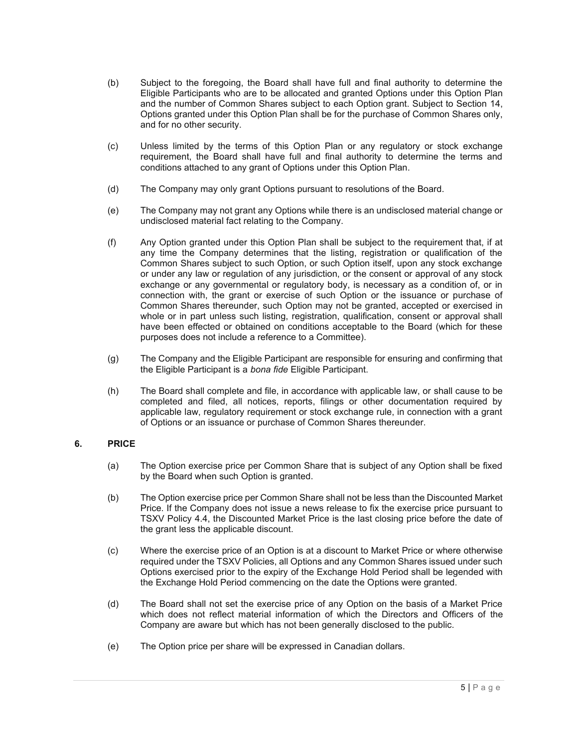- (b) Subject to the foregoing, the Board shall have full and final authority to determine the Eligible Participants who are to be allocated and granted Options under this Option Plan and the number of Common Shares subject to each Option grant. Subject to Section 14, Options granted under this Option Plan shall be for the purchase of Common Shares only, and for no other security.
- (c) Unless limited by the terms of this Option Plan or any regulatory or stock exchange requirement, the Board shall have full and final authority to determine the terms and conditions attached to any grant of Options under this Option Plan.
- (d) The Company may only grant Options pursuant to resolutions of the Board.
- (e) The Company may not grant any Options while there is an undisclosed material change or undisclosed material fact relating to the Company.
- (f) Any Option granted under this Option Plan shall be subject to the requirement that, if at any time the Company determines that the listing, registration or qualification of the Common Shares subject to such Option, or such Option itself, upon any stock exchange or under any law or regulation of any jurisdiction, or the consent or approval of any stock exchange or any governmental or regulatory body, is necessary as a condition of, or in connection with, the grant or exercise of such Option or the issuance or purchase of Common Shares thereunder, such Option may not be granted, accepted or exercised in whole or in part unless such listing, registration, qualification, consent or approval shall have been effected or obtained on conditions acceptable to the Board (which for these purposes does not include a reference to a Committee).
- (g) The Company and the Eligible Participant are responsible for ensuring and confirming that the Eligible Participant is a *bona fide* Eligible Participant.
- (h) The Board shall complete and file, in accordance with applicable law, or shall cause to be completed and filed, all notices, reports, filings or other documentation required by applicable law, regulatory requirement or stock exchange rule, in connection with a grant of Options or an issuance or purchase of Common Shares thereunder.

## **6. PRICE**

- (a) The Option exercise price per Common Share that is subject of any Option shall be fixed by the Board when such Option is granted.
- (b) The Option exercise price per Common Share shall not be less than the Discounted Market Price. If the Company does not issue a news release to fix the exercise price pursuant to TSXV Policy 4.4, the Discounted Market Price is the last closing price before the date of the grant less the applicable discount.
- (c) Where the exercise price of an Option is at a discount to Market Price or where otherwise required under the TSXV Policies, all Options and any Common Shares issued under such Options exercised prior to the expiry of the Exchange Hold Period shall be legended with the Exchange Hold Period commencing on the date the Options were granted.
- (d) The Board shall not set the exercise price of any Option on the basis of a Market Price which does not reflect material information of which the Directors and Officers of the Company are aware but which has not been generally disclosed to the public.
- (e) The Option price per share will be expressed in Canadian dollars.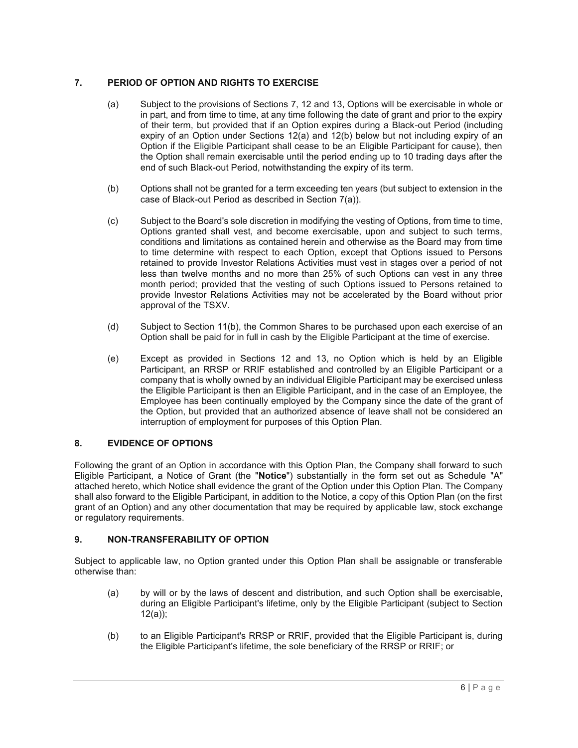## **7. PERIOD OF OPTION AND RIGHTS TO EXERCISE**

- (a) Subject to the provisions of Sections 7, 12 and 13, Options will be exercisable in whole or in part, and from time to time, at any time following the date of grant and prior to the expiry of their term, but provided that if an Option expires during a Black-out Period (including expiry of an Option under Sections 12(a) and 12(b) below but not including expiry of an Option if the Eligible Participant shall cease to be an Eligible Participant for cause), then the Option shall remain exercisable until the period ending up to 10 trading days after the end of such Black-out Period, notwithstanding the expiry of its term.
- (b) Options shall not be granted for a term exceeding ten years (but subject to extension in the case of Black-out Period as described in Section 7(a)).
- (c) Subject to the Board's sole discretion in modifying the vesting of Options, from time to time, Options granted shall vest, and become exercisable, upon and subject to such terms, conditions and limitations as contained herein and otherwise as the Board may from time to time determine with respect to each Option, except that Options issued to Persons retained to provide Investor Relations Activities must vest in stages over a period of not less than twelve months and no more than 25% of such Options can vest in any three month period; provided that the vesting of such Options issued to Persons retained to provide Investor Relations Activities may not be accelerated by the Board without prior approval of the TSXV.
- (d) Subject to Section 11(b), the Common Shares to be purchased upon each exercise of an Option shall be paid for in full in cash by the Eligible Participant at the time of exercise.
- (e) Except as provided in Sections 12 and 13, no Option which is held by an Eligible Participant, an RRSP or RRIF established and controlled by an Eligible Participant or a company that is wholly owned by an individual Eligible Participant may be exercised unless the Eligible Participant is then an Eligible Participant, and in the case of an Employee, the Employee has been continually employed by the Company since the date of the grant of the Option, but provided that an authorized absence of leave shall not be considered an interruption of employment for purposes of this Option Plan.

## **8. EVIDENCE OF OPTIONS**

Following the grant of an Option in accordance with this Option Plan, the Company shall forward to such Eligible Participant, a Notice of Grant (the "**Notice**") substantially in the form set out as Schedule "A" attached hereto, which Notice shall evidence the grant of the Option under this Option Plan. The Company shall also forward to the Eligible Participant, in addition to the Notice, a copy of this Option Plan (on the first grant of an Option) and any other documentation that may be required by applicable law, stock exchange or regulatory requirements.

## **9. NON-TRANSFERABILITY OF OPTION**

Subject to applicable law, no Option granted under this Option Plan shall be assignable or transferable otherwise than:

- (a) by will or by the laws of descent and distribution, and such Option shall be exercisable, during an Eligible Participant's lifetime, only by the Eligible Participant (subject to Section 12(a));
- (b) to an Eligible Participant's RRSP or RRIF, provided that the Eligible Participant is, during the Eligible Participant's lifetime, the sole beneficiary of the RRSP or RRIF; or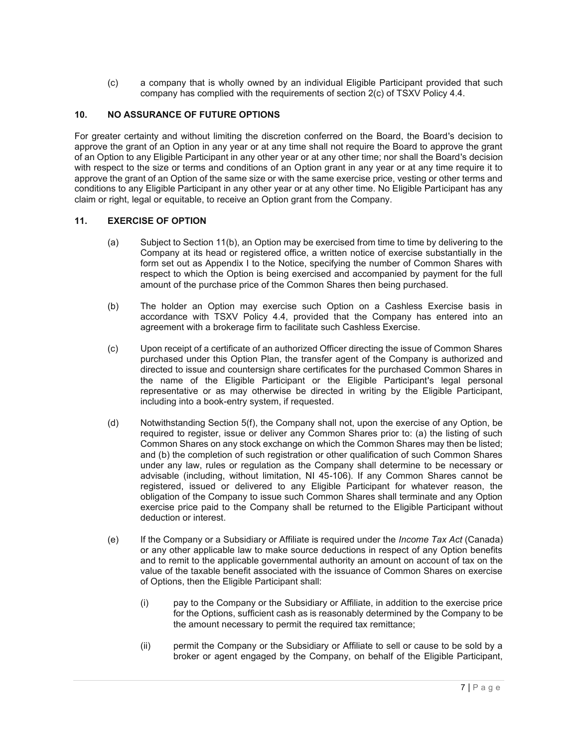(c) a company that is wholly owned by an individual Eligible Participant provided that such company has complied with the requirements of section 2(c) of TSXV Policy 4.4.

# **10. NO ASSURANCE OF FUTURE OPTIONS**

For greater certainty and without limiting the discretion conferred on the Board, the Board's decision to approve the grant of an Option in any year or at any time shall not require the Board to approve the grant of an Option to any Eligible Participant in any other year or at any other time; nor shall the Board's decision with respect to the size or terms and conditions of an Option grant in any year or at any time require it to approve the grant of an Option of the same size or with the same exercise price, vesting or other terms and conditions to any Eligible Participant in any other year or at any other time. No Eligible Participant has any claim or right, legal or equitable, to receive an Option grant from the Company.

#### **11. EXERCISE OF OPTION**

- (a) Subject to Section 11(b), an Option may be exercised from time to time by delivering to the Company at its head or registered office, a written notice of exercise substantially in the form set out as Appendix I to the Notice, specifying the number of Common Shares with respect to which the Option is being exercised and accompanied by payment for the full amount of the purchase price of the Common Shares then being purchased.
- (b) The holder an Option may exercise such Option on a Cashless Exercise basis in accordance with TSXV Policy 4.4, provided that the Company has entered into an agreement with a brokerage firm to facilitate such Cashless Exercise.
- (c) Upon receipt of a certificate of an authorized Officer directing the issue of Common Shares purchased under this Option Plan, the transfer agent of the Company is authorized and directed to issue and countersign share certificates for the purchased Common Shares in the name of the Eligible Participant or the Eligible Participant's legal personal representative or as may otherwise be directed in writing by the Eligible Participant, including into a book-entry system, if requested.
- (d) Notwithstanding Section 5(f), the Company shall not, upon the exercise of any Option, be required to register, issue or deliver any Common Shares prior to: (a) the listing of such Common Shares on any stock exchange on which the Common Shares may then be listed; and (b) the completion of such registration or other qualification of such Common Shares under any law, rules or regulation as the Company shall determine to be necessary or advisable (including, without limitation, NI 45-106). If any Common Shares cannot be registered, issued or delivered to any Eligible Participant for whatever reason, the obligation of the Company to issue such Common Shares shall terminate and any Option exercise price paid to the Company shall be returned to the Eligible Participant without deduction or interest.
- (e) If the Company or a Subsidiary or Affiliate is required under the *Income Tax Act* (Canada) or any other applicable law to make source deductions in respect of any Option benefits and to remit to the applicable governmental authority an amount on account of tax on the value of the taxable benefit associated with the issuance of Common Shares on exercise of Options, then the Eligible Participant shall:
	- (i) pay to the Company or the Subsidiary or Affiliate, in addition to the exercise price for the Options, sufficient cash as is reasonably determined by the Company to be the amount necessary to permit the required tax remittance;
	- (ii) permit the Company or the Subsidiary or Affiliate to sell or cause to be sold by a broker or agent engaged by the Company, on behalf of the Eligible Participant,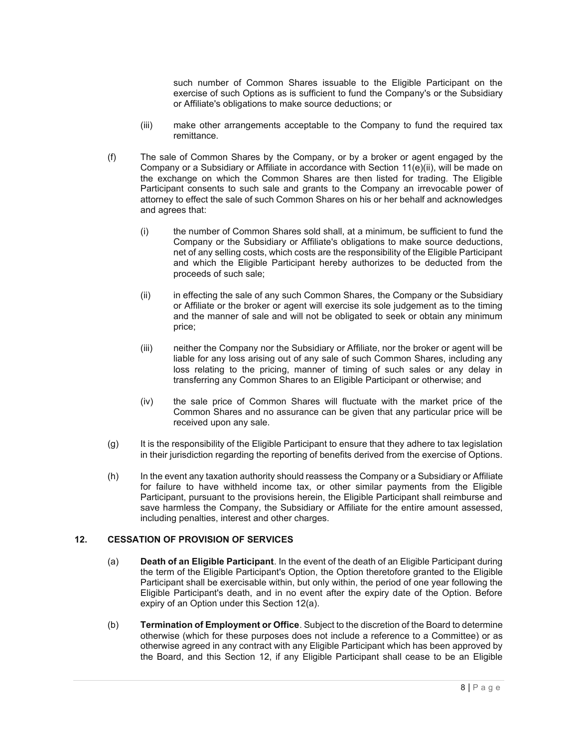such number of Common Shares issuable to the Eligible Participant on the exercise of such Options as is sufficient to fund the Company's or the Subsidiary or Affiliate's obligations to make source deductions; or

- (iii) make other arrangements acceptable to the Company to fund the required tax remittance.
- (f) The sale of Common Shares by the Company, or by a broker or agent engaged by the Company or a Subsidiary or Affiliate in accordance with Section 11(e)(ii), will be made on the exchange on which the Common Shares are then listed for trading. The Eligible Participant consents to such sale and grants to the Company an irrevocable power of attorney to effect the sale of such Common Shares on his or her behalf and acknowledges and agrees that:
	- (i) the number of Common Shares sold shall, at a minimum, be sufficient to fund the Company or the Subsidiary or Affiliate's obligations to make source deductions, net of any selling costs, which costs are the responsibility of the Eligible Participant and which the Eligible Participant hereby authorizes to be deducted from the proceeds of such sale;
	- (ii) in effecting the sale of any such Common Shares, the Company or the Subsidiary or Affiliate or the broker or agent will exercise its sole judgement as to the timing and the manner of sale and will not be obligated to seek or obtain any minimum price;
	- (iii) neither the Company nor the Subsidiary or Affiliate, nor the broker or agent will be liable for any loss arising out of any sale of such Common Shares, including any loss relating to the pricing, manner of timing of such sales or any delay in transferring any Common Shares to an Eligible Participant or otherwise; and
	- (iv) the sale price of Common Shares will fluctuate with the market price of the Common Shares and no assurance can be given that any particular price will be received upon any sale.
- (g) It is the responsibility of the Eligible Participant to ensure that they adhere to tax legislation in their jurisdiction regarding the reporting of benefits derived from the exercise of Options.
- (h) In the event any taxation authority should reassess the Company or a Subsidiary or Affiliate for failure to have withheld income tax, or other similar payments from the Eligible Participant, pursuant to the provisions herein, the Eligible Participant shall reimburse and save harmless the Company, the Subsidiary or Affiliate for the entire amount assessed, including penalties, interest and other charges.

### **12. CESSATION OF PROVISION OF SERVICES**

- (a) **Death of an Eligible Participant**. In the event of the death of an Eligible Participant during the term of the Eligible Participant's Option, the Option theretofore granted to the Eligible Participant shall be exercisable within, but only within, the period of one year following the Eligible Participant's death, and in no event after the expiry date of the Option. Before expiry of an Option under this Section 12(a).
- (b) **Termination of Employment or Office**. Subject to the discretion of the Board to determine otherwise (which for these purposes does not include a reference to a Committee) or as otherwise agreed in any contract with any Eligible Participant which has been approved by the Board, and this Section 12, if any Eligible Participant shall cease to be an Eligible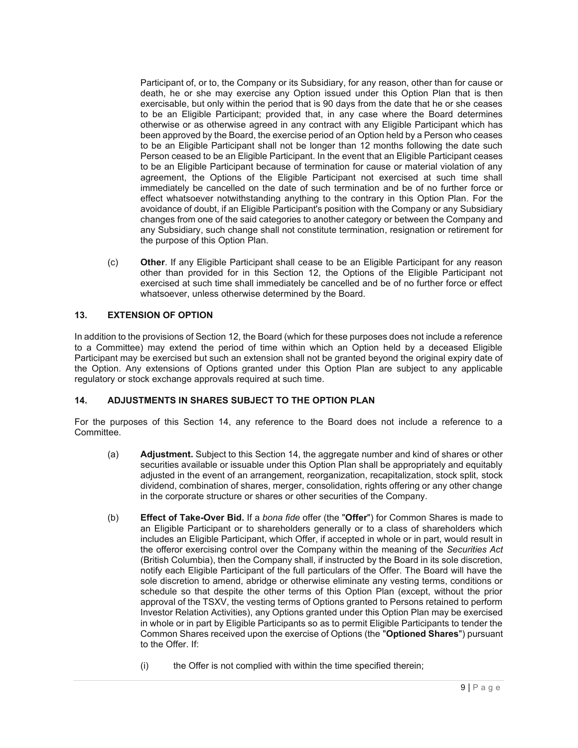Participant of, or to, the Company or its Subsidiary, for any reason, other than for cause or death, he or she may exercise any Option issued under this Option Plan that is then exercisable, but only within the period that is 90 days from the date that he or she ceases to be an Eligible Participant; provided that, in any case where the Board determines otherwise or as otherwise agreed in any contract with any Eligible Participant which has been approved by the Board, the exercise period of an Option held by a Person who ceases to be an Eligible Participant shall not be longer than 12 months following the date such Person ceased to be an Eligible Participant. In the event that an Eligible Participant ceases to be an Eligible Participant because of termination for cause or material violation of any agreement, the Options of the Eligible Participant not exercised at such time shall immediately be cancelled on the date of such termination and be of no further force or effect whatsoever notwithstanding anything to the contrary in this Option Plan. For the avoidance of doubt, if an Eligible Participant's position with the Company or any Subsidiary changes from one of the said categories to another category or between the Company and any Subsidiary, such change shall not constitute termination, resignation or retirement for the purpose of this Option Plan.

(c) **Other**. If any Eligible Participant shall cease to be an Eligible Participant for any reason other than provided for in this Section 12, the Options of the Eligible Participant not exercised at such time shall immediately be cancelled and be of no further force or effect whatsoever, unless otherwise determined by the Board.

### **13. EXTENSION OF OPTION**

In addition to the provisions of Section 12, the Board (which for these purposes does not include a reference to a Committee) may extend the period of time within which an Option held by a deceased Eligible Participant may be exercised but such an extension shall not be granted beyond the original expiry date of the Option. Any extensions of Options granted under this Option Plan are subject to any applicable regulatory or stock exchange approvals required at such time.

#### **14. ADJUSTMENTS IN SHARES SUBJECT TO THE OPTION PLAN**

For the purposes of this Section 14, any reference to the Board does not include a reference to a Committee.

- (a) **Adjustment.** Subject to this Section 14, the aggregate number and kind of shares or other securities available or issuable under this Option Plan shall be appropriately and equitably adjusted in the event of an arrangement, reorganization, recapitalization, stock split, stock dividend, combination of shares, merger, consolidation, rights offering or any other change in the corporate structure or shares or other securities of the Company.
- (b) **Effect of Take-Over Bid.** If a *bona fide* offer (the "**Offer**") for Common Shares is made to an Eligible Participant or to shareholders generally or to a class of shareholders which includes an Eligible Participant, which Offer, if accepted in whole or in part, would result in the offeror exercising control over the Company within the meaning of the *Securities Act*  (British Columbia), then the Company shall, if instructed by the Board in its sole discretion, notify each Eligible Participant of the full particulars of the Offer. The Board will have the sole discretion to amend, abridge or otherwise eliminate any vesting terms, conditions or schedule so that despite the other terms of this Option Plan (except, without the prior approval of the TSXV, the vesting terms of Options granted to Persons retained to perform Investor Relation Activities), any Options granted under this Option Plan may be exercised in whole or in part by Eligible Participants so as to permit Eligible Participants to tender the Common Shares received upon the exercise of Options (the "**Optioned Shares**") pursuant to the Offer. If:
	- (i) the Offer is not complied with within the time specified therein;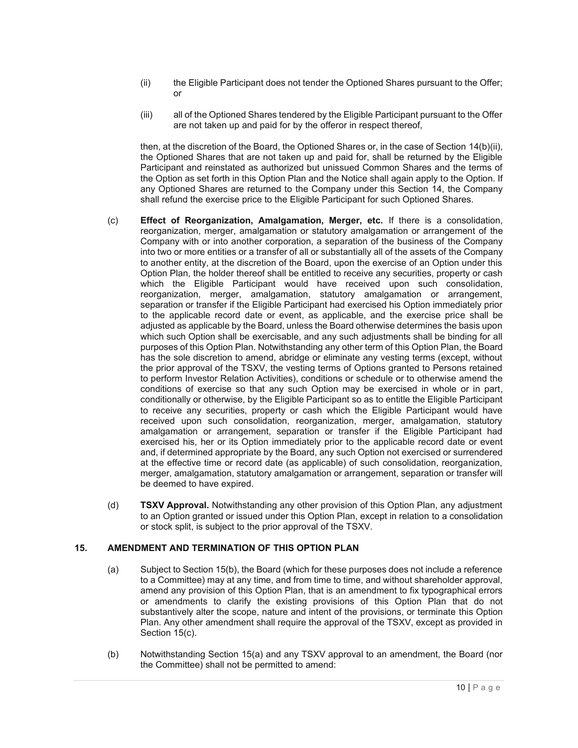- (ii) the Eligible Participant does not tender the Optioned Shares pursuant to the Offer; or
- (iii) all of the Optioned Shares tendered by the Eligible Participant pursuant to the Offer are not taken up and paid for by the offeror in respect thereof,

then, at the discretion of the Board, the Optioned Shares or, in the case of Section 14(b)(ii), the Optioned Shares that are not taken up and paid for, shall be returned by the Eligible Participant and reinstated as authorized but unissued Common Shares and the terms of the Option as set forth in this Option Plan and the Notice shall again apply to the Option. If any Optioned Shares are returned to the Company under this Section 14, the Company shall refund the exercise price to the Eligible Participant for such Optioned Shares.

- (c) **Effect of Reorganization, Amalgamation, Merger, etc.** If there is a consolidation, reorganization, merger, amalgamation or statutory amalgamation or arrangement of the Company with or into another corporation, a separation of the business of the Company into two or more entities or a transfer of all or substantially all of the assets of the Company to another entity, at the discretion of the Board, upon the exercise of an Option under this Option Plan, the holder thereof shall be entitled to receive any securities, property or cash which the Eligible Participant would have received upon such consolidation, reorganization, merger, amalgamation, statutory amalgamation or arrangement, separation or transfer if the Eligible Participant had exercised his Option immediately prior to the applicable record date or event, as applicable, and the exercise price shall be adjusted as applicable by the Board, unless the Board otherwise determines the basis upon which such Option shall be exercisable, and any such adjustments shall be binding for all purposes of this Option Plan. Notwithstanding any other term of this Option Plan, the Board has the sole discretion to amend, abridge or eliminate any vesting terms (except, without the prior approval of the TSXV, the vesting terms of Options granted to Persons retained to perform Investor Relation Activities), conditions or schedule or to otherwise amend the conditions of exercise so that any such Option may be exercised in whole or in part, conditionally or otherwise, by the Eligible Participant so as to entitle the Eligible Participant to receive any securities, property or cash which the Eligible Participant would have received upon such consolidation, reorganization, merger, amalgamation, statutory amalgamation or arrangement, separation or transfer if the Eligible Participant had exercised his, her or its Option immediately prior to the applicable record date or event and, if determined appropriate by the Board, any such Option not exercised or surrendered at the effective time or record date (as applicable) of such consolidation, reorganization, merger, amalgamation, statutory amalgamation or arrangement, separation or transfer will be deemed to have expired.
- (d) **TSXV Approval.** Notwithstanding any other provision of this Option Plan, any adjustment to an Option granted or issued under this Option Plan, except in relation to a consolidation or stock split, is subject to the prior approval of the TSXV.

#### **15. AMENDMENT AND TERMINATION OF THIS OPTION PLAN**

- (a) Subject to Section 15(b), the Board (which for these purposes does not include a reference to a Committee) may at any time, and from time to time, and without shareholder approval, amend any provision of this Option Plan, that is an amendment to fix typographical errors or amendments to clarify the existing provisions of this Option Plan that do not substantively alter the scope, nature and intent of the provisions, or terminate this Option Plan. Any other amendment shall require the approval of the TSXV, except as provided in Section 15(c).
- (b) Notwithstanding Section 15(a) and any TSXV approval to an amendment, the Board (nor the Committee) shall not be permitted to amend: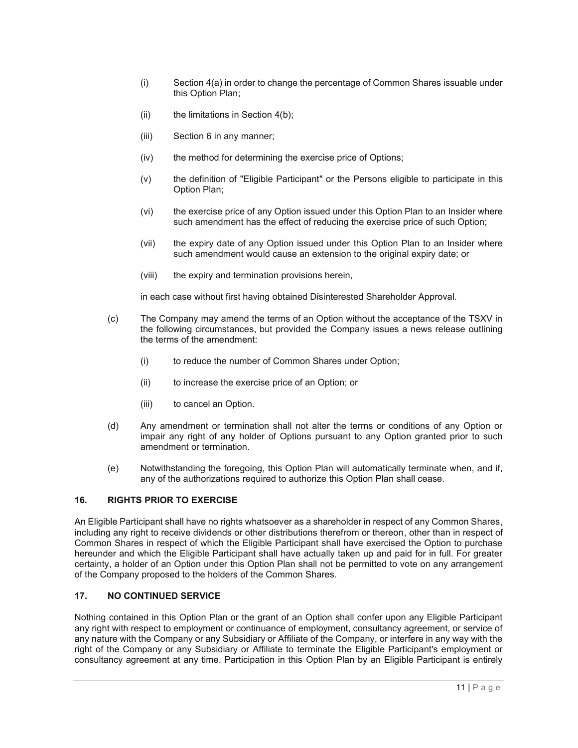- (i) Section 4(a) in order to change the percentage of Common Shares issuable under this Option Plan;
- (ii) the limitations in Section  $4(b)$ ;
- (iii) Section 6 in any manner;
- (iv) the method for determining the exercise price of Options;
- (v) the definition of "Eligible Participant" or the Persons eligible to participate in this Option Plan;
- (vi) the exercise price of any Option issued under this Option Plan to an Insider where such amendment has the effect of reducing the exercise price of such Option;
- (vii) the expiry date of any Option issued under this Option Plan to an Insider where such amendment would cause an extension to the original expiry date; or
- (viii) the expiry and termination provisions herein,

in each case without first having obtained Disinterested Shareholder Approval.

- (c) The Company may amend the terms of an Option without the acceptance of the TSXV in the following circumstances, but provided the Company issues a news release outlining the terms of the amendment:
	- (i) to reduce the number of Common Shares under Option;
	- (ii) to increase the exercise price of an Option; or
	- (iii) to cancel an Option.
- (d) Any amendment or termination shall not alter the terms or conditions of any Option or impair any right of any holder of Options pursuant to any Option granted prior to such amendment or termination.
- (e) Notwithstanding the foregoing, this Option Plan will automatically terminate when, and if, any of the authorizations required to authorize this Option Plan shall cease.

# **16. RIGHTS PRIOR TO EXERCISE**

An Eligible Participant shall have no rights whatsoever as a shareholder in respect of any Common Shares, including any right to receive dividends or other distributions therefrom or thereon, other than in respect of Common Shares in respect of which the Eligible Participant shall have exercised the Option to purchase hereunder and which the Eligible Participant shall have actually taken up and paid for in full. For greater certainty, a holder of an Option under this Option Plan shall not be permitted to vote on any arrangement of the Company proposed to the holders of the Common Shares.

#### **17. NO CONTINUED SERVICE**

Nothing contained in this Option Plan or the grant of an Option shall confer upon any Eligible Participant any right with respect to employment or continuance of employment, consultancy agreement, or service of any nature with the Company or any Subsidiary or Affiliate of the Company, or interfere in any way with the right of the Company or any Subsidiary or Affiliate to terminate the Eligible Participant's employment or consultancy agreement at any time. Participation in this Option Plan by an Eligible Participant is entirely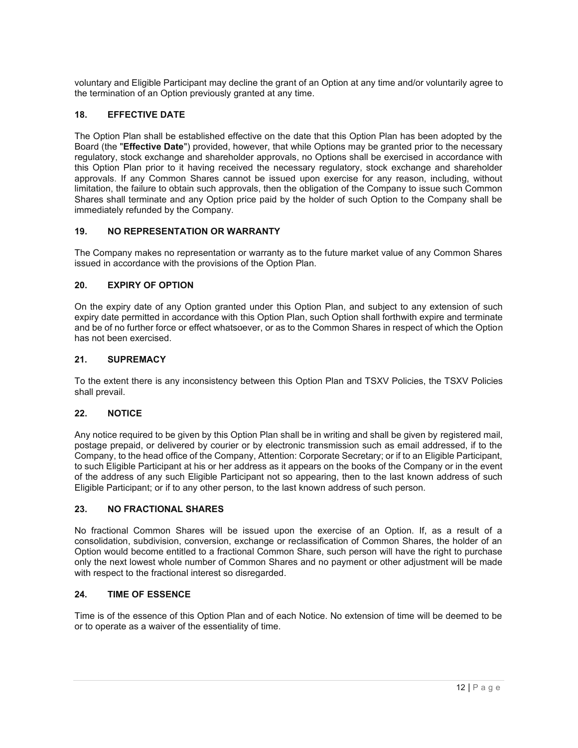voluntary and Eligible Participant may decline the grant of an Option at any time and/or voluntarily agree to the termination of an Option previously granted at any time.

### **18. EFFECTIVE DATE**

The Option Plan shall be established effective on the date that this Option Plan has been adopted by the Board (the "**Effective Date**") provided, however, that while Options may be granted prior to the necessary regulatory, stock exchange and shareholder approvals, no Options shall be exercised in accordance with this Option Plan prior to it having received the necessary regulatory, stock exchange and shareholder approvals. If any Common Shares cannot be issued upon exercise for any reason, including, without limitation, the failure to obtain such approvals, then the obligation of the Company to issue such Common Shares shall terminate and any Option price paid by the holder of such Option to the Company shall be immediately refunded by the Company.

### **19. NO REPRESENTATION OR WARRANTY**

The Company makes no representation or warranty as to the future market value of any Common Shares issued in accordance with the provisions of the Option Plan.

#### **20. EXPIRY OF OPTION**

On the expiry date of any Option granted under this Option Plan, and subject to any extension of such expiry date permitted in accordance with this Option Plan, such Option shall forthwith expire and terminate and be of no further force or effect whatsoever, or as to the Common Shares in respect of which the Option has not been exercised.

#### **21. SUPREMACY**

To the extent there is any inconsistency between this Option Plan and TSXV Policies, the TSXV Policies shall prevail.

#### **22. NOTICE**

Any notice required to be given by this Option Plan shall be in writing and shall be given by registered mail, postage prepaid, or delivered by courier or by electronic transmission such as email addressed, if to the Company, to the head office of the Company, Attention: Corporate Secretary; or if to an Eligible Participant, to such Eligible Participant at his or her address as it appears on the books of the Company or in the event of the address of any such Eligible Participant not so appearing, then to the last known address of such Eligible Participant; or if to any other person, to the last known address of such person.

#### **23. NO FRACTIONAL SHARES**

No fractional Common Shares will be issued upon the exercise of an Option. If, as a result of a consolidation, subdivision, conversion, exchange or reclassification of Common Shares, the holder of an Option would become entitled to a fractional Common Share, such person will have the right to purchase only the next lowest whole number of Common Shares and no payment or other adjustment will be made with respect to the fractional interest so disregarded.

#### **24. TIME OF ESSENCE**

Time is of the essence of this Option Plan and of each Notice. No extension of time will be deemed to be or to operate as a waiver of the essentiality of time.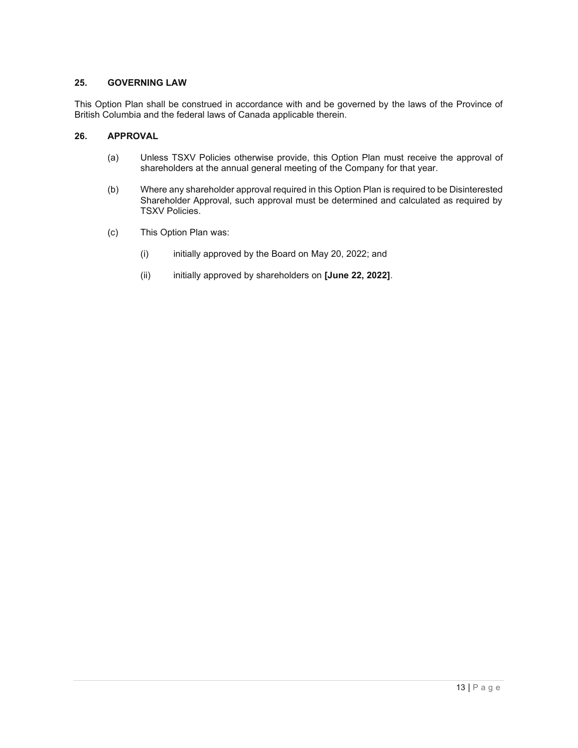#### **25. GOVERNING LAW**

This Option Plan shall be construed in accordance with and be governed by the laws of the Province of British Columbia and the federal laws of Canada applicable therein.

## **26. APPROVAL**

- (a) Unless TSXV Policies otherwise provide, this Option Plan must receive the approval of shareholders at the annual general meeting of the Company for that year.
- (b) Where any shareholder approval required in this Option Plan is required to be Disinterested Shareholder Approval, such approval must be determined and calculated as required by TSXV Policies.
- (c) This Option Plan was:
	- (i) initially approved by the Board on May 20, 2022; and
	- (ii) initially approved by shareholders on **[June 22, 2022]**.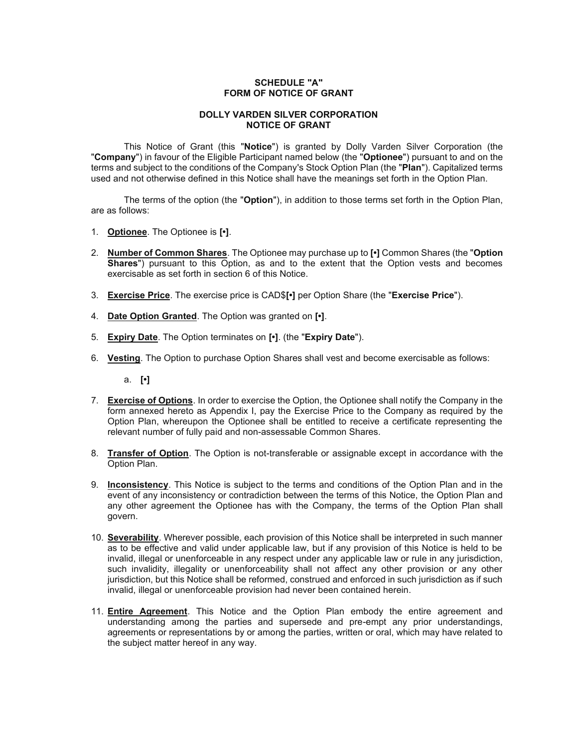### **SCHEDULE "A" FORM OF NOTICE OF GRANT**

#### **DOLLY VARDEN SILVER CORPORATION NOTICE OF GRANT**

This Notice of Grant (this "**Notice**") is granted by Dolly Varden Silver Corporation (the "**Company**") in favour of the Eligible Participant named below (the "**Optionee**") pursuant to and on the terms and subject to the conditions of the Company's Stock Option Plan (the "**Plan**"). Capitalized terms used and not otherwise defined in this Notice shall have the meanings set forth in the Option Plan.

The terms of the option (the "**Option**"), in addition to those terms set forth in the Option Plan, are as follows:

- 1. **Optionee**. The Optionee is **[•]**.
- 2. **Number of Common Shares**. The Optionee may purchase up to **[•]** Common Shares (the "**Option Shares**") pursuant to this Option, as and to the extent that the Option vests and becomes exercisable as set forth in section 6 of this Notice.
- 3. **Exercise Price**. The exercise price is CAD\$**[•]** per Option Share (the "**Exercise Price**").
- 4. **Date Option Granted**. The Option was granted on **[•]**.
- 5. **Expiry Date**. The Option terminates on **[•]**. (the "**Expiry Date**").
- 6. **Vesting**. The Option to purchase Option Shares shall vest and become exercisable as follows:

a. **[•]**

- 7. **Exercise of Options**. In order to exercise the Option, the Optionee shall notify the Company in the form annexed hereto as Appendix I, pay the Exercise Price to the Company as required by the Option Plan, whereupon the Optionee shall be entitled to receive a certificate representing the relevant number of fully paid and non-assessable Common Shares.
- 8. **Transfer of Option**. The Option is not-transferable or assignable except in accordance with the Option Plan.
- 9. **Inconsistency**. This Notice is subject to the terms and conditions of the Option Plan and in the event of any inconsistency or contradiction between the terms of this Notice, the Option Plan and any other agreement the Optionee has with the Company, the terms of the Option Plan shall govern.
- 10. **Severability**. Wherever possible, each provision of this Notice shall be interpreted in such manner as to be effective and valid under applicable law, but if any provision of this Notice is held to be invalid, illegal or unenforceable in any respect under any applicable law or rule in any jurisdiction, such invalidity, illegality or unenforceability shall not affect any other provision or any other jurisdiction, but this Notice shall be reformed, construed and enforced in such jurisdiction as if such invalid, illegal or unenforceable provision had never been contained herein.
- 11. **Entire Agreement**. This Notice and the Option Plan embody the entire agreement and understanding among the parties and supersede and pre-empt any prior understandings, agreements or representations by or among the parties, written or oral, which may have related to the subject matter hereof in any way.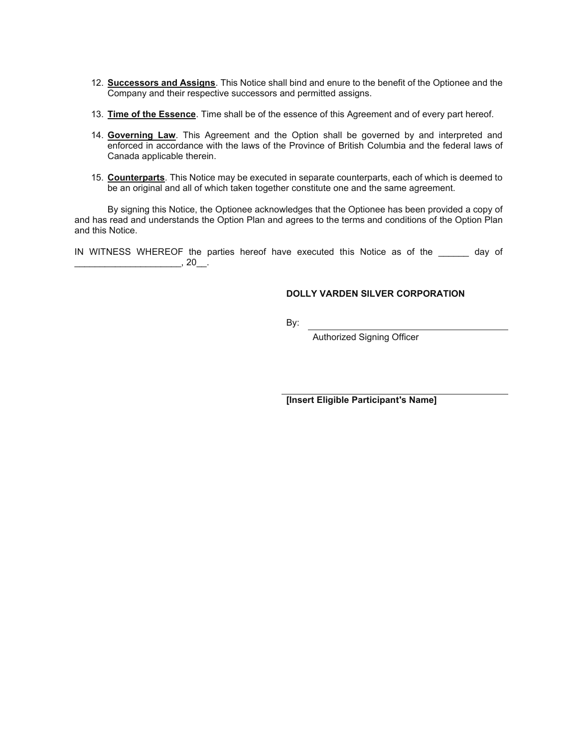- 12. **Successors and Assigns**. This Notice shall bind and enure to the benefit of the Optionee and the Company and their respective successors and permitted assigns.
- 13. **Time of the Essence**. Time shall be of the essence of this Agreement and of every part hereof.
- 14. **Governing Law**. This Agreement and the Option shall be governed by and interpreted and enforced in accordance with the laws of the Province of British Columbia and the federal laws of Canada applicable therein.
- 15. **Counterparts**. This Notice may be executed in separate counterparts, each of which is deemed to be an original and all of which taken together constitute one and the same agreement.

By signing this Notice, the Optionee acknowledges that the Optionee has been provided a copy of and has read and understands the Option Plan and agrees to the terms and conditions of the Option Plan and this Notice.

IN WITNESS WHEREOF the parties hereof have executed this Notice as of the day of \_\_\_\_\_\_\_\_\_\_\_\_\_\_\_\_\_\_\_\_\_, 20\_\_.

### **DOLLY VARDEN SILVER CORPORATION**

By:

Authorized Signing Officer

**[Insert Eligible Participant's Name]**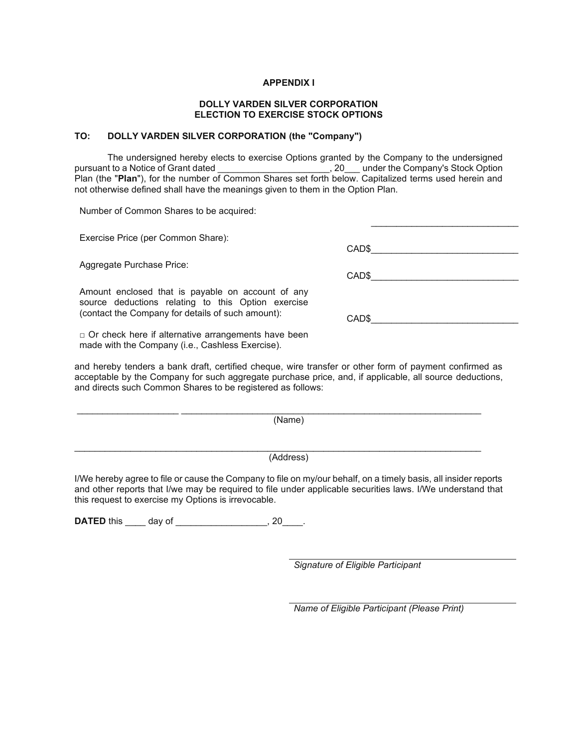#### **APPENDIX I**

#### **DOLLY VARDEN SILVER CORPORATION ELECTION TO EXERCISE STOCK OPTIONS**

#### **TO: DOLLY VARDEN SILVER CORPORATION (the "Company")**

The undersigned hereby elects to exercise Options granted by the Company to the undersigned pursuant to a Notice of Grant dated \_\_\_\_\_\_\_\_\_\_\_\_\_\_\_\_\_\_\_\_\_\_, 20\_\_\_ under the Company's Stock Option Plan (the "**Plan**"), for the number of Common Shares set forth below. Capitalized terms used herein and not otherwise defined shall have the meanings given to them in the Option Plan.

Number of Common Shares to be acquired:

Exercise Price (per Common Share):

Aggregate Purchase Price:

Amount enclosed that is payable on account of any source deductions relating to this Option exercise (contact the Company for details of such amount): CAD\$\_\_\_\_\_\_\_\_\_\_\_\_\_\_\_\_\_\_\_\_\_\_\_\_\_\_\_\_\_

 $\Box$  Or check here if alternative arrangements have been made with the Company (i.e., Cashless Exercise).

and hereby tenders a bank draft, certified cheque, wire transfer or other form of payment confirmed as acceptable by the Company for such aggregate purchase price, and, if applicable, all source deductions, and directs such Common Shares to be registered as follows:

(Name)

\_\_\_\_\_\_\_\_\_\_\_\_\_\_\_\_\_\_\_\_ \_\_\_\_\_\_\_\_\_\_\_\_\_\_\_\_\_\_\_\_\_\_\_\_\_\_\_\_\_\_\_\_\_\_\_\_\_\_\_\_\_\_\_\_\_\_\_\_\_\_\_\_\_\_\_\_\_\_\_

\_\_\_\_\_\_\_\_\_\_\_\_\_\_\_\_\_\_\_\_\_\_\_\_\_\_\_\_\_\_\_\_\_\_\_\_\_\_\_\_\_\_\_\_\_\_\_\_\_\_\_\_\_\_\_\_\_\_\_\_\_\_\_\_\_\_\_\_\_\_\_\_\_\_\_\_\_\_\_\_

(Address)

I/We hereby agree to file or cause the Company to file on my/our behalf, on a timely basis, all insider reports and other reports that I/we may be required to file under applicable securities laws. I/We understand that this request to exercise my Options is irrevocable.

**DATED** this \_\_\_\_\_ day of \_\_\_\_\_\_\_\_\_\_\_\_\_\_\_\_\_\_\_, 20\_\_\_\_.

*Signature of Eligible Participant*

*Name of Eligible Participant (Please Print)*

CAD\$\_\_\_\_\_\_\_\_\_\_\_\_\_\_\_\_\_\_\_\_\_\_\_\_\_\_\_\_\_

\_\_\_\_\_\_\_\_\_\_\_\_\_\_\_\_\_\_\_\_\_\_\_\_\_\_\_\_\_

CAD\$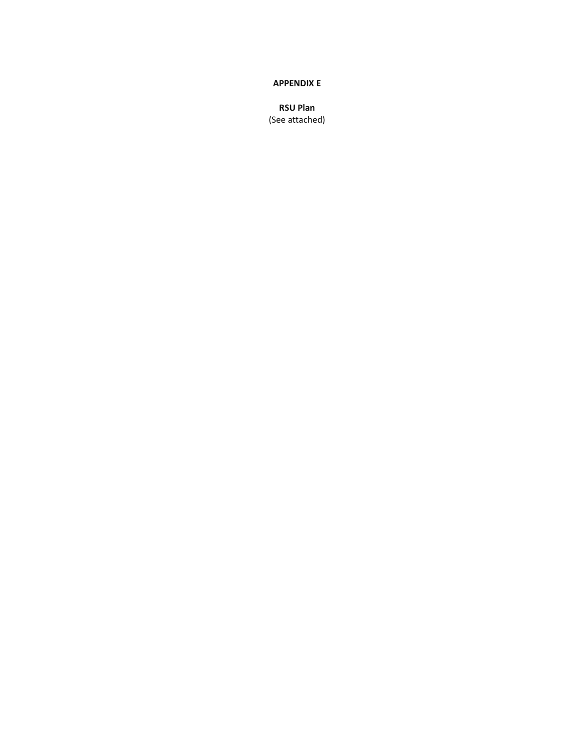#### **APPENDIX E**

**RSU Plan**  (See attached)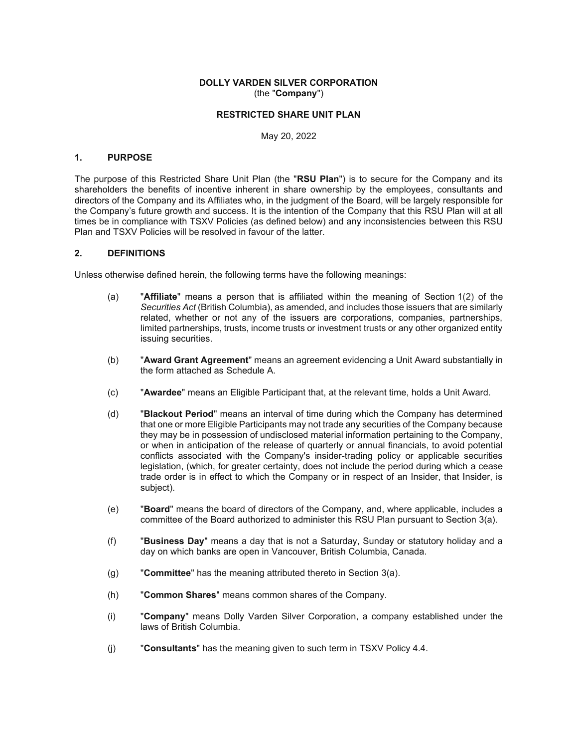#### **DOLLY VARDEN SILVER CORPORATION**  (the "**Company**")

### **RESTRICTED SHARE UNIT PLAN**

May 20, 2022

#### **1. PURPOSE**

The purpose of this Restricted Share Unit Plan (the "**RSU Plan**") is to secure for the Company and its shareholders the benefits of incentive inherent in share ownership by the employees, consultants and directors of the Company and its Affiliates who, in the judgment of the Board, will be largely responsible for the Company's future growth and success. It is the intention of the Company that this RSU Plan will at all times be in compliance with TSXV Policies (as defined below) and any inconsistencies between this RSU Plan and TSXV Policies will be resolved in favour of the latter.

#### **2. DEFINITIONS**

Unless otherwise defined herein, the following terms have the following meanings:

- (a) "**Affiliate**" means a person that is affiliated within the meaning of Section 1(2) of the *Securities Act* (British Columbia), as amended, and includes those issuers that are similarly related, whether or not any of the issuers are corporations, companies, partnerships, limited partnerships, trusts, income trusts or investment trusts or any other organized entity issuing securities.
- (b) "**Award Grant Agreement**" means an agreement evidencing a Unit Award substantially in the form attached as Schedule A.
- (c) "**Awardee**" means an Eligible Participant that, at the relevant time, holds a Unit Award.
- (d) "**Blackout Period**" means an interval of time during which the Company has determined that one or more Eligible Participants may not trade any securities of the Company because they may be in possession of undisclosed material information pertaining to the Company, or when in anticipation of the release of quarterly or annual financials, to avoid potential conflicts associated with the Company's insider-trading policy or applicable securities legislation, (which, for greater certainty, does not include the period during which a cease trade order is in effect to which the Company or in respect of an Insider, that Insider, is subject).
- (e) "**Board**" means the board of directors of the Company, and, where applicable, includes a committee of the Board authorized to administer this RSU Plan pursuant to Section 3(a).
- (f) "**Business Day**" means a day that is not a Saturday, Sunday or statutory holiday and a day on which banks are open in Vancouver, British Columbia, Canada.
- (g) "**Committee**" has the meaning attributed thereto in Section 3(a).
- (h) "**Common Shares**" means common shares of the Company.
- (i) "**Company**" means Dolly Varden Silver Corporation, a company established under the laws of British Columbia.
- (j) "**Consultants**" has the meaning given to such term in TSXV Policy 4.4.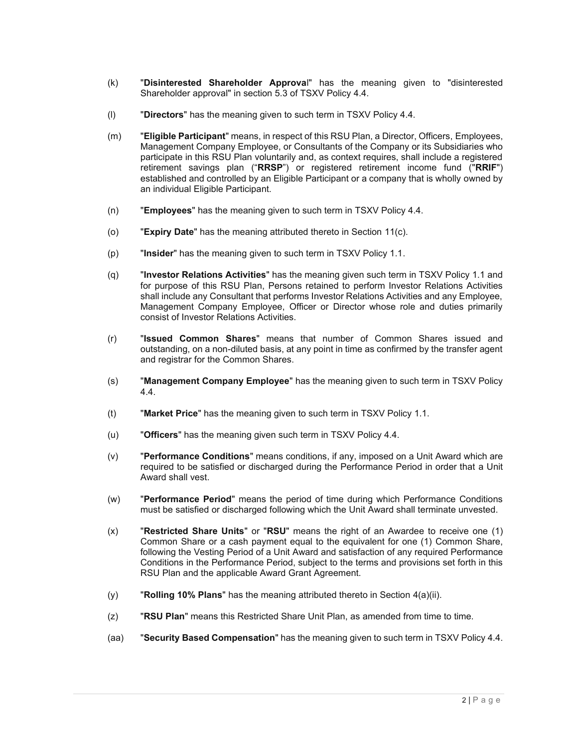- (k) "**Disinterested Shareholder Approva**l" has the meaning given to "disinterested Shareholder approval" in section 5.3 of TSXV Policy 4.4.
- (l) "**Directors**" has the meaning given to such term in TSXV Policy 4.4.
- (m) "**Eligible Participant**" means, in respect of this RSU Plan, a Director, Officers, Employees, Management Company Employee, or Consultants of the Company or its Subsidiaries who participate in this RSU Plan voluntarily and, as context requires, shall include a registered retirement savings plan ("**RRSP**") or registered retirement income fund ("**RRIF**") established and controlled by an Eligible Participant or a company that is wholly owned by an individual Eligible Participant.
- (n) "**Employees**" has the meaning given to such term in TSXV Policy 4.4.
- (o) "**Expiry Date**" has the meaning attributed thereto in Section 11(c).
- (p) "**Insider**" has the meaning given to such term in TSXV Policy 1.1.
- (q) "**Investor Relations Activities**" has the meaning given such term in TSXV Policy 1.1 and for purpose of this RSU Plan, Persons retained to perform Investor Relations Activities shall include any Consultant that performs Investor Relations Activities and any Employee, Management Company Employee, Officer or Director whose role and duties primarily consist of Investor Relations Activities.
- (r) "**Issued Common Shares**" means that number of Common Shares issued and outstanding, on a non-diluted basis, at any point in time as confirmed by the transfer agent and registrar for the Common Shares.
- (s) "**Management Company Employee**" has the meaning given to such term in TSXV Policy 4.4.
- (t) "**Market Price**" has the meaning given to such term in TSXV Policy 1.1.
- (u) "**Officers**" has the meaning given such term in TSXV Policy 4.4.
- (v) "**Performance Conditions**" means conditions, if any, imposed on a Unit Award which are required to be satisfied or discharged during the Performance Period in order that a Unit Award shall vest.
- (w) "**Performance Period**" means the period of time during which Performance Conditions must be satisfied or discharged following which the Unit Award shall terminate unvested.
- (x) "**Restricted Share Units**" or "**RSU**" means the right of an Awardee to receive one (1) Common Share or a cash payment equal to the equivalent for one (1) Common Share, following the Vesting Period of a Unit Award and satisfaction of any required Performance Conditions in the Performance Period, subject to the terms and provisions set forth in this RSU Plan and the applicable Award Grant Agreement.
- (y) "**Rolling 10% Plans**" has the meaning attributed thereto in Section 4(a)(ii).
- (z) "**RSU Plan**" means this Restricted Share Unit Plan, as amended from time to time.
- (aa) "**Security Based Compensation**" has the meaning given to such term in TSXV Policy 4.4.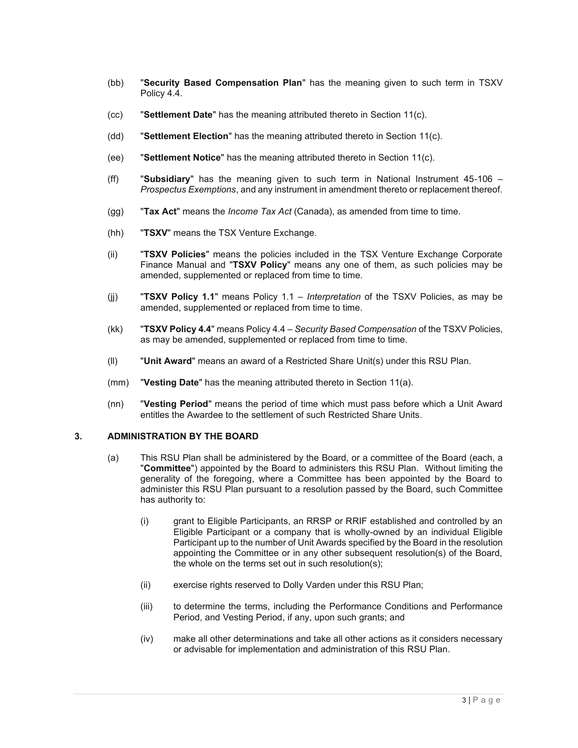- (bb) "**Security Based Compensation Plan**" has the meaning given to such term in TSXV Policy 4.4.
- (cc) "**Settlement Date**" has the meaning attributed thereto in Section 11(c).
- (dd) "**Settlement Election**" has the meaning attributed thereto in Section 11(c).
- (ee) "**Settlement Notice**" has the meaning attributed thereto in Section 11(c).
- (ff) "**Subsidiary**" has the meaning given to such term in National Instrument 45-106 *Prospectus Exemptions*, and any instrument in amendment thereto or replacement thereof.
- (gg) "**Tax Act**" means the *Income Tax Act* (Canada), as amended from time to time.
- (hh) "**TSXV**" means the TSX Venture Exchange.
- (ii) "**TSXV Policies**" means the policies included in the TSX Venture Exchange Corporate Finance Manual and "**TSXV Policy**" means any one of them, as such policies may be amended, supplemented or replaced from time to time.
- (jj) "**TSXV Policy 1.1**" means Policy 1.1 *Interpretation* of the TSXV Policies, as may be amended, supplemented or replaced from time to time.
- (kk) "**TSXV Policy 4.4**" means Policy 4.4 *Security Based Compensation* of the TSXV Policies, as may be amended, supplemented or replaced from time to time.
- (ll) "**Unit Award**" means an award of a Restricted Share Unit(s) under this RSU Plan.
- (mm) "**Vesting Date**" has the meaning attributed thereto in Section 11(a).
- (nn) "**Vesting Period**" means the period of time which must pass before which a Unit Award entitles the Awardee to the settlement of such Restricted Share Units.

#### **3. ADMINISTRATION BY THE BOARD**

- (a) This RSU Plan shall be administered by the Board, or a committee of the Board (each, a "**Committee**") appointed by the Board to administers this RSU Plan. Without limiting the generality of the foregoing, where a Committee has been appointed by the Board to administer this RSU Plan pursuant to a resolution passed by the Board, such Committee has authority to:
	- (i) grant to Eligible Participants, an RRSP or RRIF established and controlled by an Eligible Participant or a company that is wholly-owned by an individual Eligible Participant up to the number of Unit Awards specified by the Board in the resolution appointing the Committee or in any other subsequent resolution(s) of the Board, the whole on the terms set out in such resolution(s);
	- (ii) exercise rights reserved to Dolly Varden under this RSU Plan;
	- (iii) to determine the terms, including the Performance Conditions and Performance Period, and Vesting Period, if any, upon such grants; and
	- (iv) make all other determinations and take all other actions as it considers necessary or advisable for implementation and administration of this RSU Plan.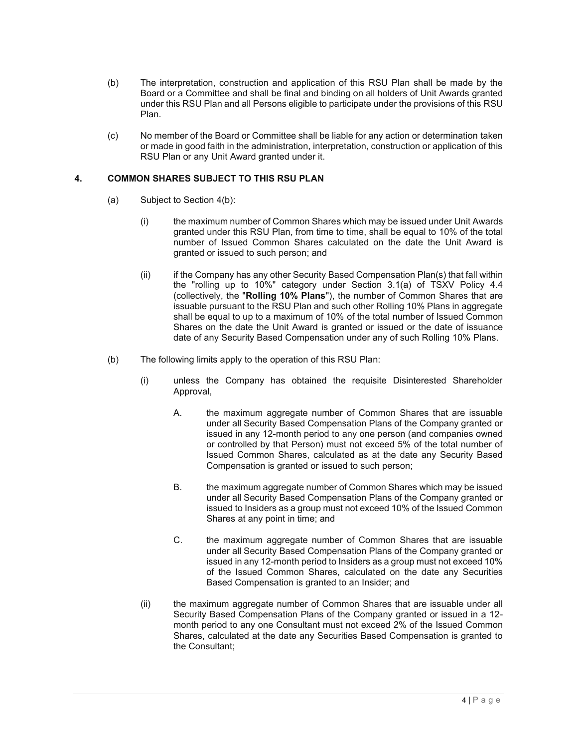- (b) The interpretation, construction and application of this RSU Plan shall be made by the Board or a Committee and shall be final and binding on all holders of Unit Awards granted under this RSU Plan and all Persons eligible to participate under the provisions of this RSU Plan.
- (c) No member of the Board or Committee shall be liable for any action or determination taken or made in good faith in the administration, interpretation, construction or application of this RSU Plan or any Unit Award granted under it.

## **4. COMMON SHARES SUBJECT TO THIS RSU PLAN**

- (a) Subject to Section 4(b):
	- (i) the maximum number of Common Shares which may be issued under Unit Awards granted under this RSU Plan, from time to time, shall be equal to 10% of the total number of Issued Common Shares calculated on the date the Unit Award is granted or issued to such person; and
	- (ii) if the Company has any other Security Based Compensation Plan(s) that fall within the "rolling up to 10%" category under Section 3.1(a) of TSXV Policy 4.4 (collectively, the "**Rolling 10% Plans**"), the number of Common Shares that are issuable pursuant to the RSU Plan and such other Rolling 10% Plans in aggregate shall be equal to up to a maximum of 10% of the total number of Issued Common Shares on the date the Unit Award is granted or issued or the date of issuance date of any Security Based Compensation under any of such Rolling 10% Plans.
- (b) The following limits apply to the operation of this RSU Plan:
	- (i) unless the Company has obtained the requisite Disinterested Shareholder Approval,
		- A. the maximum aggregate number of Common Shares that are issuable under all Security Based Compensation Plans of the Company granted or issued in any 12-month period to any one person (and companies owned or controlled by that Person) must not exceed 5% of the total number of Issued Common Shares, calculated as at the date any Security Based Compensation is granted or issued to such person;
		- B. the maximum aggregate number of Common Shares which may be issued under all Security Based Compensation Plans of the Company granted or issued to Insiders as a group must not exceed 10% of the Issued Common Shares at any point in time; and
		- C. the maximum aggregate number of Common Shares that are issuable under all Security Based Compensation Plans of the Company granted or issued in any 12-month period to Insiders as a group must not exceed 10% of the Issued Common Shares, calculated on the date any Securities Based Compensation is granted to an Insider; and
	- (ii) the maximum aggregate number of Common Shares that are issuable under all Security Based Compensation Plans of the Company granted or issued in a 12 month period to any one Consultant must not exceed 2% of the Issued Common Shares, calculated at the date any Securities Based Compensation is granted to the Consultant;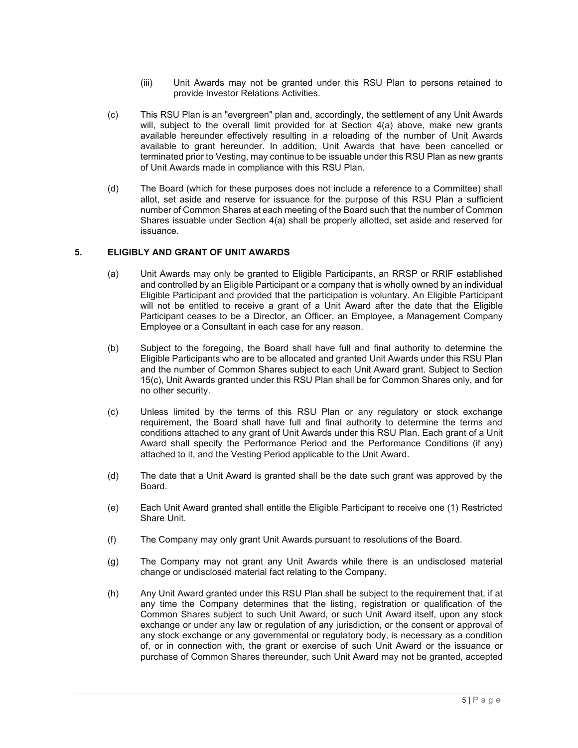- (iii) Unit Awards may not be granted under this RSU Plan to persons retained to provide Investor Relations Activities.
- (c) This RSU Plan is an "evergreen" plan and, accordingly, the settlement of any Unit Awards will, subject to the overall limit provided for at Section 4(a) above, make new grants available hereunder effectively resulting in a reloading of the number of Unit Awards available to grant hereunder. In addition, Unit Awards that have been cancelled or terminated prior to Vesting, may continue to be issuable under this RSU Plan as new grants of Unit Awards made in compliance with this RSU Plan.
- (d) The Board (which for these purposes does not include a reference to a Committee) shall allot, set aside and reserve for issuance for the purpose of this RSU Plan a sufficient number of Common Shares at each meeting of the Board such that the number of Common Shares issuable under Section 4(a) shall be properly allotted, set aside and reserved for issuance.

#### **5. ELIGIBLY AND GRANT OF UNIT AWARDS**

- (a) Unit Awards may only be granted to Eligible Participants, an RRSP or RRIF established and controlled by an Eligible Participant or a company that is wholly owned by an individual Eligible Participant and provided that the participation is voluntary. An Eligible Participant will not be entitled to receive a grant of a Unit Award after the date that the Eligible Participant ceases to be a Director, an Officer, an Employee, a Management Company Employee or a Consultant in each case for any reason.
- (b) Subject to the foregoing, the Board shall have full and final authority to determine the Eligible Participants who are to be allocated and granted Unit Awards under this RSU Plan and the number of Common Shares subject to each Unit Award grant. Subject to Section 15(c), Unit Awards granted under this RSU Plan shall be for Common Shares only, and for no other security.
- (c) Unless limited by the terms of this RSU Plan or any regulatory or stock exchange requirement, the Board shall have full and final authority to determine the terms and conditions attached to any grant of Unit Awards under this RSU Plan. Each grant of a Unit Award shall specify the Performance Period and the Performance Conditions (if any) attached to it, and the Vesting Period applicable to the Unit Award.
- (d) The date that a Unit Award is granted shall be the date such grant was approved by the Board.
- (e) Each Unit Award granted shall entitle the Eligible Participant to receive one (1) Restricted Share Unit.
- (f) The Company may only grant Unit Awards pursuant to resolutions of the Board.
- (g) The Company may not grant any Unit Awards while there is an undisclosed material change or undisclosed material fact relating to the Company.
- (h) Any Unit Award granted under this RSU Plan shall be subject to the requirement that, if at any time the Company determines that the listing, registration or qualification of the Common Shares subject to such Unit Award, or such Unit Award itself, upon any stock exchange or under any law or regulation of any jurisdiction, or the consent or approval of any stock exchange or any governmental or regulatory body, is necessary as a condition of, or in connection with, the grant or exercise of such Unit Award or the issuance or purchase of Common Shares thereunder, such Unit Award may not be granted, accepted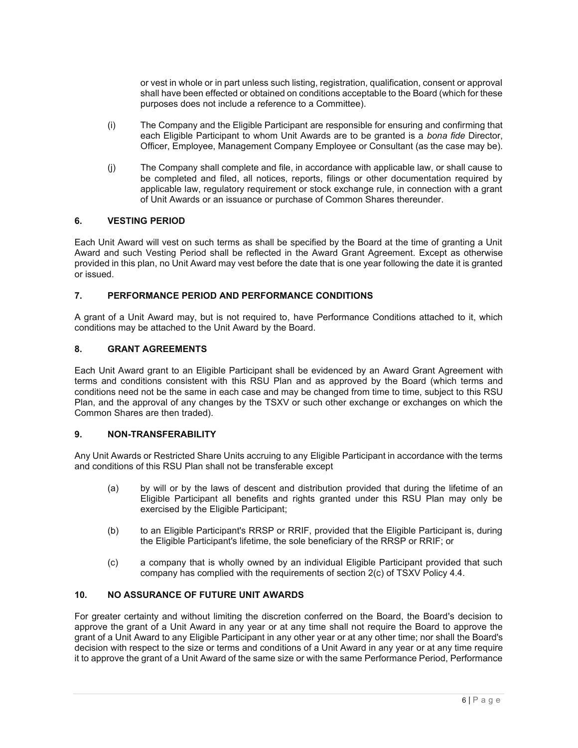or vest in whole or in part unless such listing, registration, qualification, consent or approval shall have been effected or obtained on conditions acceptable to the Board (which for these purposes does not include a reference to a Committee).

- (i) The Company and the Eligible Participant are responsible for ensuring and confirming that each Eligible Participant to whom Unit Awards are to be granted is a *bona fide* Director, Officer, Employee, Management Company Employee or Consultant (as the case may be).
- (j) The Company shall complete and file, in accordance with applicable law, or shall cause to be completed and filed, all notices, reports, filings or other documentation required by applicable law, regulatory requirement or stock exchange rule, in connection with a grant of Unit Awards or an issuance or purchase of Common Shares thereunder.

### **6. VESTING PERIOD**

Each Unit Award will vest on such terms as shall be specified by the Board at the time of granting a Unit Award and such Vesting Period shall be reflected in the Award Grant Agreement. Except as otherwise provided in this plan, no Unit Award may vest before the date that is one year following the date it is granted or issued.

### **7. PERFORMANCE PERIOD AND PERFORMANCE CONDITIONS**

A grant of a Unit Award may, but is not required to, have Performance Conditions attached to it, which conditions may be attached to the Unit Award by the Board.

#### **8. GRANT AGREEMENTS**

Each Unit Award grant to an Eligible Participant shall be evidenced by an Award Grant Agreement with terms and conditions consistent with this RSU Plan and as approved by the Board (which terms and conditions need not be the same in each case and may be changed from time to time, subject to this RSU Plan, and the approval of any changes by the TSXV or such other exchange or exchanges on which the Common Shares are then traded).

#### **9. NON-TRANSFERABILITY**

Any Unit Awards or Restricted Share Units accruing to any Eligible Participant in accordance with the terms and conditions of this RSU Plan shall not be transferable except

- (a) by will or by the laws of descent and distribution provided that during the lifetime of an Eligible Participant all benefits and rights granted under this RSU Plan may only be exercised by the Eligible Participant;
- (b) to an Eligible Participant's RRSP or RRIF, provided that the Eligible Participant is, during the Eligible Participant's lifetime, the sole beneficiary of the RRSP or RRIF; or
- (c) a company that is wholly owned by an individual Eligible Participant provided that such company has complied with the requirements of section 2(c) of TSXV Policy 4.4.

### **10. NO ASSURANCE OF FUTURE UNIT AWARDS**

For greater certainty and without limiting the discretion conferred on the Board, the Board's decision to approve the grant of a Unit Award in any year or at any time shall not require the Board to approve the grant of a Unit Award to any Eligible Participant in any other year or at any other time; nor shall the Board's decision with respect to the size or terms and conditions of a Unit Award in any year or at any time require it to approve the grant of a Unit Award of the same size or with the same Performance Period, Performance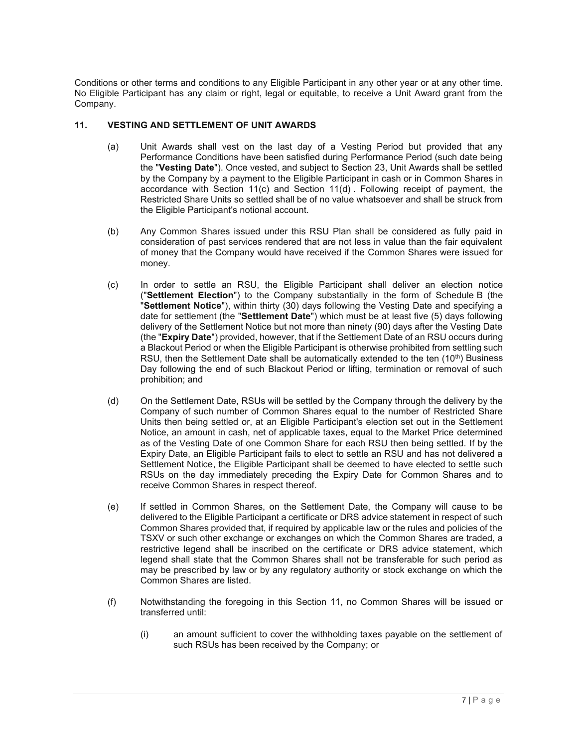Conditions or other terms and conditions to any Eligible Participant in any other year or at any other time. No Eligible Participant has any claim or right, legal or equitable, to receive a Unit Award grant from the Company.

## **11. VESTING AND SETTLEMENT OF UNIT AWARDS**

- (a) Unit Awards shall vest on the last day of a Vesting Period but provided that any Performance Conditions have been satisfied during Performance Period (such date being the "**Vesting Date**"). Once vested, and subject to Section 23, Unit Awards shall be settled by the Company by a payment to the Eligible Participant in cash or in Common Shares in accordance with Section 11(c) and Section 11(d) . Following receipt of payment, the Restricted Share Units so settled shall be of no value whatsoever and shall be struck from the Eligible Participant's notional account.
- (b) Any Common Shares issued under this RSU Plan shall be considered as fully paid in consideration of past services rendered that are not less in value than the fair equivalent of money that the Company would have received if the Common Shares were issued for money.
- (c) In order to settle an RSU, the Eligible Participant shall deliver an election notice ("**Settlement Election**") to the Company substantially in the form of Schedule B (the "**Settlement Notice**"), within thirty (30) days following the Vesting Date and specifying a date for settlement (the "**Settlement Date**") which must be at least five (5) days following delivery of the Settlement Notice but not more than ninety (90) days after the Vesting Date (the "**Expiry Date**") provided, however, that if the Settlement Date of an RSU occurs during a Blackout Period or when the Eligible Participant is otherwise prohibited from settling such RSU, then the Settlement Date shall be automatically extended to the ten  $(10<sup>th</sup>)$  Business Day following the end of such Blackout Period or lifting, termination or removal of such prohibition; and
- (d) On the Settlement Date, RSUs will be settled by the Company through the delivery by the Company of such number of Common Shares equal to the number of Restricted Share Units then being settled or, at an Eligible Participant's election set out in the Settlement Notice, an amount in cash, net of applicable taxes, equal to the Market Price determined as of the Vesting Date of one Common Share for each RSU then being settled. If by the Expiry Date, an Eligible Participant fails to elect to settle an RSU and has not delivered a Settlement Notice, the Eligible Participant shall be deemed to have elected to settle such RSUs on the day immediately preceding the Expiry Date for Common Shares and to receive Common Shares in respect thereof.
- (e) If settled in Common Shares, on the Settlement Date, the Company will cause to be delivered to the Eligible Participant a certificate or DRS advice statement in respect of such Common Shares provided that, if required by applicable law or the rules and policies of the TSXV or such other exchange or exchanges on which the Common Shares are traded, a restrictive legend shall be inscribed on the certificate or DRS advice statement, which legend shall state that the Common Shares shall not be transferable for such period as may be prescribed by law or by any regulatory authority or stock exchange on which the Common Shares are listed.
- (f) Notwithstanding the foregoing in this Section 11, no Common Shares will be issued or transferred until:
	- (i) an amount sufficient to cover the withholding taxes payable on the settlement of such RSUs has been received by the Company; or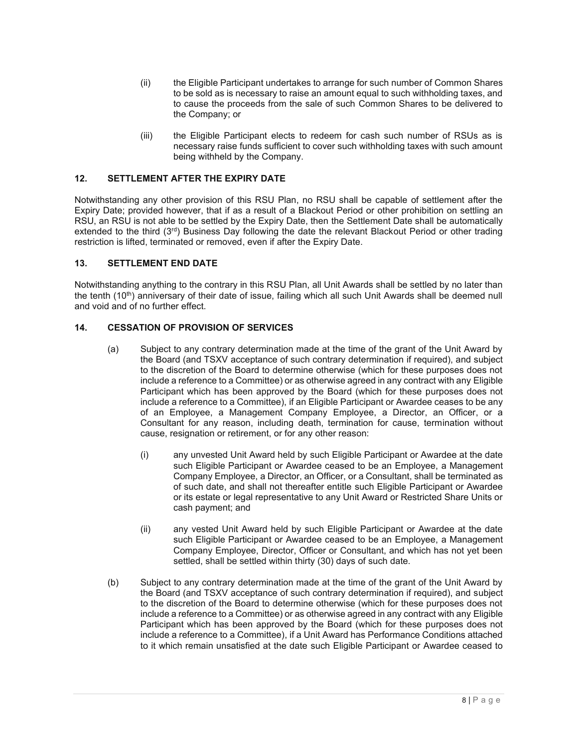- (ii) the Eligible Participant undertakes to arrange for such number of Common Shares to be sold as is necessary to raise an amount equal to such withholding taxes, and to cause the proceeds from the sale of such Common Shares to be delivered to the Company; or
- (iii) the Eligible Participant elects to redeem for cash such number of RSUs as is necessary raise funds sufficient to cover such withholding taxes with such amount being withheld by the Company.

### **12. SETTLEMENT AFTER THE EXPIRY DATE**

Notwithstanding any other provision of this RSU Plan, no RSU shall be capable of settlement after the Expiry Date; provided however, that if as a result of a Blackout Period or other prohibition on settling an RSU, an RSU is not able to be settled by the Expiry Date, then the Settlement Date shall be automatically extended to the third (3<sup>rd</sup>) Business Day following the date the relevant Blackout Period or other trading restriction is lifted, terminated or removed, even if after the Expiry Date.

#### **13. SETTLEMENT END DATE**

Notwithstanding anything to the contrary in this RSU Plan, all Unit Awards shall be settled by no later than the tenth (10<sup>th</sup>) anniversary of their date of issue, failing which all such Unit Awards shall be deemed null and void and of no further effect.

### **14. CESSATION OF PROVISION OF SERVICES**

- (a) Subject to any contrary determination made at the time of the grant of the Unit Award by the Board (and TSXV acceptance of such contrary determination if required), and subject to the discretion of the Board to determine otherwise (which for these purposes does not include a reference to a Committee) or as otherwise agreed in any contract with any Eligible Participant which has been approved by the Board (which for these purposes does not include a reference to a Committee), if an Eligible Participant or Awardee ceases to be any of an Employee, a Management Company Employee, a Director, an Officer, or a Consultant for any reason, including death, termination for cause, termination without cause, resignation or retirement, or for any other reason:
	- (i) any unvested Unit Award held by such Eligible Participant or Awardee at the date such Eligible Participant or Awardee ceased to be an Employee, a Management Company Employee, a Director, an Officer, or a Consultant, shall be terminated as of such date, and shall not thereafter entitle such Eligible Participant or Awardee or its estate or legal representative to any Unit Award or Restricted Share Units or cash payment; and
	- (ii) any vested Unit Award held by such Eligible Participant or Awardee at the date such Eligible Participant or Awardee ceased to be an Employee, a Management Company Employee, Director, Officer or Consultant, and which has not yet been settled, shall be settled within thirty (30) days of such date.
- (b) Subject to any contrary determination made at the time of the grant of the Unit Award by the Board (and TSXV acceptance of such contrary determination if required), and subject to the discretion of the Board to determine otherwise (which for these purposes does not include a reference to a Committee) or as otherwise agreed in any contract with any Eligible Participant which has been approved by the Board (which for these purposes does not include a reference to a Committee), if a Unit Award has Performance Conditions attached to it which remain unsatisfied at the date such Eligible Participant or Awardee ceased to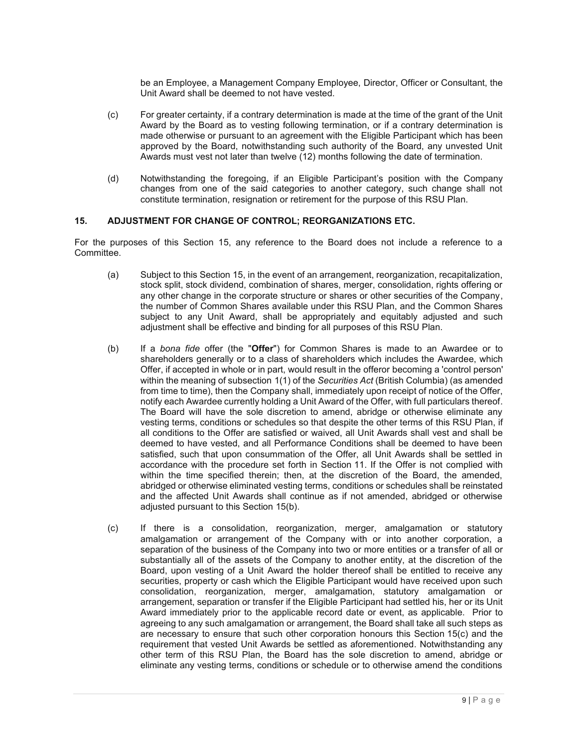be an Employee, a Management Company Employee, Director, Officer or Consultant, the Unit Award shall be deemed to not have vested.

- (c) For greater certainty, if a contrary determination is made at the time of the grant of the Unit Award by the Board as to vesting following termination, or if a contrary determination is made otherwise or pursuant to an agreement with the Eligible Participant which has been approved by the Board, notwithstanding such authority of the Board, any unvested Unit Awards must vest not later than twelve (12) months following the date of termination.
- (d) Notwithstanding the foregoing, if an Eligible Participant's position with the Company changes from one of the said categories to another category, such change shall not constitute termination, resignation or retirement for the purpose of this RSU Plan.

### **15. ADJUSTMENT FOR CHANGE OF CONTROL; REORGANIZATIONS ETC.**

For the purposes of this Section 15, any reference to the Board does not include a reference to a Committee.

- (a) Subject to this Section 15, in the event of an arrangement, reorganization, recapitalization, stock split, stock dividend, combination of shares, merger, consolidation, rights offering or any other change in the corporate structure or shares or other securities of the Company, the number of Common Shares available under this RSU Plan, and the Common Shares subject to any Unit Award, shall be appropriately and equitably adjusted and such adjustment shall be effective and binding for all purposes of this RSU Plan.
- (b) If a *bona fide* offer (the "**Offer**") for Common Shares is made to an Awardee or to shareholders generally or to a class of shareholders which includes the Awardee, which Offer, if accepted in whole or in part, would result in the offeror becoming a 'control person' within the meaning of subsection 1(1) of the *Securities Act* (British Columbia) (as amended from time to time), then the Company shall, immediately upon receipt of notice of the Offer, notify each Awardee currently holding a Unit Award of the Offer, with full particulars thereof. The Board will have the sole discretion to amend, abridge or otherwise eliminate any vesting terms, conditions or schedules so that despite the other terms of this RSU Plan, if all conditions to the Offer are satisfied or waived, all Unit Awards shall vest and shall be deemed to have vested, and all Performance Conditions shall be deemed to have been satisfied, such that upon consummation of the Offer, all Unit Awards shall be settled in accordance with the procedure set forth in Section 11. If the Offer is not complied with within the time specified therein; then, at the discretion of the Board, the amended, abridged or otherwise eliminated vesting terms, conditions or schedules shall be reinstated and the affected Unit Awards shall continue as if not amended, abridged or otherwise adjusted pursuant to this Section 15(b).
- (c) If there is a consolidation, reorganization, merger, amalgamation or statutory amalgamation or arrangement of the Company with or into another corporation, a separation of the business of the Company into two or more entities or a transfer of all or substantially all of the assets of the Company to another entity, at the discretion of the Board, upon vesting of a Unit Award the holder thereof shall be entitled to receive any securities, property or cash which the Eligible Participant would have received upon such consolidation, reorganization, merger, amalgamation, statutory amalgamation or arrangement, separation or transfer if the Eligible Participant had settled his, her or its Unit Award immediately prior to the applicable record date or event, as applicable. Prior to agreeing to any such amalgamation or arrangement, the Board shall take all such steps as are necessary to ensure that such other corporation honours this Section 15(c) and the requirement that vested Unit Awards be settled as aforementioned. Notwithstanding any other term of this RSU Plan, the Board has the sole discretion to amend, abridge or eliminate any vesting terms, conditions or schedule or to otherwise amend the conditions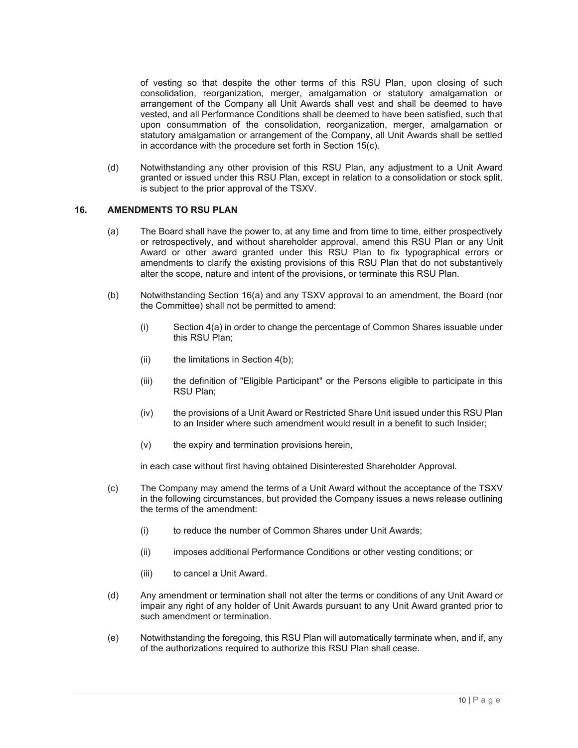of vesting so that despite the other terms of this RSU Plan, upon closing of such consolidation, reorganization, merger, amalgamation or statutory amalgamation or arrangement of the Company all Unit Awards shall vest and shall be deemed to have vested, and all Performance Conditions shall be deemed to have been satisfied, such that upon consummation of the consolidation, reorganization, merger, amalgamation or statutory amalgamation or arrangement of the Company, all Unit Awards shall be settled in accordance with the procedure set forth in Section 15(c).

(d) Notwithstanding any other provision of this RSU Plan, any adjustment to a Unit Award granted or issued under this RSU Plan, except in relation to a consolidation or stock split, is subject to the prior approval of the TSXV.

## **16. AMENDMENTS TO RSU PLAN**

- (a) The Board shall have the power to, at any time and from time to time, either prospectively or retrospectively, and without shareholder approval, amend this RSU Plan or any Unit Award or other award granted under this RSU Plan to fix typographical errors or amendments to clarify the existing provisions of this RSU Plan that do not substantively alter the scope, nature and intent of the provisions, or terminate this RSU Plan.
- (b) Notwithstanding Section 16(a) and any TSXV approval to an amendment, the Board (nor the Committee) shall not be permitted to amend:
	- (i) Section 4(a) in order to change the percentage of Common Shares issuable under this RSU Plan:
	- (ii) the limitations in Section  $4(b)$ ;
	- (iii) the definition of "Eligible Participant" or the Persons eligible to participate in this RSU Plan;
	- (iv) the provisions of a Unit Award or Restricted Share Unit issued under this RSU Plan to an Insider where such amendment would result in a benefit to such Insider;
	- (v) the expiry and termination provisions herein,

in each case without first having obtained Disinterested Shareholder Approval.

- (c) The Company may amend the terms of a Unit Award without the acceptance of the TSXV in the following circumstances, but provided the Company issues a news release outlining the terms of the amendment:
	- (i) to reduce the number of Common Shares under Unit Awards;
	- (ii) imposes additional Performance Conditions or other vesting conditions; or
	- (iii) to cancel a Unit Award.
- (d) Any amendment or termination shall not alter the terms or conditions of any Unit Award or impair any right of any holder of Unit Awards pursuant to any Unit Award granted prior to such amendment or termination.
- (e) Notwithstanding the foregoing, this RSU Plan will automatically terminate when, and if, any of the authorizations required to authorize this RSU Plan shall cease.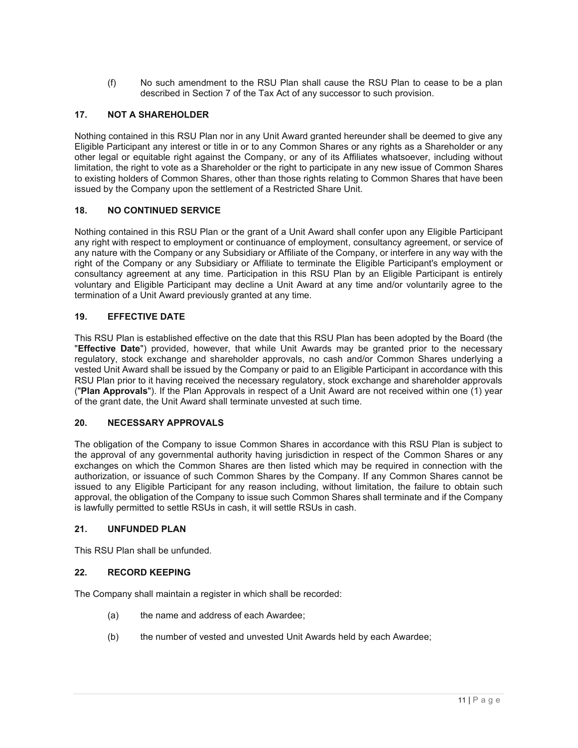(f) No such amendment to the RSU Plan shall cause the RSU Plan to cease to be a plan described in Section 7 of the Tax Act of any successor to such provision.

# **17. NOT A SHAREHOLDER**

Nothing contained in this RSU Plan nor in any Unit Award granted hereunder shall be deemed to give any Eligible Participant any interest or title in or to any Common Shares or any rights as a Shareholder or any other legal or equitable right against the Company, or any of its Affiliates whatsoever, including without limitation, the right to vote as a Shareholder or the right to participate in any new issue of Common Shares to existing holders of Common Shares, other than those rights relating to Common Shares that have been issued by the Company upon the settlement of a Restricted Share Unit.

## **18. NO CONTINUED SERVICE**

Nothing contained in this RSU Plan or the grant of a Unit Award shall confer upon any Eligible Participant any right with respect to employment or continuance of employment, consultancy agreement, or service of any nature with the Company or any Subsidiary or Affiliate of the Company, or interfere in any way with the right of the Company or any Subsidiary or Affiliate to terminate the Eligible Participant's employment or consultancy agreement at any time. Participation in this RSU Plan by an Eligible Participant is entirely voluntary and Eligible Participant may decline a Unit Award at any time and/or voluntarily agree to the termination of a Unit Award previously granted at any time.

## **19. EFFECTIVE DATE**

This RSU Plan is established effective on the date that this RSU Plan has been adopted by the Board (the "**Effective Date**") provided, however, that while Unit Awards may be granted prior to the necessary regulatory, stock exchange and shareholder approvals, no cash and/or Common Shares underlying a vested Unit Award shall be issued by the Company or paid to an Eligible Participant in accordance with this RSU Plan prior to it having received the necessary regulatory, stock exchange and shareholder approvals ("**Plan Approvals**"). If the Plan Approvals in respect of a Unit Award are not received within one (1) year of the grant date, the Unit Award shall terminate unvested at such time.

## **20. NECESSARY APPROVALS**

The obligation of the Company to issue Common Shares in accordance with this RSU Plan is subject to the approval of any governmental authority having jurisdiction in respect of the Common Shares or any exchanges on which the Common Shares are then listed which may be required in connection with the authorization, or issuance of such Common Shares by the Company. If any Common Shares cannot be issued to any Eligible Participant for any reason including, without limitation, the failure to obtain such approval, the obligation of the Company to issue such Common Shares shall terminate and if the Company is lawfully permitted to settle RSUs in cash, it will settle RSUs in cash.

## **21. UNFUNDED PLAN**

This RSU Plan shall be unfunded.

## **22. RECORD KEEPING**

The Company shall maintain a register in which shall be recorded:

- (a) the name and address of each Awardee;
- (b) the number of vested and unvested Unit Awards held by each Awardee;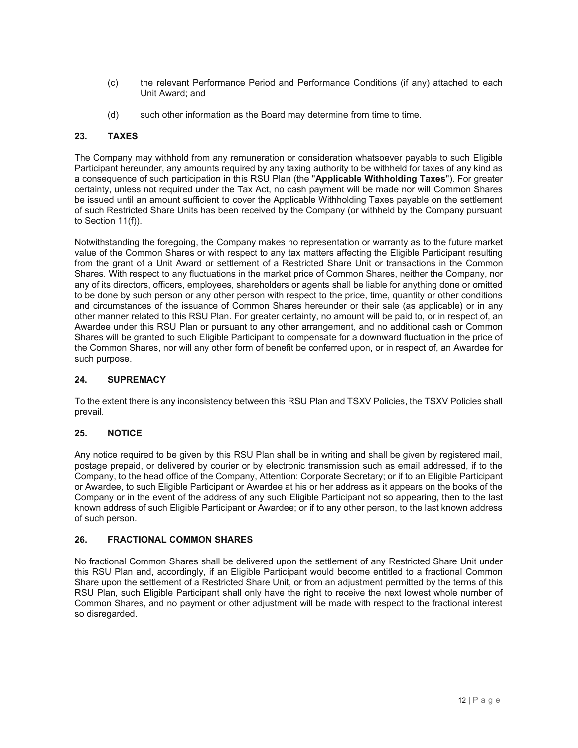- (c) the relevant Performance Period and Performance Conditions (if any) attached to each Unit Award; and
- (d) such other information as the Board may determine from time to time.

## **23. TAXES**

The Company may withhold from any remuneration or consideration whatsoever payable to such Eligible Participant hereunder, any amounts required by any taxing authority to be withheld for taxes of any kind as a consequence of such participation in this RSU Plan (the "**Applicable Withholding Taxes**"). For greater certainty, unless not required under the Tax Act, no cash payment will be made nor will Common Shares be issued until an amount sufficient to cover the Applicable Withholding Taxes payable on the settlement of such Restricted Share Units has been received by the Company (or withheld by the Company pursuant to Section 11(f)).

Notwithstanding the foregoing, the Company makes no representation or warranty as to the future market value of the Common Shares or with respect to any tax matters affecting the Eligible Participant resulting from the grant of a Unit Award or settlement of a Restricted Share Unit or transactions in the Common Shares. With respect to any fluctuations in the market price of Common Shares, neither the Company, nor any of its directors, officers, employees, shareholders or agents shall be liable for anything done or omitted to be done by such person or any other person with respect to the price, time, quantity or other conditions and circumstances of the issuance of Common Shares hereunder or their sale (as applicable) or in any other manner related to this RSU Plan. For greater certainty, no amount will be paid to, or in respect of, an Awardee under this RSU Plan or pursuant to any other arrangement, and no additional cash or Common Shares will be granted to such Eligible Participant to compensate for a downward fluctuation in the price of the Common Shares, nor will any other form of benefit be conferred upon, or in respect of, an Awardee for such purpose.

## **24. SUPREMACY**

To the extent there is any inconsistency between this RSU Plan and TSXV Policies, the TSXV Policies shall prevail.

## **25. NOTICE**

Any notice required to be given by this RSU Plan shall be in writing and shall be given by registered mail, postage prepaid, or delivered by courier or by electronic transmission such as email addressed, if to the Company, to the head office of the Company, Attention: Corporate Secretary; or if to an Eligible Participant or Awardee, to such Eligible Participant or Awardee at his or her address as it appears on the books of the Company or in the event of the address of any such Eligible Participant not so appearing, then to the last known address of such Eligible Participant or Awardee; or if to any other person, to the last known address of such person.

## **26. FRACTIONAL COMMON SHARES**

No fractional Common Shares shall be delivered upon the settlement of any Restricted Share Unit under this RSU Plan and, accordingly, if an Eligible Participant would become entitled to a fractional Common Share upon the settlement of a Restricted Share Unit, or from an adjustment permitted by the terms of this RSU Plan, such Eligible Participant shall only have the right to receive the next lowest whole number of Common Shares, and no payment or other adjustment will be made with respect to the fractional interest so disregarded.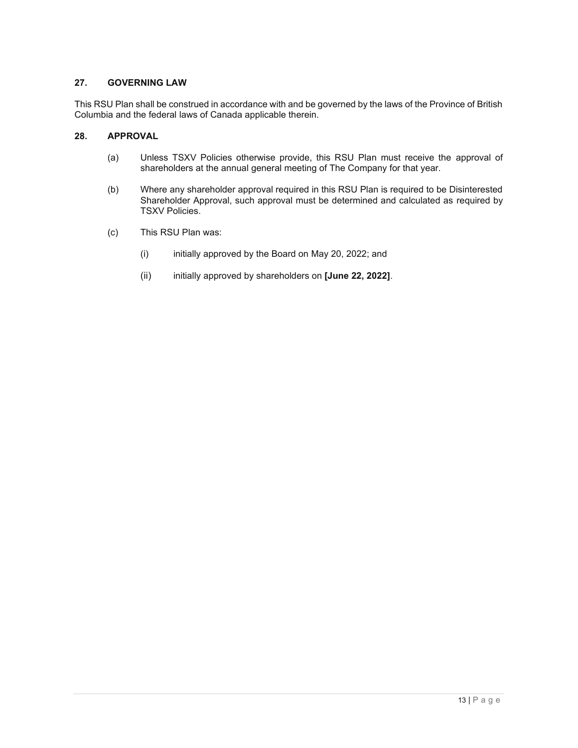## **27. GOVERNING LAW**

This RSU Plan shall be construed in accordance with and be governed by the laws of the Province of British Columbia and the federal laws of Canada applicable therein.

# **28. APPROVAL**

- (a) Unless TSXV Policies otherwise provide, this RSU Plan must receive the approval of shareholders at the annual general meeting of The Company for that year.
- (b) Where any shareholder approval required in this RSU Plan is required to be Disinterested Shareholder Approval, such approval must be determined and calculated as required by TSXV Policies.
- (c) This RSU Plan was:
	- (i) initially approved by the Board on May 20, 2022; and
	- (ii) initially approved by shareholders on **[June 22, 2022]**.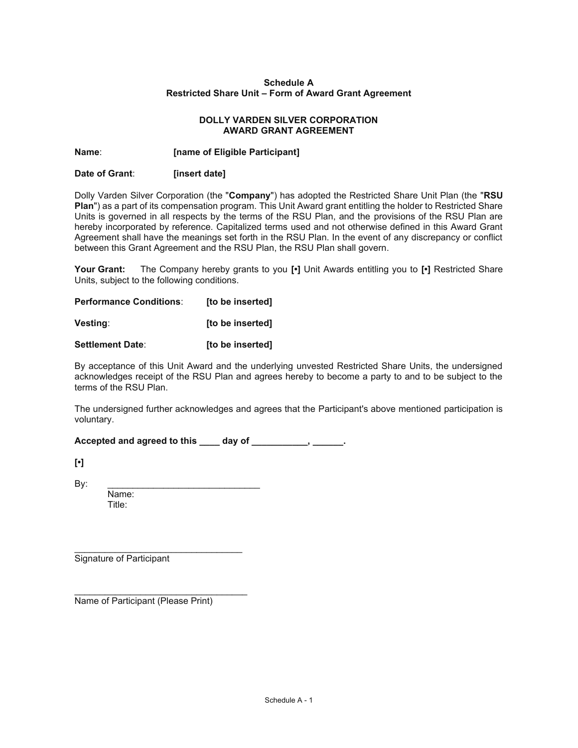### **Schedule A Restricted Share Unit – Form of Award Grant Agreement**

### **DOLLY VARDEN SILVER CORPORATION AWARD GRANT AGREEMENT**

## **Name**: **[name of Eligible Participant]**

## **Date of Grant**: **[insert date]**

Dolly Varden Silver Corporation (the "**Company**") has adopted the Restricted Share Unit Plan (the "**RSU Plan**") as a part of its compensation program. This Unit Award grant entitling the holder to Restricted Share Units is governed in all respects by the terms of the RSU Plan, and the provisions of the RSU Plan are hereby incorporated by reference. Capitalized terms used and not otherwise defined in this Award Grant Agreement shall have the meanings set forth in the RSU Plan. In the event of any discrepancy or conflict between this Grant Agreement and the RSU Plan, the RSU Plan shall govern.

**Your Grant:** The Company hereby grants to you **[•]** Unit Awards entitling you to **[•]** Restricted Share Units, subject to the following conditions.

| <b>Performance Conditions:</b> | [to be inserted] |
|--------------------------------|------------------|
| <b>Vesting:</b>                | [to be inserted] |
| <b>Settlement Date:</b>        | [to be inserted] |

By acceptance of this Unit Award and the underlying unvested Restricted Share Units, the undersigned acknowledges receipt of the RSU Plan and agrees hereby to become a party to and to be subject to the terms of the RSU Plan.

The undersigned further acknowledges and agrees that the Participant's above mentioned participation is voluntary.

**Accepted and agreed to this \_\_\_\_ day of \_\_\_\_\_\_\_\_\_\_\_, \_\_\_\_\_\_.** 

**[•]**

By: \_\_\_\_\_\_\_\_\_\_\_\_\_\_\_\_\_\_\_\_\_\_\_\_\_\_\_\_\_\_ Name: Title:

\_\_\_\_\_\_\_\_\_\_\_\_\_\_\_\_\_\_\_\_\_\_\_\_\_\_\_\_\_\_\_\_\_

Signature of Participant

\_\_\_\_\_\_\_\_\_\_\_\_\_\_\_\_\_\_\_\_\_\_\_\_\_\_\_\_\_\_\_\_\_\_ Name of Participant (Please Print)